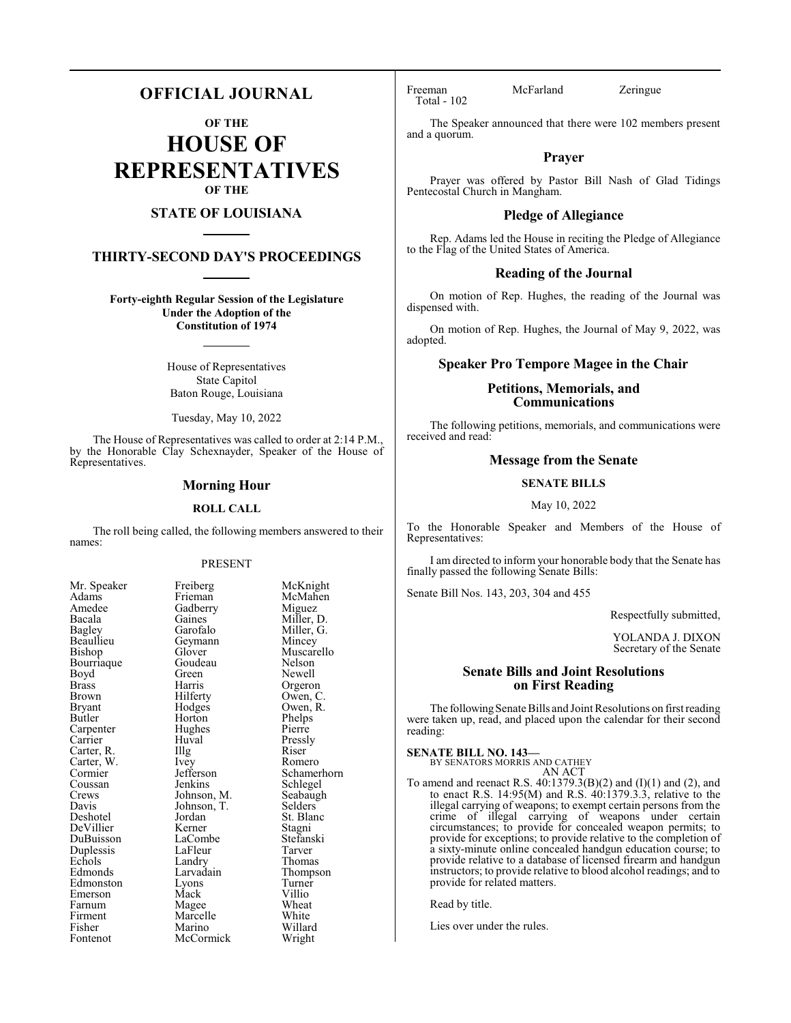# **OFFICIAL JOURNAL**

**OF THE**

**HOUSE OF REPRESENTATIVES OF THE**

# **STATE OF LOUISIANA**

# **THIRTY-SECOND DAY'S PROCEEDINGS**

**Forty-eighth Regular Session of the Legislature Under the Adoption of the Constitution of 1974**

> House of Representatives State Capitol Baton Rouge, Louisiana

Tuesday, May 10, 2022

The House of Representatives was called to order at 2:14 P.M., by the Honorable Clay Schexnayder, Speaker of the House of Representatives.

#### **Morning Hour**

#### **ROLL CALL**

The roll being called, the following members answered to their names:

#### PRESENT

| Mr. Speaker | Freiberg    | McKn    |
|-------------|-------------|---------|
| Adams       | Frieman     | McMa    |
| Amedee      | Gadberry    | Migue   |
| Bacala      | Gaines      | Miller, |
| Bagley      | Garofalo    | Miller, |
| Beaullieu   | Geymann     | Mince   |
| Bishop      | Glover      | Musca   |
| Bourriaque  | Goudeau     | Nelsor  |
| Boyd        | Green       | Newel   |
| Brass       | Harris      | Orgero  |
| Brown       | Hilferty    | Owen,   |
| Bryant      | Hodges      | Owen,   |
| Butler      | Horton      | Phelps  |
| Carpenter   | Hughes      | Pierre  |
| Carrier     | Huval       | Pressly |
| Carter, R.  | Illg        | Riser   |
| Carter, W.  | Ivey        | Romer   |
| Cormier     | Jefferson   | Scham   |
| Coussan     | Jenkins     | Schleg  |
| Crews       | Johnson, M. | Seabau  |
| Davis       | Johnson, T. | Selder  |
| Deshotel    | Jordan      | St. Bla |
| DeVillier   | Kerner      | Stagni  |
| DuBuisson   | LaCombe     | Stefan  |
| Duplessis   | LaFleur     | Tarver  |
| Echols      | Landry      | Thoma   |
| Edmonds     | Larvadain   | Thomp   |
| Edmonston   | Lyons       | Turner  |
| Emerson     | Mack        | Villio  |
| Farnum      | Magee       | Wheat   |
| Firment     | Marcelle    | White   |
| Fisher      | Marino      | Willar  |
| Fontenot    | McCormick   | Wrigh   |
|             |             |         |

McKnight McMahen Miguez Miller, D. Miller, G. Mincey Muscarello Nelson Newell Orgeron Owen, C. Owen, R. Phelps<br>Pierre Pressly<br>Riser Romero Schamerhorn Schlegel Seabaugh Selders<sup>7</sup> St. Blanc Stagni Stefanski<br>Tarver Thomas Thompson Turner<br>Villio Wheat White Willard Wright

Total - 102

Freeman McFarland Zeringue

The Speaker announced that there were 102 members present and a quorum.

#### **Prayer**

Prayer was offered by Pastor Bill Nash of Glad Tidings Pentecostal Church in Mangham.

#### **Pledge of Allegiance**

Rep. Adams led the House in reciting the Pledge of Allegiance to the Flag of the United States of America.

#### **Reading of the Journal**

On motion of Rep. Hughes, the reading of the Journal was dispensed with.

On motion of Rep. Hughes, the Journal of May 9, 2022, was adopted.

# **Speaker Pro Tempore Magee in the Chair**

# **Petitions, Memorials, and Communications**

The following petitions, memorials, and communications were received and read:

# **Message from the Senate**

#### **SENATE BILLS**

May 10, 2022

To the Honorable Speaker and Members of the House of Representatives:

I am directed to inform your honorable body that the Senate has finally passed the following Senate Bills:

Senate Bill Nos. 143, 203, 304 and 455

Respectfully submitted,

YOLANDA J. DIXON Secretary of the Senate

# **Senate Bills and Joint Resolutions on First Reading**

The following Senate Bills and Joint Resolutions on first reading were taken up, read, and placed upon the calendar for their second reading:

**SENATE BILL NO. 143—**

BY SENATORS MORRIS AND CATHEY AN ACT

To amend and reenact R.S. 40:1379.3(B)(2) and (I)(1) and (2), and to enact R.S.  $14:95(M)$  and R.S.  $40:1379.3.3$ , relative to the illegal carrying of weapons; to exempt certain persons from the crime of illegal carrying of weapons under certain circumstances; to provide for concealed weapon permits; to provide for exceptions; to provide relative to the completion of a sixty-minute online concealed handgun education course; to provide relative to a database of licensed firearm and handgun instructors; to provide relative to blood alcohol readings; and to provide for related matters.

Read by title.

Lies over under the rules.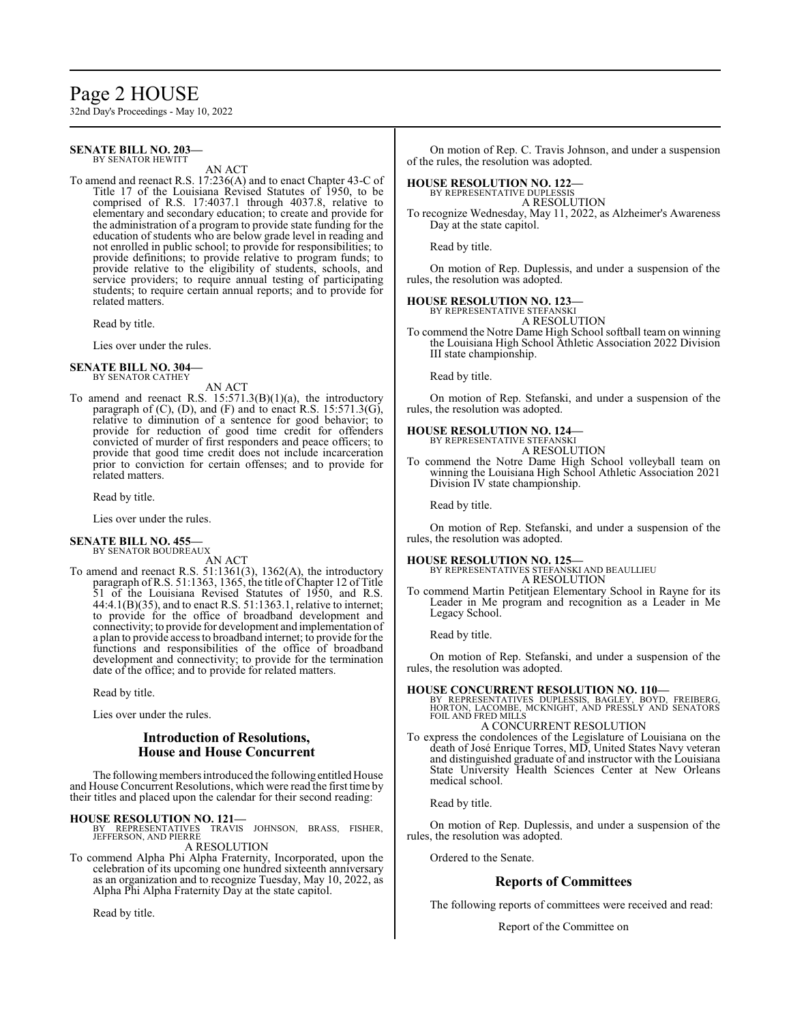# Page 2 HOUSE

32nd Day's Proceedings - May 10, 2022

#### **SENATE BILL NO. 203—** BY SENATOR HEWITT

AN ACT

To amend and reenact R.S. 17:236(A) and to enact Chapter 43-C of Title 17 of the Louisiana Revised Statutes of 1950, to be comprised of R.S. 17:4037.1 through 4037.8, relative to elementary and secondary education; to create and provide for the administration of a program to provide state funding for the education of students who are below grade level in reading and not enrolled in public school; to provide for responsibilities; to provide definitions; to provide relative to program funds; to provide relative to the eligibility of students, schools, and service providers; to require annual testing of participating students; to require certain annual reports; and to provide for related matters.

Read by title.

Lies over under the rules.

#### **SENATE BILL NO. 304—** BY SENATOR CATHEY

AN ACT

To amend and reenact R.S.  $15:571.3(B)(1)(a)$ , the introductory paragraph of  $(C)$ ,  $(D)$ , and  $(F)$  and to enact R.S. 15:571.3(G), relative to diminution of a sentence for good behavior; to provide for reduction of good time credit for offenders convicted of murder of first responders and peace officers; to provide that good time credit does not include incarceration prior to conviction for certain offenses; and to provide for related matters.

Read by title.

Lies over under the rules.

#### **SENATE BILL NO. 455—** BY SENATOR BOUDREAUX

AN ACT

To amend and reenact R.S. 51:1361(3), 1362(A), the introductory paragraph of R.S. 51:1363, 1365, the title of Chapter 12 of Title 51 of the Louisiana Revised Statutes of 1950, and R.S. 44:4.1(B)(35), and to enact R.S. 51:1363.1, relative to internet; to provide for the office of broadband development and connectivity; to provide for development and implementation of a plan to provide access to broadband internet; to provide for the functions and responsibilities of the office of broadband development and connectivity; to provide for the termination date of the office; and to provide for related matters.

Read by title.

Lies over under the rules.

# **Introduction of Resolutions, House and House Concurrent**

The following members introduced the following entitled House and House Concurrent Resolutions, which were read the first time by their titles and placed upon the calendar for their second reading:

#### **HOUSE RESOLUTION NO. 121—**

BY REPRESENTATIVES TRAVIS JOHNSON, BRASS, FISHER, JEFFERSON, AND PIERRE A RESOLUTION

To commend Alpha Phi Alpha Fraternity, Incorporated, upon the celebration of its upcoming one hundred sixteenth anniversary as an organization and to recognize Tuesday, May 10, 2022, as Alpha Phi Alpha Fraternity Day at the state capitol.

Read by title.

On motion of Rep. C. Travis Johnson, and under a suspension of the rules, the resolution was adopted.

# **HOUSE RESOLUTION NO. 122—**

BY REPRESENTATIVE DUPLESSIS A RESOLUTION

To recognize Wednesday, May 11, 2022, as Alzheimer's Awareness Day at the state capitol.

Read by title.

On motion of Rep. Duplessis, and under a suspension of the rules, the resolution was adopted.

# **HOUSE RESOLUTION NO. 123—** BY REPRESENTATIVE STEFANSKI

A RESOLUTION

To commend the Notre Dame High School softball team on winning the Louisiana High School Athletic Association 2022 Division III state championship.

Read by title.

On motion of Rep. Stefanski, and under a suspension of the rules, the resolution was adopted.

# **HOUSE RESOLUTION NO. 124—** BY REPRESENTATIVE STEFANSKI

A RESOLUTION

To commend the Notre Dame High School volleyball team on winning the Louisiana High School Athletic Association 2021 Division IV state championship.

Read by title.

On motion of Rep. Stefanski, and under a suspension of the rules, the resolution was adopted.

# **HOUSE RESOLUTION NO. 125—** BY REPRESENTATIVES STEFANSKI AND BEAULLIEU

A RESOLUTION

To commend Martin Petitjean Elementary School in Rayne for its Leader in Me program and recognition as a Leader in Me Legacy School.

Read by title.

On motion of Rep. Stefanski, and under a suspension of the rules, the resolution was adopted.

**HOUSE CONCURRENT RESOLUTION NO. 110—**<br>BY REPRESENTATIVES DUPLESSIS, BAGLEY, BOYD, FREIBERG,<br>HORTON, LACOMBE, MCKNIGHT, AND PRESSLY AND SENATORS<br>FOIL AND FRED MILLS A CONCURRENT RESOLUTION

To express the condolences of the Legislature of Louisiana on the death of José Enrique Torres, MD, United States Navy veteran and distinguished graduate of and instructor with the Louisiana State University Health Sciences Center at New Orleans medical school.

Read by title.

On motion of Rep. Duplessis, and under a suspension of the rules, the resolution was adopted.

Ordered to the Senate.

# **Reports of Committees**

The following reports of committees were received and read:

Report of the Committee on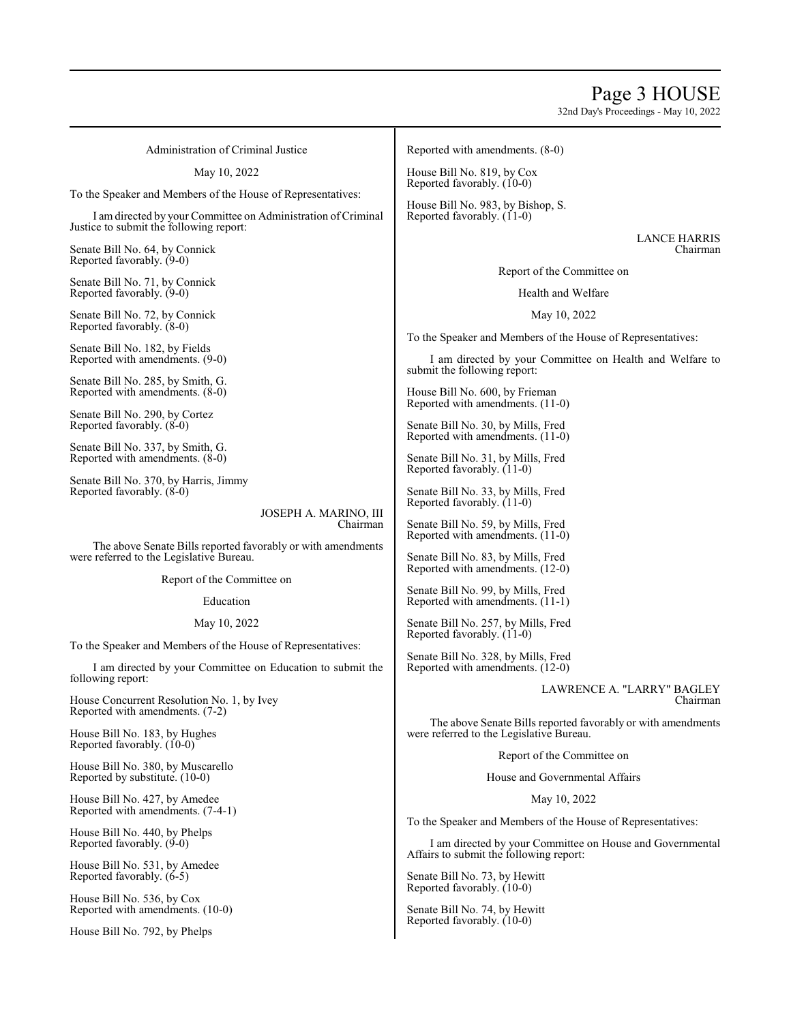# Page 3 HOUSE

32nd Day's Proceedings - May 10, 2022

Administration of Criminal Justice

May 10, 2022

To the Speaker and Members of the House of Representatives:

I amdirected by your Committee on Administration ofCriminal Justice to submit the following report:

Senate Bill No. 64, by Connick Reported favorably. (9-0)

Senate Bill No. 71, by Connick Reported favorably. (9-0)

Senate Bill No. 72, by Connick Reported favorably. (8-0)

Senate Bill No. 182, by Fields Reported with amendments. (9-0)

Senate Bill No. 285, by Smith, G. Reported with amendments. (8-0)

Senate Bill No. 290, by Cortez Reported favorably. (8-0)

Senate Bill No. 337, by Smith, G. Reported with amendments. (8-0)

Senate Bill No. 370, by Harris, Jimmy Reported favorably. (8-0)

> JOSEPH A. MARINO, III Chairman

The above Senate Bills reported favorably or with amendments were referred to the Legislative Bureau.

Report of the Committee on

Education

May 10, 2022

To the Speaker and Members of the House of Representatives:

I am directed by your Committee on Education to submit the following report:

House Concurrent Resolution No. 1, by Ivey Reported with amendments. (7-2)

House Bill No. 183, by Hughes Reported favorably.  $(10-0)$ 

House Bill No. 380, by Muscarello Reported by substitute. (10-0)

House Bill No. 427, by Amedee Reported with amendments. (7-4-1)

House Bill No. 440, by Phelps Reported favorably. (9-0)

House Bill No. 531, by Amedee Reported favorably. (6-5)

House Bill No. 536, by Cox Reported with amendments. (10-0)

House Bill No. 792, by Phelps

Reported with amendments. (8-0)

House Bill No. 819, by Cox Reported favorably. (10-0)

House Bill No. 983, by Bishop, S. Reported favorably. (11-0)

> LANCE HARRIS Chairman

Report of the Committee on

Health and Welfare

May 10, 2022

To the Speaker and Members of the House of Representatives:

I am directed by your Committee on Health and Welfare to submit the following report:

House Bill No. 600, by Frieman Reported with amendments. (11-0)

Senate Bill No. 30, by Mills, Fred Reported with amendments. (11-0)

Senate Bill No. 31, by Mills, Fred Reported favorably. (11-0)

Senate Bill No. 33, by Mills, Fred Reported favorably. (11-0)

Senate Bill No. 59, by Mills, Fred Reported with amendments. (11-0)

Senate Bill No. 83, by Mills, Fred Reported with amendments. (12-0)

Senate Bill No. 99, by Mills, Fred Reported with amendments. (11-1)

Senate Bill No. 257, by Mills, Fred Reported favorably. (11-0)

Senate Bill No. 328, by Mills, Fred Reported with amendments. (12-0)

> LAWRENCE A. "LARRY" BAGLEY Chairman

The above Senate Bills reported favorably or with amendments were referred to the Legislative Bureau.

Report of the Committee on

House and Governmental Affairs

May 10, 2022

To the Speaker and Members of the House of Representatives:

I am directed by your Committee on House and Governmental Affairs to submit the following report:

Senate Bill No. 73, by Hewitt Reported favorably. (10-0)

Senate Bill No. 74, by Hewitt Reported favorably. (10-0)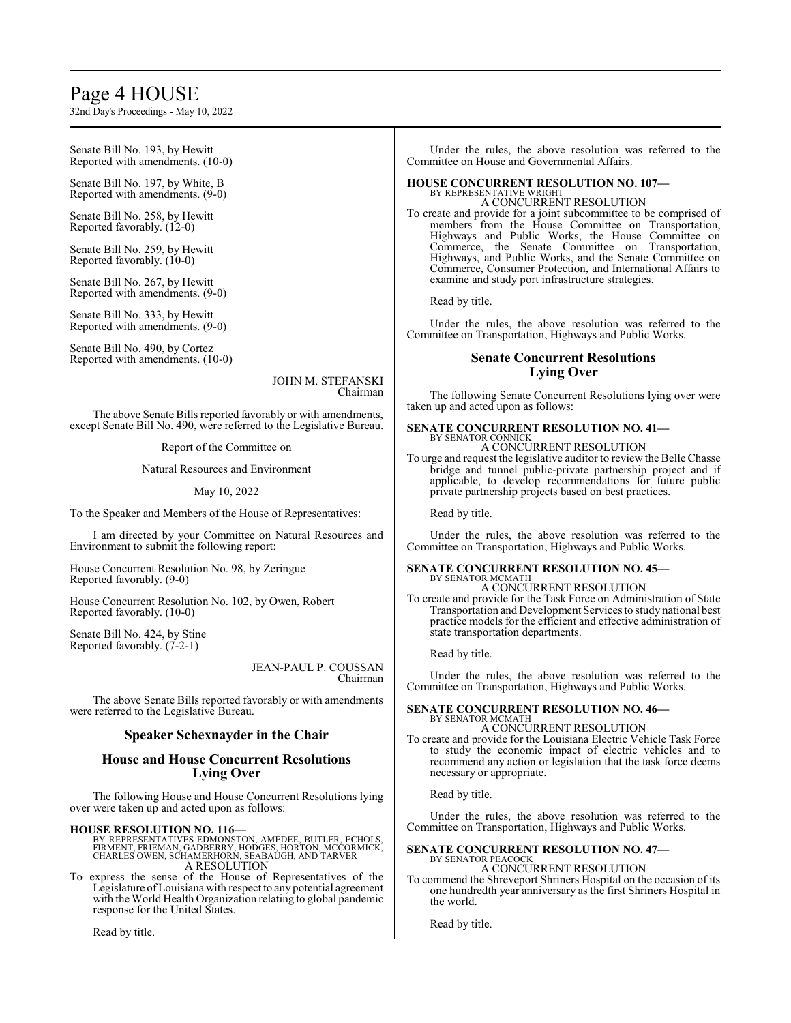# Page 4 HOUSE

32nd Day's Proceedings - May 10, 2022

Senate Bill No. 193, by Hewitt Reported with amendments. (10-0)

Senate Bill No. 197, by White, B Reported with amendments. (9-0)

Senate Bill No. 258, by Hewitt Reported favorably. (12-0)

Senate Bill No. 259, by Hewitt Reported favorably. (10-0)

Senate Bill No. 267, by Hewitt Reported with amendments. (9-0)

Senate Bill No. 333, by Hewitt Reported with amendments. (9-0)

Senate Bill No. 490, by Cortez Reported with amendments. (10-0)

> JOHN M. STEFANSKI Chairman

The above Senate Bills reported favorably or with amendments, except Senate Bill No. 490, were referred to the Legislative Bureau.

Report of the Committee on

Natural Resources and Environment

#### May 10, 2022

To the Speaker and Members of the House of Representatives:

I am directed by your Committee on Natural Resources and Environment to submit the following report:

House Concurrent Resolution No. 98, by Zeringue Reported favorably. (9-0)

House Concurrent Resolution No. 102, by Owen, Robert Reported favorably. (10-0)

Senate Bill No. 424, by Stine Reported favorably. (7-2-1)

> JEAN-PAUL P. COUSSAN Chairman

The above Senate Bills reported favorably or with amendments were referred to the Legislative Bureau.

#### **Speaker Schexnayder in the Chair**

# **House and House Concurrent Resolutions Lying Over**

The following House and House Concurrent Resolutions lying over were taken up and acted upon as follows:

**HOUSE RESOLUTION NO. 116—**<br>BY REPRESENTATIVES EDMONSTON, AMEDEE, BUTLER, ECHOLS,<br>FIRMENT, FRIEMAN, GADBERRY, HODGES, HORTON, MCCORMICK,<br>CHARLES OWEN, SCHAMERHORN, SEABAUGH, AND TARVER A RESOLUTION

To express the sense of the House of Representatives of the Legislature ofLouisiana with respect to any potential agreement with the World Health Organization relating to global pandemic response for the United States.

Read by title.

Under the rules, the above resolution was referred to the Committee on House and Governmental Affairs.

#### **HOUSE CONCURRENT RESOLUTION NO. 107—** BY REPRESENTATIVE WRIGHT A CONCURRENT RESOLUTION

To create and provide for a joint subcommittee to be comprised of members from the House Committee on Transportation, Highways and Public Works, the House Committee on Commerce, the Senate Committee on Transportation, Highways, and Public Works, and the Senate Committee on Commerce, Consumer Protection, and International Affairs to examine and study port infrastructure strategies.

Read by title.

Under the rules, the above resolution was referred to the Committee on Transportation, Highways and Public Works.

# **Senate Concurrent Resolutions Lying Over**

The following Senate Concurrent Resolutions lying over were taken up and acted upon as follows:

#### **SENATE CONCURRENT RESOLUTION NO. 41—** BY SENATOR CONNICK

A CONCURRENT RESOLUTION

To urge and request the legislative auditor to review the Belle Chasse bridge and tunnel public-private partnership project and if applicable, to develop recommendations for future public private partnership projects based on best practices.

Read by title.

Under the rules, the above resolution was referred to the Committee on Transportation, Highways and Public Works.

#### **SENATE CONCURRENT RESOLUTION NO. 45—** BY SENATOR MCMATH

A CONCURRENT RESOLUTION To create and provide for the Task Force on Administration of State Transportation and Development Services to study national best practice models for the efficient and effective administration of

Read by title.

state transportation departments.

Under the rules, the above resolution was referred to the Committee on Transportation, Highways and Public Works.

#### **SENATE CONCURRENT RESOLUTION NO. 46—** BY SENATOR MCMATH A CONCURRENT RESOLUTION

To create and provide for the Louisiana Electric Vehicle Task Force to study the economic impact of electric vehicles and to recommend any action or legislation that the task force deems necessary or appropriate.

Read by title.

Under the rules, the above resolution was referred to the Committee on Transportation, Highways and Public Works.

# **SENATE CONCURRENT RESOLUTION NO. 47—** BY SENATOR PEACOCK

A CONCURRENT RESOLUTION

To commend the Shreveport Shriners Hospital on the occasion of its one hundredth year anniversary as the first Shriners Hospital in the world.

Read by title.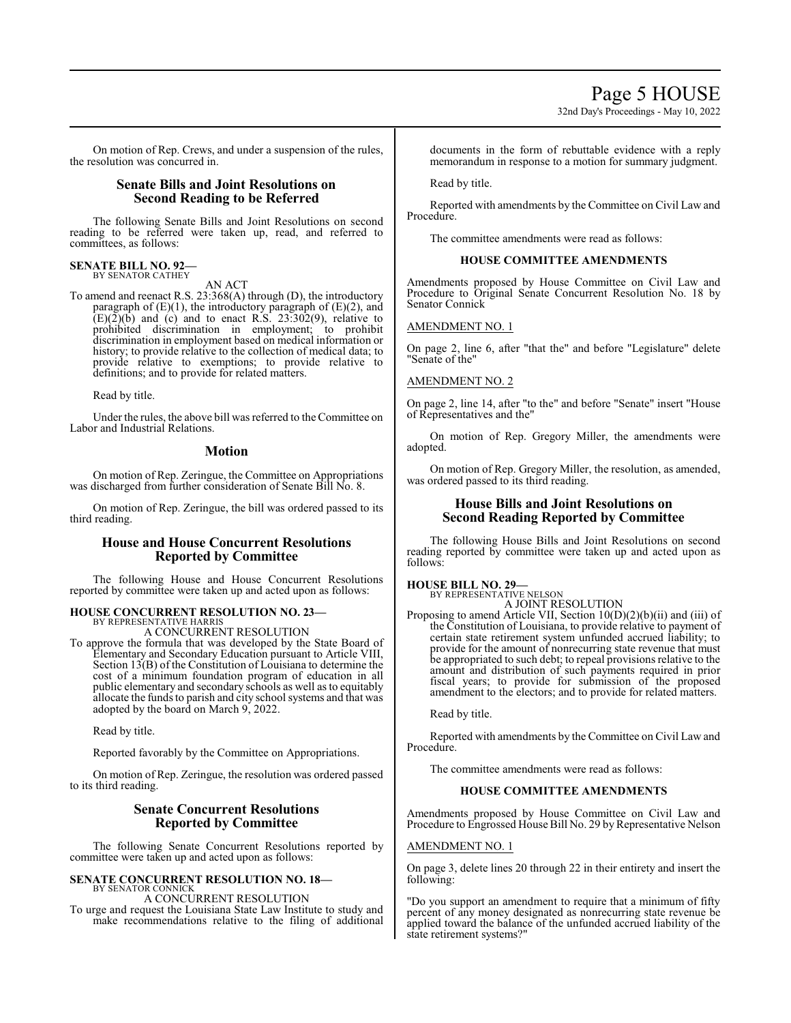32nd Day's Proceedings - May 10, 2022

On motion of Rep. Crews, and under a suspension of the rules, the resolution was concurred in.

# **Senate Bills and Joint Resolutions on Second Reading to be Referred**

The following Senate Bills and Joint Resolutions on second reading to be referred were taken up, read, and referred to committees, as follows:

# **SENATE BILL NO. 92—**<br>BY SENATOR CATHEY

AN ACT

To amend and reenact R.S. 23:368(A) through (D), the introductory paragraph of  $(E)(1)$ , the introductory paragraph of  $(E)(2)$ , and  $(E)(\overline{2})(\overline{b})$  and (c) and to enact R.S. 23:302(9), relative to prohibited discrimination in employment; to prohibit discrimination in employment based on medical information or history; to provide relative to the collection of medical data; to provide relative to exemptions; to provide relative to definitions; and to provide for related matters.

Read by title.

Under the rules, the above bill was referred to theCommittee on Labor and Industrial Relations.

# **Motion**

On motion of Rep. Zeringue, the Committee on Appropriations was discharged from further consideration of Senate Bill No. 8.

On motion of Rep. Zeringue, the bill was ordered passed to its third reading.

# **House and House Concurrent Resolutions Reported by Committee**

The following House and House Concurrent Resolutions reported by committee were taken up and acted upon as follows:

# **HOUSE CONCURRENT RESOLUTION NO. 23—** BY REPRESENTATIVE HARRIS

A CONCURRENT RESOLUTION

To approve the formula that was developed by the State Board of Elementary and Secondary Education pursuant to Article VIII, Section 13(B) of the Constitution of Louisiana to determine the cost of a minimum foundation program of education in all public elementary and secondary schools as well as to equitably allocate the fundsto parish and city school systems and that was adopted by the board on March 9, 2022.

Read by title.

Reported favorably by the Committee on Appropriations.

On motion of Rep. Zeringue, the resolution was ordered passed to its third reading.

# **Senate Concurrent Resolutions Reported by Committee**

The following Senate Concurrent Resolutions reported by committee were taken up and acted upon as follows:

#### **SENATE CONCURRENT RESOLUTION NO. 18—** BY SENATOR CONNICK A CONCURRENT RESOLUTION

To urge and request the Louisiana State Law Institute to study and make recommendations relative to the filing of additional documents in the form of rebuttable evidence with a reply memorandum in response to a motion for summary judgment.

Read by title.

Reported with amendments by the Committee on Civil Law and Procedure.

The committee amendments were read as follows:

# **HOUSE COMMITTEE AMENDMENTS**

Amendments proposed by House Committee on Civil Law and Procedure to Original Senate Concurrent Resolution No. 18 by Senator Connick

# AMENDMENT NO. 1

On page 2, line 6, after "that the" and before "Legislature" delete "Senate of the"

# AMENDMENT NO. 2

On page 2, line 14, after "to the" and before "Senate" insert "House of Representatives and the"

On motion of Rep. Gregory Miller, the amendments were adopted.

On motion of Rep. Gregory Miller, the resolution, as amended, was ordered passed to its third reading.

# **House Bills and Joint Resolutions on Second Reading Reported by Committee**

The following House Bills and Joint Resolutions on second reading reported by committee were taken up and acted upon as follows:

#### **HOUSE BILL NO. 29—** BY REPRESENTATIVE NELSON

A JOINT RESOLUTION

Proposing to amend Article VII, Section 10(D)(2)(b)(ii) and (iii) of the Constitution of Louisiana, to provide relative to payment of certain state retirement system unfunded accrued liability; to provide for the amount of nonrecurring state revenue that must be appropriated to such debt; to repeal provisions relative to the amount and distribution of such payments required in prior fiscal years; to provide for submission of the proposed amendment to the electors; and to provide for related matters.

Read by title.

Reported with amendments by the Committee on Civil Law and Procedure.

The committee amendments were read as follows:

# **HOUSE COMMITTEE AMENDMENTS**

Amendments proposed by House Committee on Civil Law and Procedure to Engrossed House Bill No. 29 by Representative Nelson

# AMENDMENT NO. 1

On page 3, delete lines 20 through 22 in their entirety and insert the following:

"Do you support an amendment to require that a minimum of fifty percent of any money designated as nonrecurring state revenue be applied toward the balance of the unfunded accrued liability of the state retirement systems?"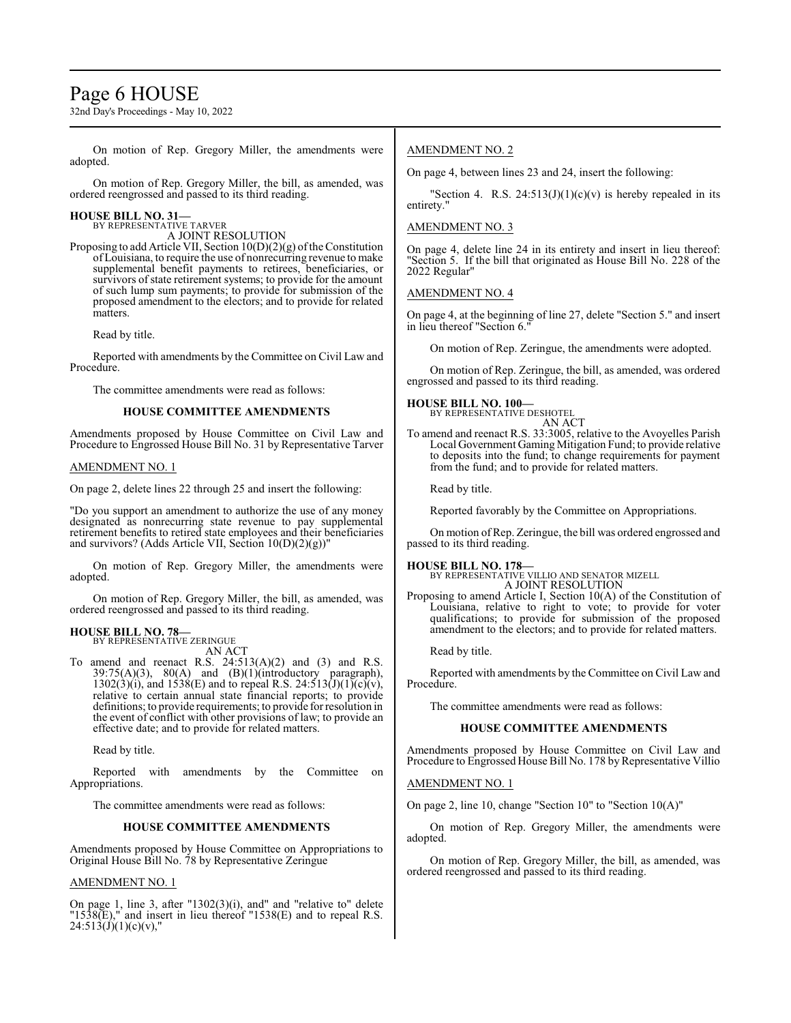# Page 6 HOUSE

32nd Day's Proceedings - May 10, 2022

On motion of Rep. Gregory Miller, the amendments were adopted.

On motion of Rep. Gregory Miller, the bill, as amended, was ordered reengrossed and passed to its third reading.

#### **HOUSE BILL NO. 31—**

BY REPRESENTATIVE TARVER A JOINT RESOLUTION

Proposing to add Article VII, Section  $10(D)(2)(g)$  of the Constitution of Louisiana, to require the use of nonrecurring revenue to make supplemental benefit payments to retirees, beneficiaries, or survivors of state retirement systems; to provide for the amount of such lump sum payments; to provide for submission of the proposed amendment to the electors; and to provide for related matters.

Read by title.

Reported with amendments by the Committee on Civil Law and Procedure.

The committee amendments were read as follows:

#### **HOUSE COMMITTEE AMENDMENTS**

Amendments proposed by House Committee on Civil Law and Procedure to Engrossed House Bill No. 31 by Representative Tarver

#### AMENDMENT NO. 1

On page 2, delete lines 22 through 25 and insert the following:

"Do you support an amendment to authorize the use of any money designated as nonrecurring state revenue to pay supplemental retirement benefits to retired state employees and their beneficiaries and survivors? (Adds Article VII, Section 10(D)(2)(g))"

On motion of Rep. Gregory Miller, the amendments were adopted.

On motion of Rep. Gregory Miller, the bill, as amended, was ordered reengrossed and passed to its third reading.

# **HOUSE BILL NO. 78—**

BY REPRESENTATIVE ZERINGUE AN ACT

To amend and reenact R.S.  $24:513(A)(2)$  and  $(3)$  and R.S.  $39:75(A)(3)$ ,  $80(A)$  and  $(B)(1)(introductory)$  paragraph),  $1302(3)(i)$ , and  $1538(E)$  and to repeal R.S.  $24:513(J)(1)(c)(v)$ , relative to certain annual state financial reports; to provide definitions; to provide requirements; to provide for resolution in the event of conflict with other provisions of law; to provide an effective date; and to provide for related matters.

Read by title.

Reported with amendments by the Committee on Appropriations.

The committee amendments were read as follows:

#### **HOUSE COMMITTEE AMENDMENTS**

Amendments proposed by House Committee on Appropriations to Original House Bill No. 78 by Representative Zeringue

#### AMENDMENT NO. 1

On page 1, line 3, after "1302(3)(i), and" and "relative to" delete  $"1538(E),"$  and insert in lieu thereof  $"1538(E)$  and to repeal R.S.  $24:513(J)(1)(c)(v)$ ,

#### AMENDMENT NO. 2

On page 4, between lines 23 and 24, insert the following:

"Section 4. R.S.  $24:513(J)(1)(c)(v)$  is hereby repealed in its entirety."

#### AMENDMENT NO. 3

On page 4, delete line 24 in its entirety and insert in lieu thereof: "Section 5. If the bill that originated as House Bill No. 228 of the 2022 Regular"

### AMENDMENT NO. 4

On page 4, at the beginning of line 27, delete "Section 5." and insert in lieu thereof "Section 6.

On motion of Rep. Zeringue, the amendments were adopted.

On motion of Rep. Zeringue, the bill, as amended, was ordered engrossed and passed to its third reading.

**HOUSE BILL NO. 100—** BY REPRESENTATIVE DESHOTEL

AN ACT

To amend and reenact R.S. 33:3005, relative to the Avoyelles Parish Local Government Gaming Mitigation Fund; to provide relative to deposits into the fund; to change requirements for payment from the fund; and to provide for related matters.

Read by title.

Reported favorably by the Committee on Appropriations.

On motion ofRep. Zeringue, the bill was ordered engrossed and passed to its third reading.

# **HOUSE BILL NO. 178—** BY REPRESENTATIVE VILLIO AND SENATOR MIZELL

A JOINT RESOLUTION

Proposing to amend Article I, Section 10(A) of the Constitution of Louisiana, relative to right to vote; to provide for voter qualifications; to provide for submission of the proposed amendment to the electors; and to provide for related matters.

Read by title.

Reported with amendments by the Committee on Civil Law and Procedure.

The committee amendments were read as follows:

#### **HOUSE COMMITTEE AMENDMENTS**

Amendments proposed by House Committee on Civil Law and Procedure to Engrossed House Bill No. 178 by Representative Villio

#### AMENDMENT NO. 1

On page 2, line 10, change "Section 10" to "Section 10(A)"

On motion of Rep. Gregory Miller, the amendments were adopted.

On motion of Rep. Gregory Miller, the bill, as amended, was ordered reengrossed and passed to its third reading.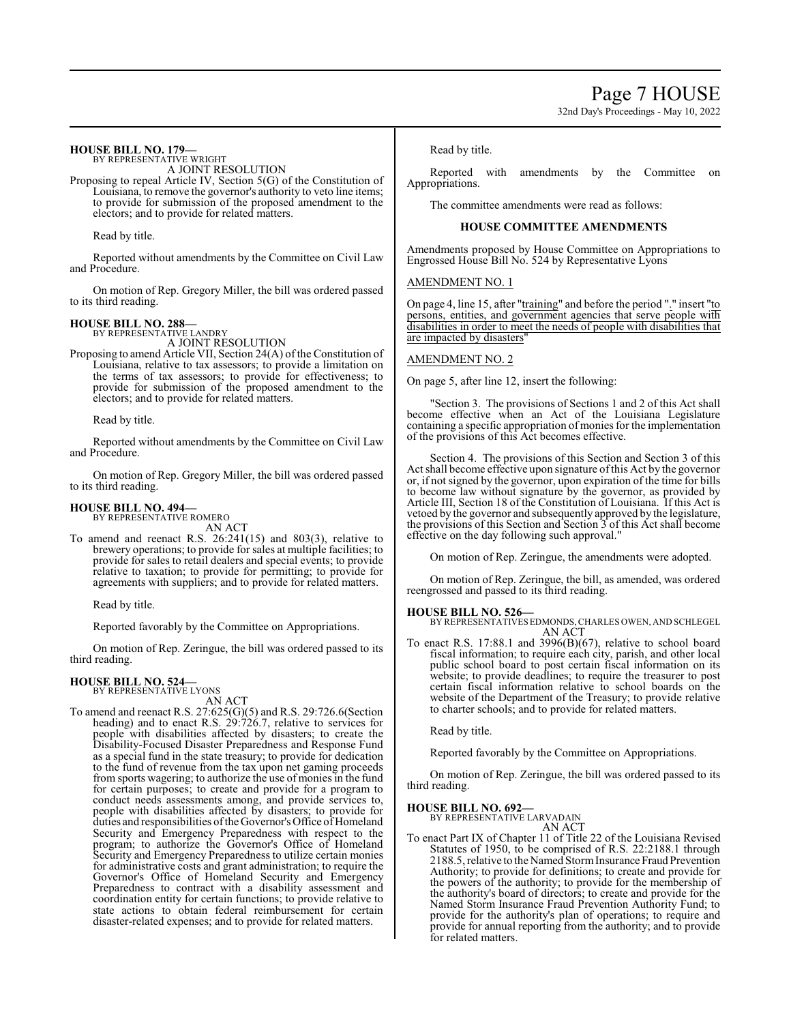#### **HOUSE BILL NO. 179—** BY REPRESENTATIVE WRIGHT

A JOINT RESOLUTION

Proposing to repeal Article IV, Section 5(G) of the Constitution of Louisiana, to remove the governor's authority to veto line items; to provide for submission of the proposed amendment to the electors; and to provide for related matters.

Read by title.

Reported without amendments by the Committee on Civil Law and Procedure.

On motion of Rep. Gregory Miller, the bill was ordered passed to its third reading.

### **HOUSE BILL NO. 288—**

BY REPRESENTATIVE LANDRY A JOINT RESOLUTION

Proposing to amend Article VII, Section 24(A) of the Constitution of Louisiana, relative to tax assessors; to provide a limitation on the terms of tax assessors; to provide for effectiveness; to provide for submission of the proposed amendment to the electors; and to provide for related matters.

Read by title.

Reported without amendments by the Committee on Civil Law and Procedure.

On motion of Rep. Gregory Miller, the bill was ordered passed to its third reading.

#### **HOUSE BILL NO. 494—**

BY REPRESENTATIVE ROMERO AN ACT

To amend and reenact R.S. 26:241(15) and 803(3), relative to brewery operations; to provide for sales at multiple facilities; to provide for sales to retail dealers and special events; to provide relative to taxation; to provide for permitting; to provide for agreements with suppliers; and to provide for related matters.

Read by title.

Reported favorably by the Committee on Appropriations.

On motion of Rep. Zeringue, the bill was ordered passed to its third reading.

#### **HOUSE BILL NO. 524—** BY REPRESENTATIVE LYONS

AN ACT

To amend and reenact R.S. 27:625(G)(5) and R.S. 29:726.6(Section heading) and to enact R.S. 29:726.7, relative to services for people with disabilities affected by disasters; to create the Disability-Focused Disaster Preparedness and Response Fund as a special fund in the state treasury; to provide for dedication to the fund of revenue from the tax upon net gaming proceeds from sports wagering; to authorize the use of monies in the fund for certain purposes; to create and provide for a program to conduct needs assessments among, and provide services to, people with disabilities affected by disasters; to provide for duties and responsibilities of the Governor's Office of Homeland Security and Emergency Preparedness with respect to the program; to authorize the Governor's Office of Homeland Security and Emergency Preparedness to utilize certain monies for administrative costs and grant administration; to require the Governor's Office of Homeland Security and Emergency Preparedness to contract with a disability assessment and coordination entity for certain functions; to provide relative to state actions to obtain federal reimbursement for certain disaster-related expenses; and to provide for related matters.

Read by title.

Reported with amendments by the Committee on Appropriations.

The committee amendments were read as follows:

#### **HOUSE COMMITTEE AMENDMENTS**

Amendments proposed by House Committee on Appropriations to Engrossed House Bill No. 524 by Representative Lyons

#### AMENDMENT NO. 1

On page 4, line 15, after "training" and before the period "." insert "to persons, entities, and government agencies that serve people with disabilities in order to meet the needs of people with disabilities that are impacted by disasters'

#### AMENDMENT NO. 2

On page 5, after line 12, insert the following:

"Section 3. The provisions of Sections 1 and 2 of this Act shall become effective when an Act of the Louisiana Legislature containing a specific appropriation of monies for the implementation of the provisions of this Act becomes effective.

Section 4. The provisions of this Section and Section 3 of this Act shall become effective upon signature ofthis Act by the governor or, if not signed by the governor, upon expiration of the time for bills to become law without signature by the governor, as provided by Article III, Section 18 of the Constitution of Louisiana. If this Act is vetoed by the governor and subsequently approved by the legislature, the provisions of this Section and Section 3 of this Act shall become effective on the day following such approval."

On motion of Rep. Zeringue, the amendments were adopted.

On motion of Rep. Zeringue, the bill, as amended, was ordered reengrossed and passed to its third reading.

**HOUSE BILL NO. 526—** BY REPRESENTATIVESEDMONDS,CHARLES OWEN, AND SCHLEGEL AN ACT

To enact R.S. 17:88.1 and 3996(B)(67), relative to school board fiscal information; to require each city, parish, and other local public school board to post certain fiscal information on its website; to provide deadlines; to require the treasurer to post certain fiscal information relative to school boards on the website of the Department of the Treasury; to provide relative to charter schools; and to provide for related matters.

Read by title.

Reported favorably by the Committee on Appropriations.

On motion of Rep. Zeringue, the bill was ordered passed to its third reading.

#### **HOUSE BILL NO. 692—**

BY REPRESENTATIVE LARVADAIN AN ACT

To enact Part IX of Chapter 11 of Title 22 of the Louisiana Revised Statutes of 1950, to be comprised of R.S. 22:2188.1 through 2188.5, relative to the Named Storm Insurance Fraud Prevention Authority; to provide for definitions; to create and provide for the powers of the authority; to provide for the membership of the authority's board of directors; to create and provide for the Named Storm Insurance Fraud Prevention Authority Fund; to provide for the authority's plan of operations; to require and provide for annual reporting from the authority; and to provide for related matters.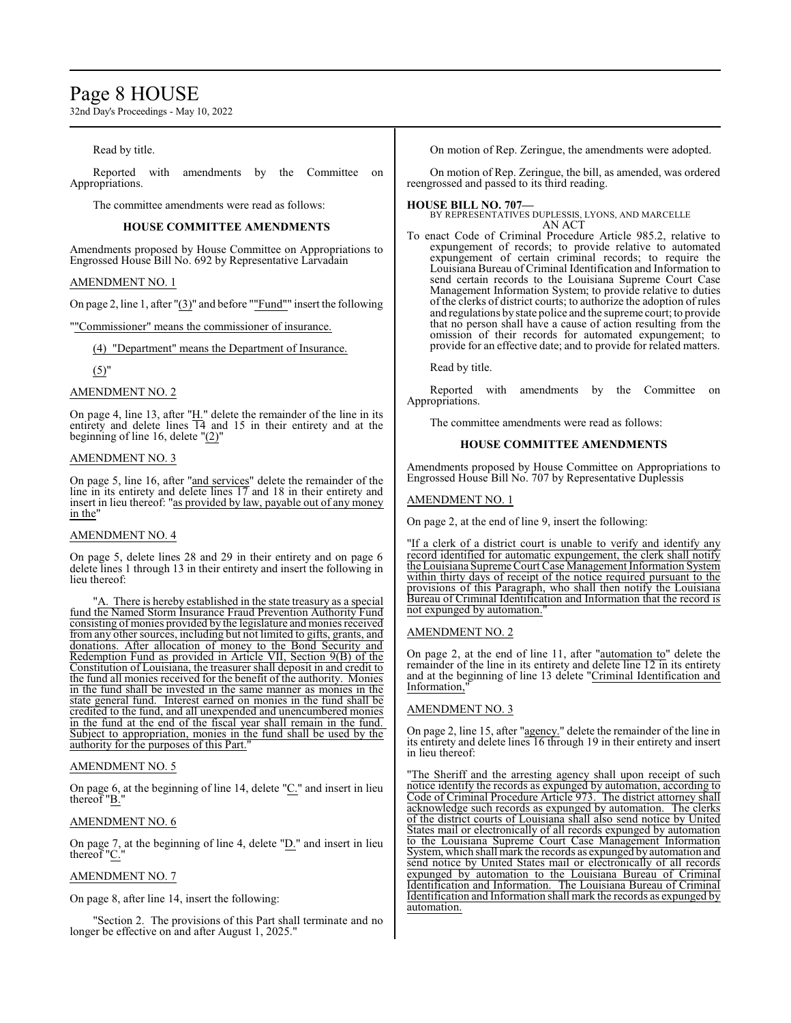# Page 8 HOUSE

32nd Day's Proceedings - May 10, 2022

### Read by title.

Reported with amendments by the Committee on Appropriations.

The committee amendments were read as follows:

#### **HOUSE COMMITTEE AMENDMENTS**

Amendments proposed by House Committee on Appropriations to Engrossed House Bill No. 692 by Representative Larvadain

# AMENDMENT NO. 1

On page 2, line 1, after "(3)" and before ""Fund"" insert the following

""Commissioner" means the commissioner of insurance.

(4) "Department" means the Department of Insurance.

#### $(5)$ "

#### AMENDMENT NO. 2

On page 4, line 13, after " $H$ ." delete the remainder of the line in its entirety and delete lines  $\overline{14}$  and 15 in their entirety and at the beginning of line 16, delete "(2)"

#### AMENDMENT NO. 3

On page 5, line 16, after "and services" delete the remainder of the line in its entirety and delete lines 17 and 18 in their entirety and insert in lieu thereof: "as provided by law, payable out of any money in the"

#### AMENDMENT NO. 4

On page 5, delete lines 28 and 29 in their entirety and on page 6 delete lines 1 through 13 in their entirety and insert the following in lieu thereof:

There is hereby established in the state treasury as a special fund the Named Storm Insurance Fraud Prevention Authority Fund consisting of monies provided by the legislature and monies received from any other sources, including but not limited to gifts, grants, and donations. After allocation of money to the Bond Security and Redemption Fund as provided in Article VII, Section 9(B) of the Constitution of Louisiana, the treasurer shall deposit in and credit to the fund all monies received for the benefit of the authority. Monies in the fund shall be invested in the same manner as monies in the state general fund. Interest earned on monies in the fund shall be credited to the fund, and all unexpended and unencumbered monies in the fund at the end of the fiscal year shall remain in the fund. Subject to appropriation, monies in the fund shall be used by the authority for the purposes of this Part."

#### AMENDMENT NO. 5

On page 6, at the beginning of line 14, delete "C." and insert in lieu thereof "B."

# AMENDMENT NO. 6

On page 7, at the beginning of line 4, delete "D." and insert in lieu thereof "C."

# AMENDMENT NO. 7

On page 8, after line 14, insert the following:

"Section 2. The provisions of this Part shall terminate and no longer be effective on and after August 1, 2025."

On motion of Rep. Zeringue, the amendments were adopted.

On motion of Rep. Zeringue, the bill, as amended, was ordered reengrossed and passed to its third reading.

# **HOUSE BILL NO. 707—**

BY REPRESENTATIVES DUPLESSIS, LYONS, AND MARCELLE AN ACT

To enact Code of Criminal Procedure Article 985.2, relative to expungement of records; to provide relative to automated expungement of certain criminal records; to require the Louisiana Bureau of Criminal Identification and Information to send certain records to the Louisiana Supreme Court Case Management Information System; to provide relative to duties of the clerks of district courts; to authorize the adoption of rules and regulations by state police and the supreme court; to provide that no person shall have a cause of action resulting from the omission of their records for automated expungement; to provide for an effective date; and to provide for related matters.

Read by title.

Reported with amendments by the Committee on Appropriations.

The committee amendments were read as follows:

#### **HOUSE COMMITTEE AMENDMENTS**

Amendments proposed by House Committee on Appropriations to Engrossed House Bill No. 707 by Representative Duplessis

#### AMENDMENT NO. 1

On page 2, at the end of line 9, insert the following:

"If a clerk of a district court is unable to verify and identify any record identified for automatic expungement, the clerk shall notify the Louisiana Supreme Court Case Management Information System within thirty days of receipt of the notice required pursuant to the provisions of this Paragraph, who shall then notify the Louisiana Bureau of Criminal Identification and Information that the record is not expunged by automation."

#### AMENDMENT NO. 2

On page 2, at the end of line 11, after "automation to" delete the remainder of the line in its entirety and delete line 12 in its entirety and at the beginning of line 13 delete "Criminal Identification and Information,

# AMENDMENT NO. 3

On page 2, line 15, after "agency." delete the remainder of the line in its entirety and delete lines 16 through 19 in their entirety and insert in lieu thereof:

The Sheriff and the arresting agency shall upon receipt of such notice identify the records as expunged by automation, according to Code of Criminal Procedure Article 973. The district attorney shall acknowledge such records as expunged by automation. The clerks of the district courts of Louisiana shall also send notice by United States mail or electronically of all records expunged by automation to the Louisiana Supreme Court Case Management Information System, which shall mark the records as expunged by automation and send notice by United States mail or electronically of all records expunged by automation to the Louisiana Bureau of Criminal Identification and Information. The Louisiana Bureau of Criminal Identification and Information shall mark the records as expunged by automation.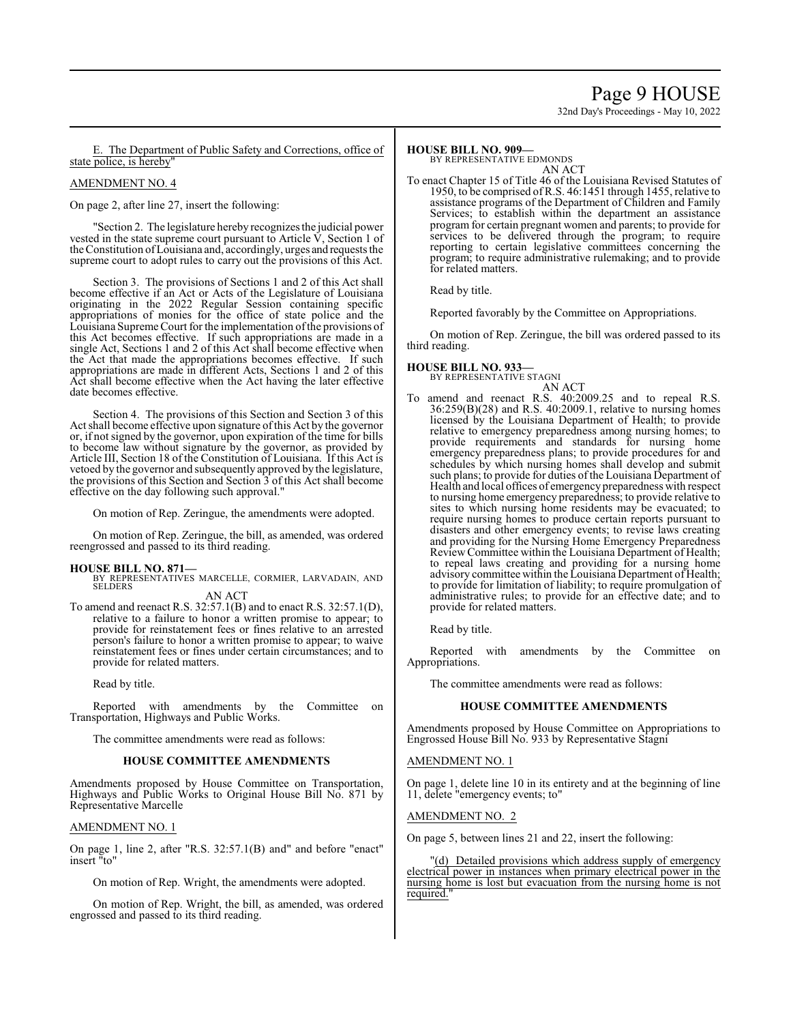# Page 9 HOUSE

32nd Day's Proceedings - May 10, 2022

The Department of Public Safety and Corrections, office of state police, is hereby

#### AMENDMENT NO. 4

On page 2, after line 27, insert the following:

"Section 2. The legislature hereby recognizes the judicial power vested in the state supreme court pursuant to Article  $\dot{V}$ , Section 1 of the Constitution ofLouisiana and, accordingly, urges and requests the supreme court to adopt rules to carry out the provisions of this Act.

Section 3. The provisions of Sections 1 and 2 of this Act shall become effective if an Act or Acts of the Legislature of Louisiana originating in the 2022 Regular Session containing specific appropriations of monies for the office of state police and the Louisiana Supreme Court for the implementation ofthe provisions of this Act becomes effective. If such appropriations are made in a single Act, Sections 1 and 2 of this Act shall become effective when the Act that made the appropriations becomes effective. If such appropriations are made in different Acts, Sections 1 and 2 of this Act shall become effective when the Act having the later effective date becomes effective.

Section 4. The provisions of this Section and Section 3 of this Act shall become effective upon signature of this Act by the governor or, if not signed by the governor, upon expiration of the time for bills to become law without signature by the governor, as provided by Article III, Section 18 of the Constitution of Louisiana. If this Act is vetoed by the governor and subsequently approved by the legislature, the provisions of this Section and Section 3 of this Act shall become effective on the day following such approval."

On motion of Rep. Zeringue, the amendments were adopted.

On motion of Rep. Zeringue, the bill, as amended, was ordered reengrossed and passed to its third reading.

#### **HOUSE BILL NO. 871—**

BY REPRESENTATIVES MARCELLE, CORMIER, LARVADAIN, AND SELDERS AN ACT

To amend and reenact R.S. 32:57.1(B) and to enact R.S. 32:57.1(D), relative to a failure to honor a written promise to appear; to provide for reinstatement fees or fines relative to an arrested person's failure to honor a written promise to appear; to waive reinstatement fees or fines under certain circumstances; and to provide for related matters.

Read by title.

Reported with amendments by the Committee on Transportation, Highways and Public Works.

The committee amendments were read as follows:

# **HOUSE COMMITTEE AMENDMENTS**

Amendments proposed by House Committee on Transportation, Highways and Public Works to Original House Bill No. 871 by Representative Marcelle

#### AMENDMENT NO. 1

On page 1, line 2, after "R.S. 32:57.1(B) and" and before "enact" insert "to"

On motion of Rep. Wright, the amendments were adopted.

On motion of Rep. Wright, the bill, as amended, was ordered engrossed and passed to its third reading.

#### **HOUSE BILL NO. 909—**

BY REPRESENTATIVE EDMONDS AN ACT

To enact Chapter 15 of Title 46 of the Louisiana Revised Statutes of 1950, to be comprised of R.S. 46:1451 through 1455, relative to assistance programs of the Department of Children and Family Services; to establish within the department an assistance program for certain pregnant women and parents; to provide for services to be delivered through the program; to require reporting to certain legislative committees concerning the program; to require administrative rulemaking; and to provide for related matters.

Read by title.

Reported favorably by the Committee on Appropriations.

On motion of Rep. Zeringue, the bill was ordered passed to its third reading.

# **HOUSE BILL NO. 933—**

BY REPRESENTATIVE STAGNI

#### AN ACT

To amend and reenact R.S. 40:2009.25 and to repeal R.S. 36:259(B)(28) and R.S. 40:2009.1, relative to nursing homes licensed by the Louisiana Department of Health; to provide relative to emergency preparedness among nursing homes; to provide requirements and standards for nursing home emergency preparedness plans; to provide procedures for and schedules by which nursing homes shall develop and submit such plans; to provide for duties ofthe Louisiana Department of Health and local offices of emergency preparedness with respect to nursing home emergency preparedness; to provide relative to sites to which nursing home residents may be evacuated; to require nursing homes to produce certain reports pursuant to disasters and other emergency events; to revise laws creating and providing for the Nursing Home Emergency Preparedness Review Committee within the Louisiana Department of Health; to repeal laws creating and providing for a nursing home advisory committee within the Louisiana Department of Health; to provide for limitation of liability; to require promulgation of administrative rules; to provide for an effective date; and to provide for related matters.

Read by title.

Reported with amendments by the Committee on Appropriations.

The committee amendments were read as follows:

#### **HOUSE COMMITTEE AMENDMENTS**

Amendments proposed by House Committee on Appropriations to Engrossed House Bill No. 933 by Representative Stagni

#### AMENDMENT NO. 1

On page 1, delete line 10 in its entirety and at the beginning of line 11, delete "emergency events; to"

#### AMENDMENT NO. 2

On page 5, between lines 21 and 22, insert the following:

"(d) Detailed provisions which address supply of emergency electrical power in instances when primary electrical power in the nursing home is lost but evacuation from the nursing home is not required.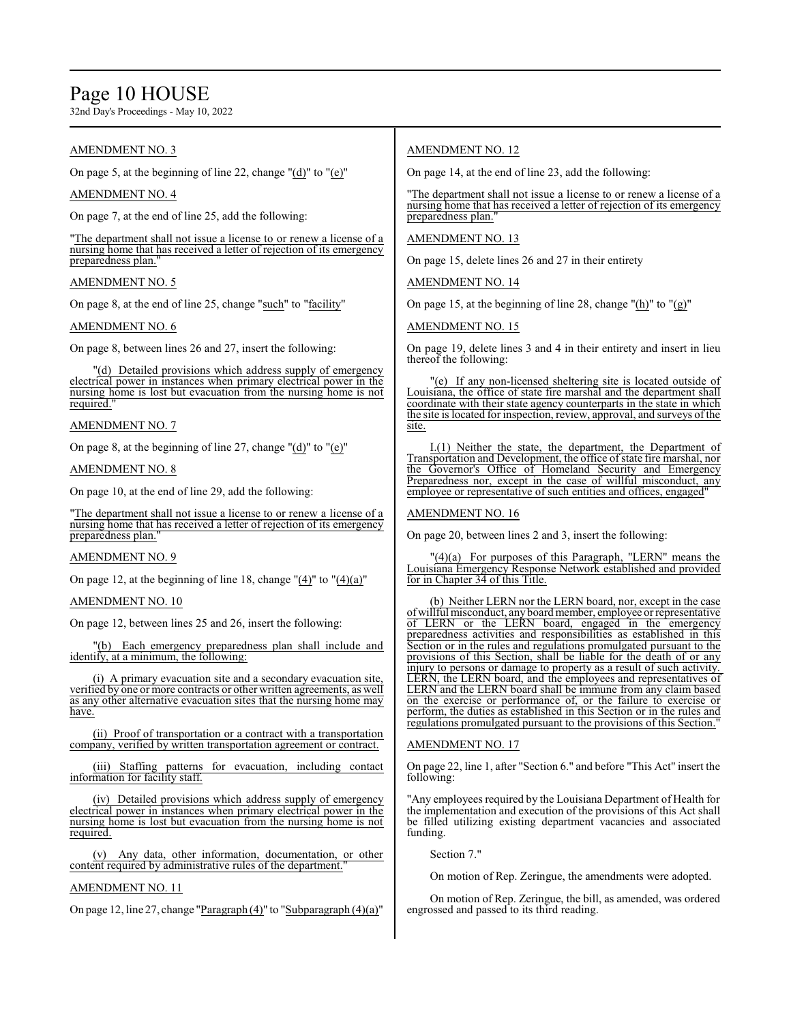# Page 10 HOUSE

32nd Day's Proceedings - May 10, 2022

# AMENDMENT NO. 3

On page 5, at the beginning of line 22, change "(d)" to "(e)"

# AMENDMENT NO. 4

On page 7, at the end of line 25, add the following:

"The department shall not issue a license to or renew a license of a nursing home that has received a letter of rejection of its emergency preparedness plan.

# AMENDMENT NO. 5

On page 8, at the end of line 25, change "such" to "facility"

#### AMENDMENT NO. 6

On page 8, between lines 26 and 27, insert the following:

"(d) Detailed provisions which address supply of emergency electrical power in instances when primary electrical power in the nursing home is lost but evacuation from the nursing home is not required.

#### AMENDMENT NO. 7

On page 8, at the beginning of line 27, change "(d)" to "(e)"

#### AMENDMENT NO. 8

On page 10, at the end of line 29, add the following:

"The department shall not issue a license to or renew a license of a nursing home that has received a letter of rejection of its emergency preparedness plan."

#### AMENDMENT NO. 9

On page 12, at the beginning of line 18, change " $(4)$ " to " $(4)(a)$ "

#### AMENDMENT NO. 10

On page 12, between lines 25 and 26, insert the following:

"(b) Each emergency preparedness plan shall include and identify, at a minimum, the following:

(i) A primary evacuation site and a secondary evacuation site, verified by one or more contracts or other written agreements, as well as any other alternative evacuation sites that the nursing home may have.

(ii) Proof of transportation or a contract with a transportation company, verified by written transportation agreement or contract.

(iii) Staffing patterns for evacuation, including contact information for facility staff.

(iv) Detailed provisions which address supply of emergency electrical power in instances when primary electrical power in the nursing home is lost but evacuation from the nursing home is not required.

(v) Any data, other information, documentation, or other content required by administrative rules of the department."

# AMENDMENT NO. 11

On page 12, line 27, change "Paragraph (4)" to "Subparagraph (4)(a)"

# AMENDMENT NO. 12

On page 14, at the end of line 23, add the following:

"The department shall not issue a license to or renew a license of a nursing home that has received a letter of rejection of its emergency preparedness plan."

### AMENDMENT NO. 13

On page 15, delete lines 26 and 27 in their entirety

AMENDMENT NO. 14

On page 15, at the beginning of line 28, change "(h)" to "(g)"

#### AMENDMENT NO. 15

On page 19, delete lines 3 and 4 in their entirety and insert in lieu thereof the following:

"(e) If any non-licensed sheltering site is located outside of Louisiana, the office of state fire marshal and the department shall coordinate with their state agency counterparts in the state in which the site is located for inspection, review, approval, and surveys ofthe site.

I.(1) Neither the state, the department, the Department of Transportation and Development, the office ofstate fire marshal, nor the Governor's Office of Homeland Security and Emergency Preparedness nor, except in the case of willful misconduct, any employee or representative of such entities and offices, engaged

#### AMENDMENT NO. 16

On page 20, between lines 2 and 3, insert the following:

"(4)(a) For purposes of this Paragraph, "LERN" means the Louisiana Emergency Response Network established and provided for in Chapter 34 of this Title.

(b) Neither LERN nor the LERN board, nor, except in the case ofwillful misconduct, anyboardmember, employee or representative of LERN or the LERN board, engaged in the emergency preparedness activities and responsibilities as established in this Section or in the rules and regulations promulgated pursuant to the provisions of this Section, shall be liable for the death of or any injury to persons or damage to property as a result of such activity. LERN, the LERN board, and the employees and representatives of LERN and the LERN board shall be immune from any claim based on the exercise or performance of, or the failure to exercise or perform, the duties as established in this Section or in the rules and regulations promulgated pursuant to the provisions of this Section.

# AMENDMENT NO. 17

On page 22, line 1, after "Section 6." and before "This Act" insert the following:

"Any employees required by the Louisiana Department of Health for the implementation and execution of the provisions of this Act shall be filled utilizing existing department vacancies and associated funding.

Section 7."

On motion of Rep. Zeringue, the amendments were adopted.

On motion of Rep. Zeringue, the bill, as amended, was ordered engrossed and passed to its third reading.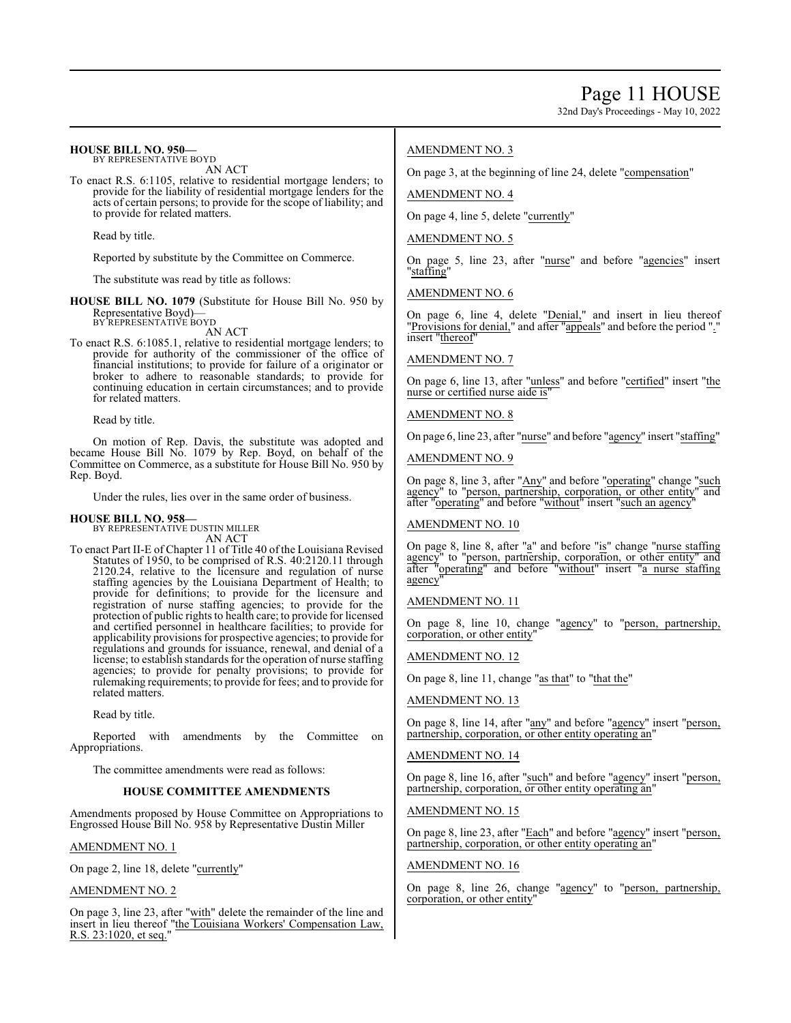32nd Day's Proceedings - May 10, 2022

#### **HOUSE BILL NO. 950—** BY REPRESENTATIVE BOYD

AN ACT

To enact R.S. 6:1105, relative to residential mortgage lenders; to provide for the liability of residential mortgage lenders for the acts of certain persons; to provide for the scope of liability; and to provide for related matters.

Read by title.

Reported by substitute by the Committee on Commerce.

The substitute was read by title as follows:

**HOUSE BILL NO. 1079** (Substitute for House Bill No. 950 by Representative Boyd)— BY REPRESENTATIVE BOYD

AN ACT

To enact R.S. 6:1085.1, relative to residential mortgage lenders; to provide for authority of the commissioner of the office of financial institutions; to provide for failure of a originator or broker to adhere to reasonable standards; to provide for continuing education in certain circumstances; and to provide for related matters.

Read by title.

On motion of Rep. Davis, the substitute was adopted and became House Bill No. 1079 by Rep. Boyd, on behalf of the Committee on Commerce, as a substitute for House Bill No. 950 by Rep. Boyd.

Under the rules, lies over in the same order of business.

#### **HOUSE BILL NO. 958—**

BY REPRESENTATIVE DUSTIN MILLER AN ACT

To enact Part II-E of Chapter 11 of Title 40 of the Louisiana Revised Statutes of 1950, to be comprised of R.S. 40:2120.11 through 2120.24, relative to the licensure and regulation of nurse staffing agencies by the Louisiana Department of Health; to provide for definitions; to provide for the licensure and registration of nurse staffing agencies; to provide for the protection of public rights to health care; to provide for licensed and certified personnel in healthcare facilities; to provide for applicability provisions for prospective agencies; to provide for regulations and grounds for issuance, renewal, and denial of a license; to establish standards for the operation of nurse staffing agencies; to provide for penalty provisions; to provide for rulemaking requirements; to provide for fees; and to provide for related matters.

Read by title.

Reported with amendments by the Committee on Appropriations.

The committee amendments were read as follows:

#### **HOUSE COMMITTEE AMENDMENTS**

Amendments proposed by House Committee on Appropriations to Engrossed House Bill No. 958 by Representative Dustin Miller

### AMENDMENT NO. 1

On page 2, line 18, delete "currently"

AMENDMENT NO. 2

On page 3, line 23, after "with" delete the remainder of the line and insert in lieu thereof "the Louisiana Workers' Compensation Law, R.S. 23:1020, et seq."

# AMENDMENT NO. 3

On page 3, at the beginning of line 24, delete "compensation"

AMENDMENT NO. 4

On page 4, line 5, delete "currently"

#### AMENDMENT NO. 5

On page 5, line 23, after "nurse" and before "agencies" insert "staffing"

AMENDMENT NO. 6

On page 6, line 4, delete "Denial," and insert in lieu thereof "Provisions for denial," and after "appeals" and before the period "." insert "thereof"

#### AMENDMENT NO. 7

On page 6, line 13, after "unless" and before "certified" insert "the nurse or certified nurse aide is"

#### AMENDMENT NO. 8

On page 6, line 23, after "nurse" and before "agency" insert "staffing"

AMENDMENT NO. 9

On page 8, line 3, after "Any" and before "operating" change "such agency" to "person, partnership, corporation, or other entity" and after "operating" and before "without" insert "such an agency"

#### AMENDMENT NO. 10

On page 8, line 8, after "a" and before "is" change "nurse staffing agency" to "person, partnership, corporation, or other entity" and after "operating" and before "without" insert "a nurse staffing agency"

### AMENDMENT NO. 11

On page 8, line 10, change "agency" to "person, partnership, corporation, or other entity"

#### AMENDMENT NO. 12

On page 8, line 11, change "as that" to "that the"

# AMENDMENT NO. 13

On page 8, line 14, after "any" and before "agency" insert "person, partnership, corporation, or other entity operating an"

#### AMENDMENT NO. 14

On page 8, line 16, after "such" and before "agency" insert "person, partnership, corporation, or other entity operating an"

### AMENDMENT NO. 15

On page 8, line 23, after "Each" and before "agency" insert "person, partnership, corporation, or other entity operating an"

#### AMENDMENT NO. 16

On page 8, line 26, change "agency" to "person, partnership, corporation, or other entity"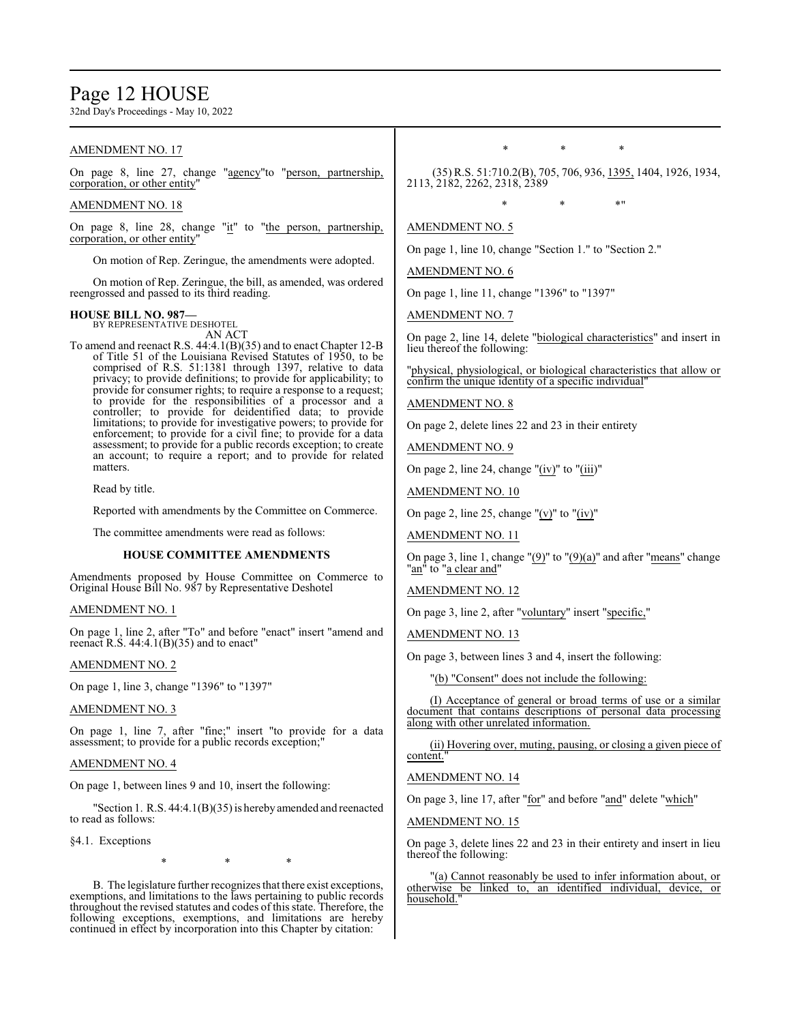# Page 12 HOUSE

32nd Day's Proceedings - May 10, 2022

# AMENDMENT NO. 17

On page 8, line 27, change "agency"to "person, partnership, corporation, or other entity"

#### AMENDMENT NO. 18

On page 8, line 28, change "it" to "the person, partnership, corporation, or other entity"

On motion of Rep. Zeringue, the amendments were adopted.

On motion of Rep. Zeringue, the bill, as amended, was ordered reengrossed and passed to its third reading.

#### **HOUSE BILL NO. 987—**

BY REPRESENTATIVE DESHOTEL AN ACT

To amend and reenact R.S. 44:4.1(B)(35) and to enact Chapter 12-B of Title 51 of the Louisiana Revised Statutes of 1950, to be comprised of R.S. 51:1381 through 1397, relative to data privacy; to provide definitions; to provide for applicability; to provide for consumer rights; to require a response to a request; to provide for the responsibilities of a processor and a controller; to provide for deidentified data; to provide limitations; to provide for investigative powers; to provide for enforcement; to provide for a civil fine; to provide for a data assessment; to provide for a public records exception; to create an account; to require a report; and to provide for related matters.

Read by title.

Reported with amendments by the Committee on Commerce.

The committee amendments were read as follows:

#### **HOUSE COMMITTEE AMENDMENTS**

Amendments proposed by House Committee on Commerce to Original House Bill No. 987 by Representative Deshotel

#### AMENDMENT NO. 1

On page 1, line 2, after "To" and before "enact" insert "amend and reenact R.S.  $44:4.1(B)(35)$  and to enact"

#### AMENDMENT NO. 2

On page 1, line 3, change "1396" to "1397"

AMENDMENT NO. 3

On page 1, line 7, after "fine;" insert "to provide for a data assessment; to provide for a public records exception;"

#### AMENDMENT NO. 4

On page 1, between lines 9 and 10, insert the following:

"Section 1. R.S. 44:4.1(B)(35) is herebyamended and reenacted to read as follows:

§4.1. Exceptions

\* \* \*

B. The legislature further recognizes that there exist exceptions, exemptions, and limitations to the laws pertaining to public records throughout the revised statutes and codes of this state. Therefore, the following exceptions, exemptions, and limitations are hereby continued in effect by incorporation into this Chapter by citation:

\* \* \*

(35) R.S. 51:710.2(B), 705, 706, 936, 1395, 1404, 1926, 1934, 2113, 2182, 2262, 2318, 2389

\* \* \* \* \* <mark>\*</mark>

#### AMENDMENT NO. 5

On page 1, line 10, change "Section 1." to "Section 2."

AMENDMENT NO. 6

On page 1, line 11, change "1396" to "1397"

AMENDMENT NO. 7

On page 2, line 14, delete "biological characteristics" and insert in lieu thereof the following:

"physical, physiological, or biological characteristics that allow or confirm the unique identity of a specific individual"

#### AMENDMENT NO. 8

On page 2, delete lines 22 and 23 in their entirety

AMENDMENT NO. 9

On page 2, line 24, change "(iv)" to "(iii)"

AMENDMENT NO. 10

On page 2, line 25, change "(v)" to "(iv)"

AMENDMENT NO. 11

On page 3, line 1, change " $(9)$ " to " $(9)(a)$ " and after "means" change "an" to "a clear and"

#### AMENDMENT NO. 12

On page 3, line 2, after "voluntary" insert "specific,"

AMENDMENT NO. 13

On page 3, between lines 3 and 4, insert the following:

"(b) "Consent" does not include the following:

(I) Acceptance of general or broad terms of use or a similar document that contains descriptions of personal data processing along with other unrelated information.

(ii) Hovering over, muting, pausing, or closing a given piece of content."

#### AMENDMENT NO. 14

On page 3, line 17, after "for" and before "and" delete "which"

#### AMENDMENT NO. 15

On page 3, delete lines 22 and 23 in their entirety and insert in lieu thereof the following:

"(a) Cannot reasonably be used to infer information about, or otherwise be linked to, an identified individual, device, or household."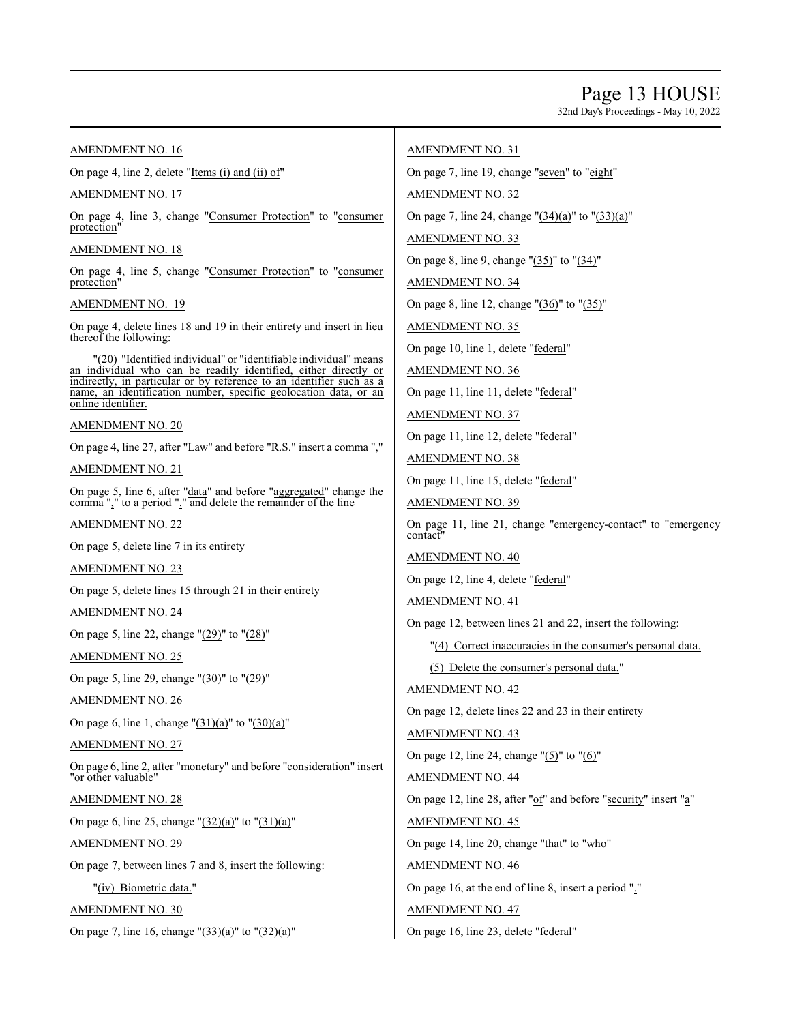# Page 13 HOUSE

32nd Day's Proceedings - May 10, 2022

### AMENDMENT NO. 16

On page 4, line 2, delete "Items (i) and (ii) of"

# AMENDMENT NO. 17

On page 4, line 3, change "Consumer Protection" to "consumer protection"

#### AMENDMENT NO. 18

On page 4, line 5, change "Consumer Protection" to "consumer protection"

# AMENDMENT NO. 19

On page 4, delete lines 18 and 19 in their entirety and insert in lieu thereof the following:

"(20) "Identified individual" or "identifiable individual" means an individual who can be readily identified, either directly or indirectly, in particular or by reference to an identifier such as a name, an identification number, specific geolocation data, or an online identifier.

# AMENDMENT NO. 20

On page 4, line 27, after "Law" and before "R.S." insert a comma ","

AMENDMENT NO. 21

On page 5, line 6, after "data" and before "aggregated" change the comma "," to a period "." and delete the remainder of the line

AMENDMENT NO. 22

On page 5, delete line 7 in its entirety

AMENDMENT NO. 23

On page 5, delete lines 15 through 21 in their entirety

# AMENDMENT NO. 24

On page 5, line 22, change "(29)" to "(28)"

# AMENDMENT NO. 25

On page 5, line 29, change "(30)" to "(29)"

AMENDMENT NO. 26

On page 6, line 1, change "(31)(a)" to "(30)(a)"

AMENDMENT NO. 27

On page 6, line 2, after "monetary" and before "consideration" insert "<u>or other valuable</u>"

AMENDMENT NO. 28

On page 6, line 25, change "(32)(a)" to "(31)(a)"

AMENDMENT NO. 29

On page 7, between lines 7 and 8, insert the following:

"(iv) Biometric data."

AMENDMENT NO. 30

On page 7, line 16, change " $(33)(a)$ " to " $(32)(a)$ "

# AMENDMENT NO. 31

On page 7, line 19, change "seven" to "eight"

AMENDMENT NO. 32

On page 7, line 24, change "(34)(a)" to "(33)(a)"

AMENDMENT NO. 33

On page 8, line 9, change "(35)" to "(34)"

AMENDMENT NO. 34

On page 8, line 12, change " $(36)$ " to " $(35)$ "

AMENDMENT NO. 35

On page 10, line 1, delete "federal"

AMENDMENT NO. 36

On page 11, line 11, delete "federal"

AMENDMENT NO. 37

On page 11, line 12, delete "federal"

AMENDMENT NO. 38

On page 11, line 15, delete "federal"

AMENDMENT NO. 39

On page 11, line 21, change "emergency-contact" to "emergency contact"

AMENDMENT NO. 40

On page 12, line 4, delete "federal"

AMENDMENT NO. 41

On page 12, between lines 21 and 22, insert the following:

"(4) Correct inaccuracies in the consumer's personal data.

(5) Delete the consumer's personal data."

AMENDMENT NO. 42

On page 12, delete lines 22 and 23 in their entirety

AMENDMENT NO. 43

On page 12, line 24, change "(5)" to "(6)"

AMENDMENT NO. 44

On page 12, line 28, after "of" and before "security" insert "a"

AMENDMENT NO. 45

On page 14, line 20, change "that" to "who"

AMENDMENT NO. 46

On page 16, at the end of line 8, insert a period "."

AMENDMENT NO. 47

On page 16, line 23, delete "federal"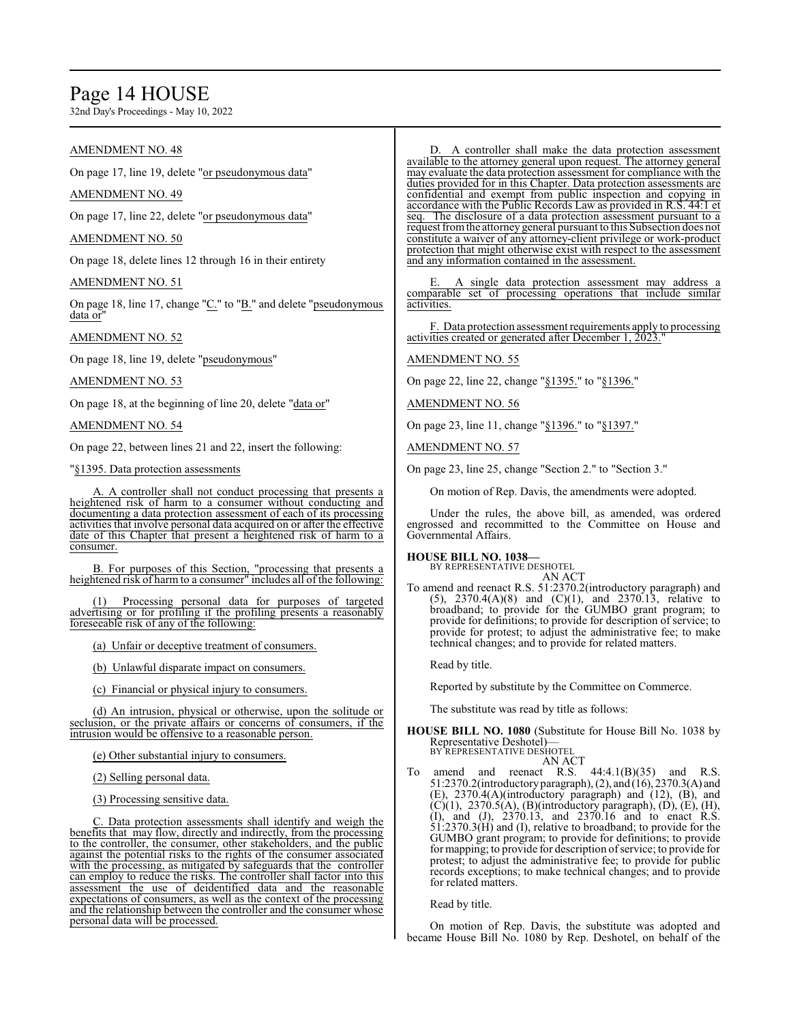# Page 14 HOUSE

32nd Day's Proceedings - May 10, 2022

# AMENDMENT NO. 48

On page 17, line 19, delete "or pseudonymous data"

# AMENDMENT NO. 49

On page 17, line 22, delete "or pseudonymous data"

### AMENDMENT NO. 50

On page 18, delete lines 12 through 16 in their entirety

### AMENDMENT NO. 51

On page 18, line 17, change "C." to "B." and delete "pseudonymous data or

# AMENDMENT NO. 52

On page 18, line 19, delete "pseudonymous"

### AMENDMENT NO. 53

On page 18, at the beginning of line 20, delete "data or"

AMENDMENT NO. 54

On page 22, between lines 21 and 22, insert the following:

"§1395. Data protection assessments

A. A controller shall not conduct processing that presents a heightened risk of harm to a consumer without conducting and documenting a data protection assessment of each of its processing activities that involve personal data acquired on or after the effective date of this Chapter that present a heightened risk of harm to a consumer.

B. For purposes of this Section, "processing that presents a heightened risk of harm to a consumer" includes all of the following:

Processing personal data for purposes of targeted advertising or for profiling if the profiling presents a reasonably foreseeable risk of any of the following:

(a) Unfair or deceptive treatment of consumers.

(b) Unlawful disparate impact on consumers.

(c) Financial or physical injury to consumers.

(d) An intrusion, physical or otherwise, upon the solitude or seclusion, or the private affairs or concerns of consumers, if the intrusion would be offensive to a reasonable person.

(e) Other substantial injury to consumers.

(2) Selling personal data.

(3) Processing sensitive data.

. Data protection assessments shall identify and weigh the benefits that may flow, directly and indirectly, from the processing to the controller, the consumer, other stakeholders, and the public against the potential risks to the rights of the consumer associated with the processing, as mitigated by safeguards that the controller can employ to reduce the risks. The controller shall factor into this assessment the use of deidentified data and the reasonable expectations of consumers, as well as the context of the processing and the relationship between the controller and the consumer whose personal data will be processed.

D. A controller shall make the data protection assessment available to the attorney general upon request. The attorney general may evaluate the data protection assessment for compliance with the duties provided for in this Chapter. Data protection assessments are confidential and exempt from public inspection and copying in accordance with the Public Records Law as provided in R.S. 44:1 et seq. The disclosure of a data protection assessment pursuant to a request fromthe attorney general pursuant to this Subsection does not constitute a waiver of any attorney-client privilege or work-product protection that might otherwise exist with respect to the assessment and any information contained in the assessment.

E. A single data protection assessment may address a comparable set of processing operations that include similar activities.

F. Data protection assessment requirements apply to processing activities created or generated after December 1, 2023.

# AMENDMENT NO. 55

On page 22, line 22, change "§1395." to "§1396."

AMENDMENT NO. 56

On page 23, line 11, change "§1396." to "§1397."

AMENDMENT NO. 57

On page 23, line 25, change "Section 2." to "Section 3."

On motion of Rep. Davis, the amendments were adopted.

Under the rules, the above bill, as amended, was ordered engrossed and recommitted to the Committee on House and Governmental Affairs.

**HOUSE BILL NO. 1038—** BY REPRESENTATIVE DESHOTEL AN ACT

To amend and reenact R.S. 51:2370.2(introductory paragraph) and (5), 2370.4(A)(8) and (C)(1), and 2370.13, relative to broadband; to provide for the GUMBO grant program; to provide for definitions; to provide for description of service; to provide for protest; to adjust the administrative fee; to make technical changes; and to provide for related matters.

Read by title.

Reported by substitute by the Committee on Commerce.

The substitute was read by title as follows:

**HOUSE BILL NO. 1080** (Substitute for House Bill No. 1038 by Representative Deshotel)— BY REPRESENTATIVE DESHOTEL

AN ACT

To amend and reenact R.S.  $44:4.1(B)(35)$  and R.S. 51:2370.2(introductory paragraph), (2), and (16), 2370.3(A) and (E),  $2370.4(A)$ (introductory paragraph) and  $(12)$ ,  $(B)$ , and  $(C)(1)$ , 2370.5(A), (B)(introductory paragraph), (D), (E), (H), (I), and (J), 2370.13, and 2370.16 and to enact R.S. 51:2370.3(H) and (I), relative to broadband; to provide for the GUMBO grant program; to provide for definitions; to provide for mapping; to provide for description ofservice; to provide for protest; to adjust the administrative fee; to provide for public records exceptions; to make technical changes; and to provide for related matters.

Read by title.

On motion of Rep. Davis, the substitute was adopted and became House Bill No. 1080 by Rep. Deshotel, on behalf of the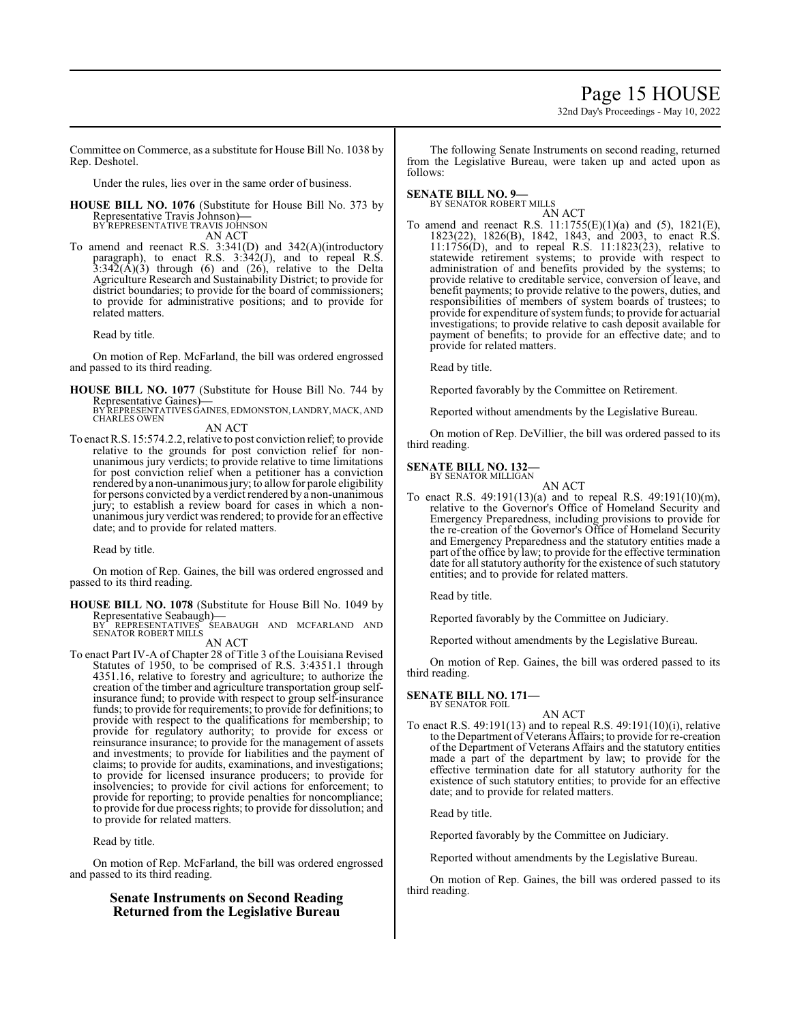# Page 15 HOUSE

32nd Day's Proceedings - May 10, 2022

Committee on Commerce, as a substitute for House Bill No. 1038 by Rep. Deshotel.

Under the rules, lies over in the same order of business.

**HOUSE BILL NO. 1076** (Substitute for House Bill No. 373 by Representative Travis Johnson)**—** BY REPRESENTATIVE TRAVIS JOHNSON

AN ACT

To amend and reenact R.S. 3:341(D) and 342(A)(introductory paragraph), to enact R.S. 3:342(J), and to repeal R.S.  $3:342(\text{\AA})(3)$  through (6) and (26), relative to the Delta Agriculture Research and Sustainability District; to provide for district boundaries; to provide for the board of commissioners; to provide for administrative positions; and to provide for related matters.

Read by title.

On motion of Rep. McFarland, the bill was ordered engrossed and passed to its third reading.

**HOUSE BILL NO. 1077** (Substitute for House Bill No. 744 by

Representative Gaines)—<br>BY REPRESENTATIVES GAINES, EDMONSTON, LANDRY, MACK, AND<br>CHARLES OWEN

AN ACT

To enact R.S. 15:574.2.2, relative to post conviction relief; to provide relative to the grounds for post conviction relief for nonunanimous jury verdicts; to provide relative to time limitations for post conviction relief when a petitioner has a conviction rendered by a non-unanimous jury; to allow for parole eligibility for persons convicted by a verdict rendered by a non-unanimous jury; to establish a review board for cases in which a nonunanimous jury verdict was rendered; to provide for an effective date; and to provide for related matters.

Read by title.

On motion of Rep. Gaines, the bill was ordered engrossed and passed to its third reading.

**HOUSE BILL NO. 1078** (Substitute for House Bill No. 1049 by Representative Seabaugh)**—** BY REPRESENTATIVES SEABAUGH AND MCFARLAND AND

SENATOR ROBERT MILLS

AN ACT

To enact Part IV-A of Chapter 28 of Title 3 of the Louisiana Revised Statutes of 1950, to be comprised of R.S. 3:4351.1 through 4351.16, relative to forestry and agriculture; to authorize the creation of the timber and agriculture transportation group selfinsurance fund; to provide with respect to group self-insurance funds; to provide for requirements; to provide for definitions; to provide with respect to the qualifications for membership; to provide for regulatory authority; to provide for excess or reinsurance insurance; to provide for the management of assets and investments; to provide for liabilities and the payment of claims; to provide for audits, examinations, and investigations; to provide for licensed insurance producers; to provide for insolvencies; to provide for civil actions for enforcement; to provide for reporting; to provide penalties for noncompliance; to provide for due process rights; to provide for dissolution; and to provide for related matters.

Read by title.

On motion of Rep. McFarland, the bill was ordered engrossed and passed to its third reading.

# **Senate Instruments on Second Reading Returned from the Legislative Bureau**

The following Senate Instruments on second reading, returned from the Legislative Bureau, were taken up and acted upon as follows:

# **SENATE BILL NO. 9—**

BY SENATOR ROBERT MILLS

AN ACT To amend and reenact R.S. 11:1755(E)(1)(a) and (5), 1821(E), 1823(22), 1826(B), 1842, 1843, and 2003, to enact R.S. 11:1756(D), and to repeal R.S. 11:1823(23), relative to statewide retirement systems; to provide with respect to administration of and benefits provided by the systems; to provide relative to creditable service, conversion of leave, and benefit payments; to provide relative to the powers, duties, and responsibilities of members of system boards of trustees; to provide for expenditure of system funds; to provide for actuarial investigations; to provide relative to cash deposit available for payment of benefits; to provide for an effective date; and to provide for related matters.

Read by title.

Reported favorably by the Committee on Retirement.

Reported without amendments by the Legislative Bureau.

On motion of Rep. DeVillier, the bill was ordered passed to its third reading.

# **SENATE BILL NO. 132—**

BY SENATOR MILLIGAN AN ACT

To enact R.S. 49:191(13)(a) and to repeal R.S. 49:191(10)(m), relative to the Governor's Office of Homeland Security and Emergency Preparedness, including provisions to provide for the re-creation of the Governor's Office of Homeland Security and Emergency Preparedness and the statutory entities made a part of the office by law; to provide for the effective termination date for all statutory authority for the existence of such statutory entities; and to provide for related matters.

Read by title.

Reported favorably by the Committee on Judiciary.

Reported without amendments by the Legislative Bureau.

On motion of Rep. Gaines, the bill was ordered passed to its third reading.

# **SENATE BILL NO. 171—**

BY SENATOR FOIL

AN ACT To enact R.S. 49:191(13) and to repeal R.S. 49:191(10)(i), relative to the Department of Veterans Affairs; to provide for re-creation of the Department of Veterans Affairs and the statutory entities made a part of the department by law; to provide for the effective termination date for all statutory authority for the existence of such statutory entities; to provide for an effective date; and to provide for related matters.

Read by title.

Reported favorably by the Committee on Judiciary.

Reported without amendments by the Legislative Bureau.

On motion of Rep. Gaines, the bill was ordered passed to its third reading.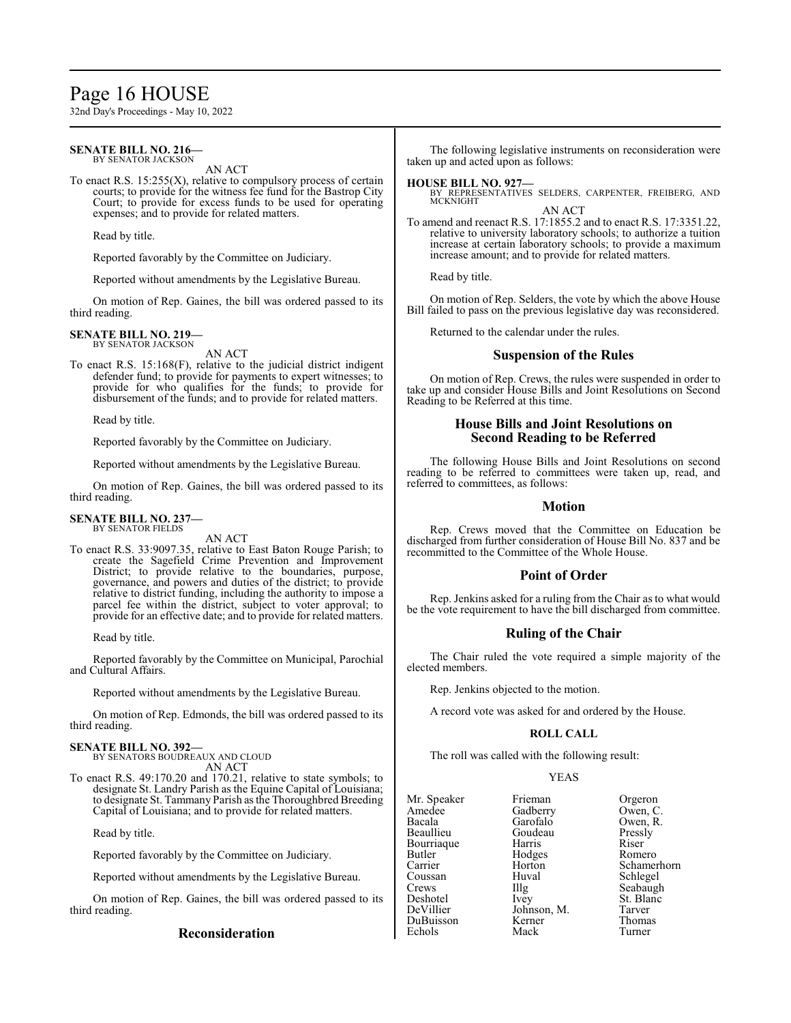# Page 16 HOUSE

32nd Day's Proceedings - May 10, 2022

#### **SENATE BILL NO. 216—** BY SENATOR JACKSON

AN ACT

To enact R.S.  $15:255(X)$ , relative to compulsory process of certain courts; to provide for the witness fee fund for the Bastrop City Court; to provide for excess funds to be used for operating expenses; and to provide for related matters.

Read by title.

Reported favorably by the Committee on Judiciary.

Reported without amendments by the Legislative Bureau.

On motion of Rep. Gaines, the bill was ordered passed to its third reading.

# **SENATE BILL NO. 219—**

BY SENATOR JACKSON AN ACT

To enact R.S. 15:168(F), relative to the judicial district indigent defender fund; to provide for payments to expert witnesses; to provide for who qualifies for the funds; to provide for disbursement of the funds; and to provide for related matters.

Read by title.

Reported favorably by the Committee on Judiciary.

Reported without amendments by the Legislative Bureau.

On motion of Rep. Gaines, the bill was ordered passed to its third reading.

#### **SENATE BILL NO. 237—** BY SENATOR FIELDS

AN ACT

To enact R.S. 33:9097.35, relative to East Baton Rouge Parish; to create the Sagefield Crime Prevention and Improvement District; to provide relative to the boundaries, purpose, governance, and powers and duties of the district; to provide relative to district funding, including the authority to impose a parcel fee within the district, subject to voter approval; to provide for an effective date; and to provide for related matters.

Read by title.

Reported favorably by the Committee on Municipal, Parochial and Cultural Affairs.

Reported without amendments by the Legislative Bureau.

On motion of Rep. Edmonds, the bill was ordered passed to its third reading.

**SENATE BILL NO. 392—** BY SENATORS BOUDREAUX AND CLOUD AN ACT

To enact R.S. 49:170.20 and 170.21, relative to state symbols; to designate St. Landry Parish as the Equine Capital of Louisiana; to designate St. Tammany Parish as the Thoroughbred Breeding Capital of Louisiana; and to provide for related matters.

Read by title.

Reported favorably by the Committee on Judiciary.

Reported without amendments by the Legislative Bureau.

On motion of Rep. Gaines, the bill was ordered passed to its third reading.

# **Reconsideration**

The following legislative instruments on reconsideration were taken up and acted upon as follows:

#### **HOUSE BILL NO. 927—**

BY REPRESENTATIVES SELDERS, CARPENTER, FREIBERG, AND MCKNIGHT AN ACT

To amend and reenact R.S. 17:1855.2 and to enact R.S. 17:3351.22, relative to university laboratory schools; to authorize a tuition increase at certain laboratory schools; to provide a maximum increase amount; and to provide for related matters.

Read by title.

On motion of Rep. Selders, the vote by which the above House Bill failed to pass on the previous legislative day was reconsidered.

Returned to the calendar under the rules.

# **Suspension of the Rules**

On motion of Rep. Crews, the rules were suspended in order to take up and consider House Bills and Joint Resolutions on Second Reading to be Referred at this time.

# **House Bills and Joint Resolutions on Second Reading to be Referred**

The following House Bills and Joint Resolutions on second reading to be referred to committees were taken up, read, and referred to committees, as follows:

### **Motion**

Rep. Crews moved that the Committee on Education be discharged from further consideration of House Bill No. 837 and be recommitted to the Committee of the Whole House.

# **Point of Order**

Rep. Jenkins asked for a ruling from the Chair as to what would be the vote requirement to have the bill discharged from committee.

# **Ruling of the Chair**

The Chair ruled the vote required a simple majority of the elected members.

Rep. Jenkins objected to the motion.

A record vote was asked for and ordered by the House.

#### **ROLL CALL**

The roll was called with the following result:

#### YEAS

Mr. Speaker Frieman Orgeron<br>Amedee Gadberry Owen, C Amedee Gadberry<br>Bacala Garofalo Beaullieu Goudeau Pressly Bourriaque Harris<br>Butler Hodges Butler Hodges Romero Coussan Huv<br>Crews Hllg Crews Illg Seabaugh<br>
Deshotel Ivey St. Blanc Deshotel Ivey St. Blanc<br>
DeVillier Johnson, M. Tarver DuBuisson Kerner Thoma<br>
Echols Mack Turner Echols

Garofalo Owen, R.<br>Goudeau Pressly Horton Schamerhorn<br>Huval Schlegel Johnson, M. Tarver<br>
Kerner Thomas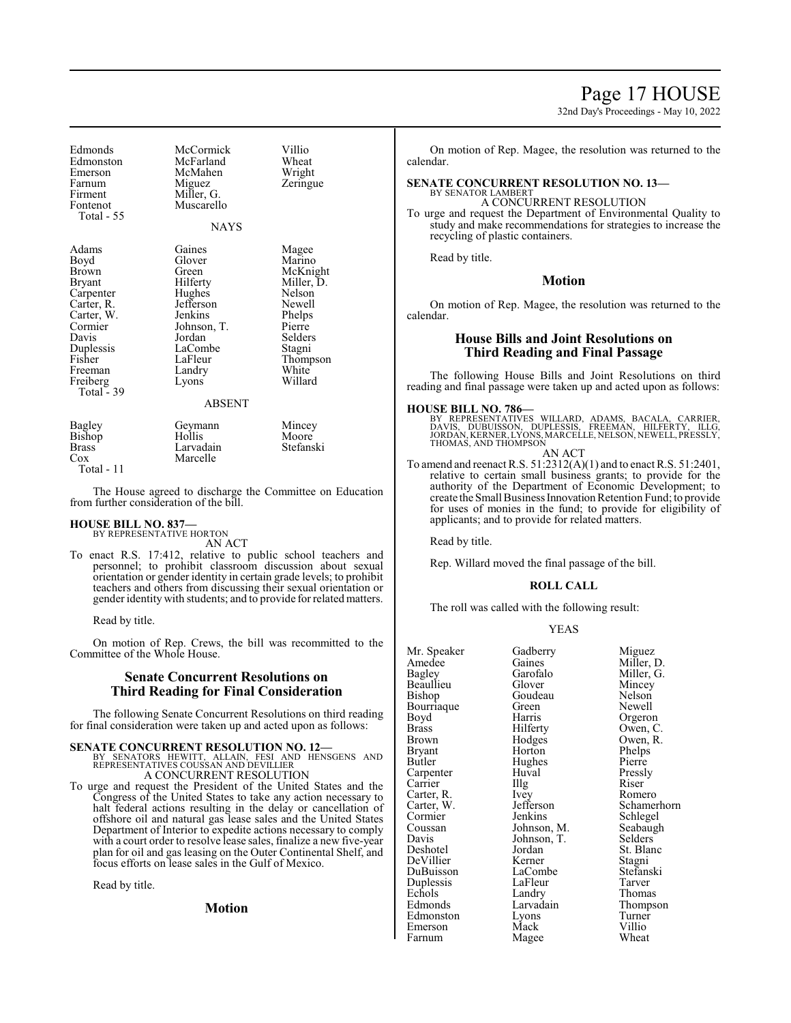# Page 17 HOUSE

32nd Day's Proceedings - May 10, 2022

| Edmonds<br>Edmonston<br>Emerson<br>Farnum<br>Firment<br>Fontenot<br>Total - 55                                                                            | McCormick<br>McFarland<br>McMahen<br>Miguez<br>Miller, G.<br>Muscarello<br>NAYS                                                                            | Villio<br>Wheat<br>Wright<br>Zeringue                                                                                                  |
|-----------------------------------------------------------------------------------------------------------------------------------------------------------|------------------------------------------------------------------------------------------------------------------------------------------------------------|----------------------------------------------------------------------------------------------------------------------------------------|
| Adams<br>Boyd<br>Brown<br>Bryant<br>Carpenter<br>Carter, R.<br>Carter, W.<br>Cormier<br>Davis<br>Duplessis<br>Fisher<br>Freeman<br>Freiberg<br>Total - 39 | Gaines<br>Glover<br>Green<br>Hilferty<br>Hughes<br>Jefferson<br>Jenkins<br>Johnson, T.<br>Jordan<br>LaCombe<br>LaFleur<br>Landry<br>Lyons<br><b>ABSENT</b> | Magee<br>Marino<br>McKnight<br>Miller, D.<br>Nelson<br>Newell<br>Phelps<br>Pierre<br>Selders<br>Stagni<br>Thompson<br>White<br>Willard |
| Bagley<br>Bishop<br>$D_{max}$                                                                                                                             | Geymann<br>Hollis<br>I ampedain                                                                                                                            | Mincey<br>Moore<br>$C_{\text{total}}$                                                                                                  |

Brass Larvadain Stefanski Marcelle Total - 11

The House agreed to discharge the Committee on Education from further consideration of the bill.

#### **HOUSE BILL NO. 837—** BY REPRESENTATIVE HORTON

AN ACT

To enact R.S. 17:412, relative to public school teachers and personnel; to prohibit classroom discussion about sexual orientation or gender identity in certain grade levels; to prohibit teachers and others from discussing their sexual orientation or gender identity with students; and to provide for related matters.

Read by title.

On motion of Rep. Crews, the bill was recommitted to the Committee of the Whole House.

# **Senate Concurrent Resolutions on Third Reading for Final Consideration**

The following Senate Concurrent Resolutions on third reading for final consideration were taken up and acted upon as follows:

**SENATE CONCURRENT RESOLUTION NO. 12—**<br>BY SENATORS HEWITT, ALLAIN, FESI AND HENSGENS AND REPRESENTATIVES COUSSAN AND DEVILLIER A CONCURRENT RESOLUTION

To urge and request the President of the United States and the Congress of the United States to take any action necessary to halt federal actions resulting in the delay or cancellation of offshore oil and natural gas lease sales and the United States Department of Interior to expedite actions necessary to comply with a court order to resolve lease sales, finalize a new five-year plan for oil and gas leasing on the Outer Continental Shelf, and focus efforts on lease sales in the Gulf of Mexico.

Read by title.

**Motion**

On motion of Rep. Magee, the resolution was returned to the calendar.

#### **SENATE CONCURRENT RESOLUTION NO. 13—** BY SENATOR LAMBERT

A CONCURRENT RESOLUTION To urge and request the Department of Environmental Quality to study and make recommendations for strategies to increase the recycling of plastic containers.

Read by title.

# **Motion**

On motion of Rep. Magee, the resolution was returned to the calendar.

# **House Bills and Joint Resolutions on Third Reading and Final Passage**

The following House Bills and Joint Resolutions on third reading and final passage were taken up and acted upon as follows:

#### **HOUSE BILL NO. 786—**

BY REPRESENTATIVES WILLARD, ADAMS, BACALA, CARRIER,<br>DAVIS, DUBUISSON, DUPLESSIS, FREEMAN, HILFERTY, ILLG,<br>JORDAN,KERNER,LYONS,MARCELLE,NELSON,NEWELL,PRESSLY, THOMAS, AND THOMPSON AN ACT

To amend and reenact R.S. 51:2312(A)(1) and to enact R.S. 51:2401, relative to certain small business grants; to provide for the authority of the Department of Economic Development; to create the Small Business Innovation Retention Fund; to provide for uses of monies in the fund; to provide for eligibility of applicants; and to provide for related matters.

Read by title.

Rep. Willard moved the final passage of the bill.

#### **ROLL CALL**

The roll was called with the following result:

| Mr. Speaker  | Gadberry    | Miguez      |
|--------------|-------------|-------------|
| Amedee       | Gaines      | Miller, D.  |
| Bagley       | Garofalo    | Miller, G.  |
| Beaullieu    | Glover      | Mincey      |
| Bishop       | Goudeau     | Nelson      |
| Bourriaque   | Green       | Newell      |
| Boyd         | Harris      | Orgeron     |
| <b>Brass</b> | Hilferty    | Owen, C.    |
| Brown        | Hodges      | Owen, R.    |
| Bryant       | Horton      | Phelps      |
| Butler       | Hughes      | Pierre      |
| Carpenter    | Huval       | Pressly     |
| Carrier      | Illg        | Riser       |
| Carter, R.   | <i>lvey</i> | Romero      |
| Carter, W.   | Jefferson   | Schamerhorn |
| Cormier      | Jenkins     | Schlegel    |
| Coussan      | Johnson, M. | Seabaugh    |
| Davis        | Johnson, T. | Selders     |
| Deshotel     | Jordan      | St. Blanc   |
| DeVillier    | Kerner      | Stagni      |
| DuBuisson    | LaCombe     | Stefanski   |
| Duplessis    | LaFleur     | Tarver      |
| Echols       | Landry      | Thomas      |
| Edmonds      | Larvadain   | Thompson    |
| Edmonston    | Lyons       | Turner      |
| Emerson      | Mack        | Villio      |
| Farnum       | Magee       | Wheat       |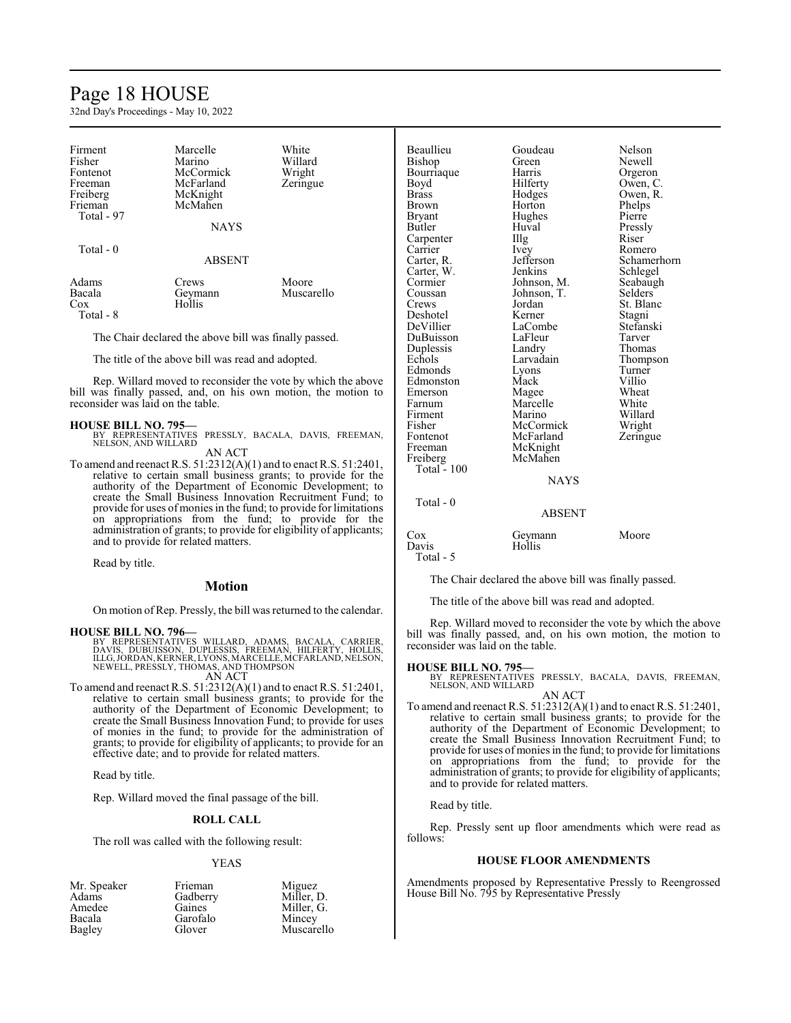# Page 18 HOUSE

32nd Day's Proceedings - May 10, 2022

| Firment<br>Fisher<br>Fontenot<br>Freeman<br>Freiberg<br>Frieman<br>Total - 97 | Marcelle<br>Marino<br>McCormick<br>McFarland<br>McKnight<br>McMahen<br><b>NAYS</b> | White<br>Willard<br>Wright<br>Zeringue |
|-------------------------------------------------------------------------------|------------------------------------------------------------------------------------|----------------------------------------|
| Total $-0$                                                                    | <b>ABSENT</b>                                                                      |                                        |
| Adams<br>Bacala<br>Cox                                                        | Crews<br>Geymann<br>Hollis                                                         | Moore<br>Muscarello                    |

Total - 8

The Chair declared the above bill was finally passed.

The title of the above bill was read and adopted.

Rep. Willard moved to reconsider the vote by which the above bill was finally passed, and, on his own motion, the motion to reconsider was laid on the table.

**HOUSE BILL NO. 795—** BY REPRESENTATIVES PRESSLY, BACALA, DAVIS, FREEMAN, NELSON, AND WILLARD AN ACT

To amend and reenact R.S. 51:2312(A)(1) and to enact R.S. 51:2401, relative to certain small business grants; to provide for the authority of the Department of Economic Development; to create the Small Business Innovation Recruitment Fund; to provide for uses of monies in the fund; to provide for limitations on appropriations from the fund; to provide for the administration of grants; to provide for eligibility of applicants; and to provide for related matters.

Read by title.

# **Motion**

On motion ofRep. Pressly, the bill was returned to the calendar.

# **HOUSE BILL NO. 796—**

BY REPRESENTATIVES WILLARD, ADAMS, BACALA, CARRIER,<br>DAVIS, DUBUISSON, DUPLESSIS, FREEMAN, HILFERTY, HOLLIS,<br>ILLG,JORDAN,KERNER,LYONS,MARCELLE,MCFARLAND,NELSON,<br>NEWELL,PRESSLY,THOMAS,ANDTHOMPSON AN ACT

To amend and reenact R.S. 51:2312(A)(1) and to enact R.S. 51:2401, relative to certain small business grants; to provide for the authority of the Department of Economic Development; to create the Small Business Innovation Fund; to provide for uses of monies in the fund; to provide for the administration of grants; to provide for eligibility of applicants; to provide for an effective date; and to provide for related matters.

Read by title.

Rep. Willard moved the final passage of the bill.

#### **ROLL CALL**

The roll was called with the following result:

#### YEAS

| Frieman  | Miguez     |
|----------|------------|
| Gadberry | Miller, D. |
| Gaines   | Miller, G. |
| Garofalo | Mincey     |
| Glover   | Muscarello |
|          |            |

Beaullieu Goudeau Nelson<br>Bishon Green Newell Bishop Green Newell Bourriaque Harris Orgeron<br>Boyd Hilferty Owen, C Boyd Hilferty Owen, C<br>Brass Hodges Owen, R Brass Hodges Owen, R. Brown Horton Phelps<br>Bryant Hughes Pierre Bryant Hughes Pierre<br>Butler Huval Pressl Carpenter IIIg<br>Carrier Ivey Carrier Ivey Romero<br>Carter, R. Jefferson Schame Carter, W. Jenkins Schlegel<br>Cormier Johnson, M. Seabaugh Cormier Johnson, M. Seabaugh<br>Coussan Johnson, T. Selders Coussan Johnson, T.<br>Crews Jordan Deshotel Kerner Stagni<br>
DeVillier LaCombe Stefanski DuBuisson LaFleur Tarver Duplessis Landry<br>
Echols Larvadain Edmonds Lyons Turner<br>Edmonston Mack Villio Edmonston Mack Villio<br>Emerson Magee Wheat Emerson Magee Wheat<br>
Farnum Marcelle White Farnum Marcelle<br>Firment Marino Firment Marino Willard<br>Fisher McCormick Wright Fisher McCormick Wright<br>Fontenot McFarland Zeringue Fontenot McFarland<br>Freeman McKnight McKnight<br>McMahen Freiberg McMahen Total - 100 Total - 0

Huval Pressly<br>Illg Riser Jefferson Schamerhorn<br>
Jenkins Schlegel St. Blanc LaCombe<br>LaFleur Tarver Larvadain Thompson<br>Lyons Turner

# ABSENT

**NAYS** 

Cox Geymann Moore<br>Davis Hollis Davis Total - 5

The Chair declared the above bill was finally passed.

The title of the above bill was read and adopted.

Rep. Willard moved to reconsider the vote by which the above bill was finally passed, and, on his own motion, the motion to reconsider was laid on the table.

# **HOUSE BILL NO. 795—**

PRESSLY, BACALA, DAVIS, FREEMAN, BY REPRESENTATIVES<br>NELSON, AND WILLARD

AN ACT To amend and reenact R.S. 51:2312(A)(1) and to enact R.S. 51:2401, relative to certain small business grants; to provide for the authority of the Department of Economic Development; to create the Small Business Innovation Recruitment Fund; to provide for uses of monies in the fund; to provide for limitations on appropriations from the fund; to provide for the administration of grants; to provide for eligibility of applicants; and to provide for related matters.

Read by title.

Rep. Pressly sent up floor amendments which were read as follows:

# **HOUSE FLOOR AMENDMENTS**

Amendments proposed by Representative Pressly to Reengrossed House Bill No. 795 by Representative Pressly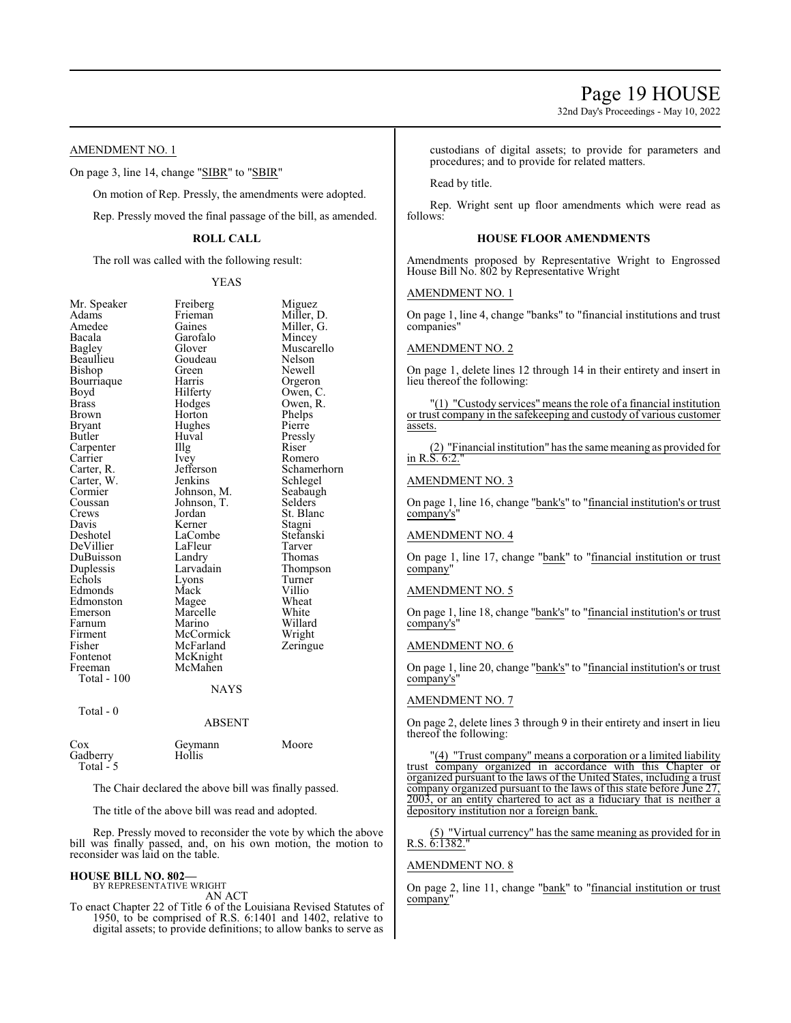32nd Day's Proceedings - May 10, 2022

# AMENDMENT NO. 1

On page 3, line 14, change "SIBR" to "SBIR"

On motion of Rep. Pressly, the amendments were adopted.

Rep. Pressly moved the final passage of the bill, as amended.

# **ROLL CALL**

The roll was called with the following result:

YEAS

Freiberg Miguez<br>Frieman Miller Frieman Miller, D.<br>Gaines Miller, G.

Miller, G.<br>Mincey

| Mr. Speaker | Freiberg    | Migu        |
|-------------|-------------|-------------|
| Adams       | Frieman     | Mille       |
| Amedee      | Gaines      | Mille       |
| Bacala      | Garofalo    | Minc        |
| Bagley      | Glover      | Musc        |
| Beaullieu   | Goudeau     | Nelso       |
| Bishop      | Green       | <b>Newe</b> |
| Bourriaque  | Harris      | Orge        |
| Boyd        | Hilferty    | Ower        |
| Brass       | Hodges      | Ower        |
| Brown       | Horton      | Phelp       |
| Bryant      | Hughes      | Pierro      |
| Butler      | Huval       | Press       |
| Carpenter   | Illg        | Riser       |
| Carrier     | Ivey        | Rom         |
| Carter, R.  | Jefferson   | Schar       |
| Carter, W.  | Jenkins     | Schle       |
| Cormier     | Johnson, M. | Seaba       |
| Coussan     | Johnson, T. | Selde       |
| Crews       | Jordan      | St. B       |
| Davis       | Kerner      | Stagr       |
| Deshotel    | LaCombe     | Stefa       |
| DeVillier   | LaFleur     | Tarve       |
| DuBuisson   | Landry      | Thon        |
| Duplessis   | Larvadain   | Thon        |
| Echols      | Lyons       | Turn        |
| Edmonds     | Mack        | Villio      |
| Edmonston   | Magee       | Whea        |
| Emerson     | Marcelle    | Whit        |
| Farnum      | Marino      | Willa       |
| Firment     | McCormick   | Wrig        |
| Fisher      | McFarland   | Zerin       |
| Fontenot    | McKnight    |             |
| Freeman     | McMahen     |             |
| Total - 100 |             |             |
|             | <b>NAYS</b> |             |
|             |             |             |
| Total - 0   |             |             |
|             | ABSENT      |             |
|             |             |             |
|             |             |             |

Muscarello<br>Nelson Green Newell<br>Harris Orgero Harris Orgeron<br>Hilferty Owen, C Hilferty Owen, C.<br>Hodges Owen, R. Hodges Owen, R.<br>Horton Phelps Phelps<br>Pierre Huval Pressly<br>Illg Riser Ivey Romero<br>Jefferson Schame Jefferson Schamerhorn<br>Jenkins Schlegel Schlegel<br>Seabaugh Johnson, M. Seabaug<br>Johnson, T. Selders Johnson, T.<br>Jordan St. Blanc<br>Stagni Kerner Stagni<br>LaCombe Stefanski LaCombe Stefans<br>LaFleur Tarver Landry Thomas<br>
Larvadain Thomps Thompson<br>Turner Extension Lyons Turner<br>
Mack Villio Mack Villio<br>Magee Wheat Magee Wheat<br>
Marcelle White Marcelle White<br>
Marino Willard Marino Willard<br>
McCormick Wright McCormick Wright<br>
McFarland Zeringue McFarland

```
Cox Geymann Moore<br>Gadberry Hollis
Gadberry
 Total -5
```
The Chair declared the above bill was finally passed.

The title of the above bill was read and adopted.

Rep. Pressly moved to reconsider the vote by which the above bill was finally passed, and, on his own motion, the motion to reconsider was laid on the table.

# **HOUSE BILL NO. 802—**

BY REPRESENTATIVE WRIGHT

AN ACT

To enact Chapter 22 of Title 6 of the Louisiana Revised Statutes of 1950, to be comprised of R.S. 6:1401 and 1402, relative to digital assets; to provide definitions; to allow banks to serve as

custodians of digital assets; to provide for parameters and procedures; and to provide for related matters.

Read by title.

Rep. Wright sent up floor amendments which were read as follows:

#### **HOUSE FLOOR AMENDMENTS**

Amendments proposed by Representative Wright to Engrossed House Bill No. 802 by Representative Wright

# AMENDMENT NO. 1

On page 1, line 4, change "banks" to "financial institutions and trust companies"

# AMENDMENT NO. 2

On page 1, delete lines 12 through 14 in their entirety and insert in lieu thereof the following:

"(1) "Custody services" means the role of a financial institution or trust company in the safekeeping and custody of various customer assets.

(2) "Financial institution" has the same meaning as provided for in R.S. 6:2."

#### AMENDMENT NO. 3

On page 1, line 16, change "bank's" to "financial institution's or trust company's"

#### AMENDMENT NO. 4

On page 1, line 17, change "bank" to "financial institution or trust company"

#### AMENDMENT NO. 5

On page 1, line 18, change "bank's" to "financial institution's or trust company's"

# AMENDMENT NO. 6

On page 1, line 20, change "bank's" to "financial institution's or trust company's"

# AMENDMENT NO. 7

On page 2, delete lines 3 through 9 in their entirety and insert in lieu thereof the following:

"(4) "Trust company" means a corporation or a limited liability trust company organized in accordance with this Chapter or organized pursuant to the laws of the United States, including a trust company organized pursuant to the laws of this state before June 27, 2003, or an entity chartered to act as a fiduciary that is neither a depository institution nor a foreign bank.

(5) "Virtual currency" has the same meaning as provided for in R.S. 6:1382."

#### AMENDMENT NO. 8

On page 2, line 11, change "bank" to "financial institution or trust company"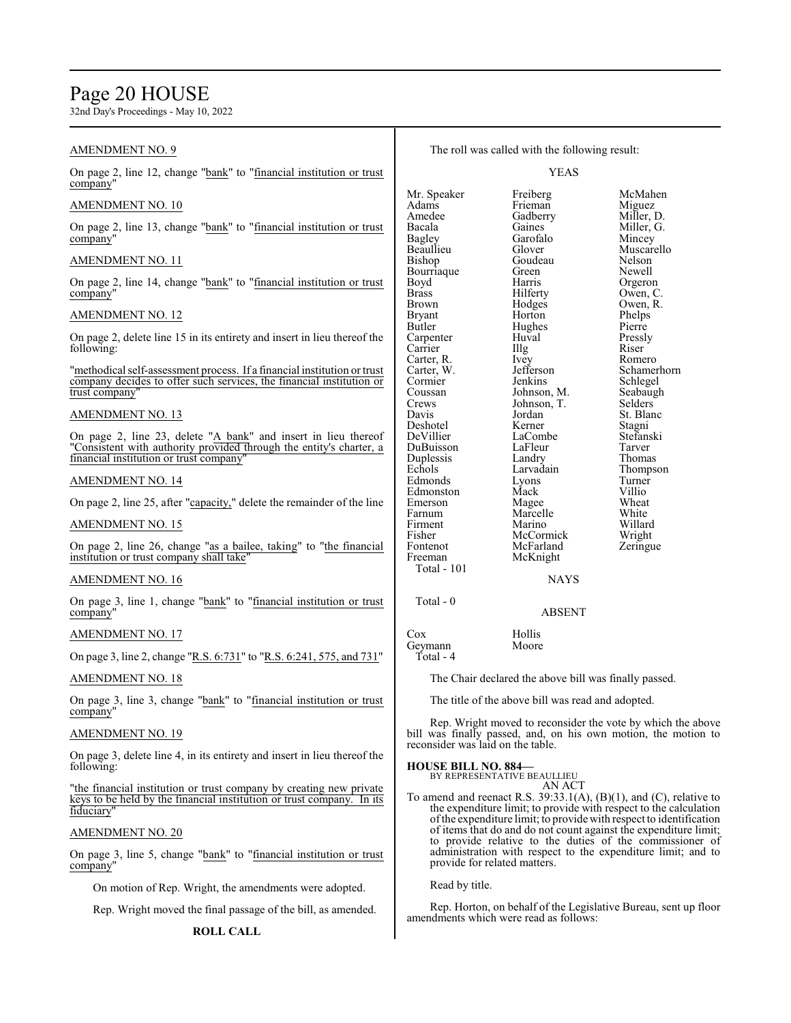# Page 20 HOUSE

32nd Day's Proceedings - May 10, 2022

| <b>AMENDMENT NO. 9</b>                                                                                                                                                           |                                                 | The roll was called with the following result:        |                                                                                                                               |
|----------------------------------------------------------------------------------------------------------------------------------------------------------------------------------|-------------------------------------------------|-------------------------------------------------------|-------------------------------------------------------------------------------------------------------------------------------|
| On page 2, line 12, change "bank" to "financial institution or trust<br>company"                                                                                                 |                                                 | <b>YEAS</b>                                           |                                                                                                                               |
| <b>AMENDMENT NO. 10</b>                                                                                                                                                          | Mr. Speaker<br>Adams<br>Amedee                  | Freiberg<br>Frieman<br>Gadberry                       | McMahen<br>Miguez<br>Miller, D.                                                                                               |
| On page 2, line 13, change "bank" to "financial institution or trust<br>company"                                                                                                 | Bacala<br><b>Bagley</b>                         | Gaines<br>Garofalo                                    | Miller, G.<br>Mincey                                                                                                          |
| AMENDMENT NO. 11                                                                                                                                                                 | Beaullieu<br>Bishop                             | Glover<br>Goudeau<br>Green                            | Muscarello<br>Nelson<br>Newell                                                                                                |
| On page 2, line 14, change "bank" to "financial institution or trust<br>company"                                                                                                 | Bourriaque<br>Boyd<br><b>Brass</b>              | Harris<br>Hilferty                                    | Orgeron<br>Owen, C.                                                                                                           |
| <b>AMENDMENT NO. 12</b>                                                                                                                                                          | Brown<br><b>Bryant</b>                          | Hodges<br>Horton                                      | Owen, R.<br>Phelps                                                                                                            |
| On page 2, delete line 15 in its entirety and insert in lieu thereof the<br>following:                                                                                           | Butler<br>Carpenter<br>Carrier<br>Carter, R.    | Hughes<br>Huval<br>Illg<br>Ivey                       | Pierre<br>Pressly<br>Riser<br>Romero                                                                                          |
| "methodical self-assessment process. If a financial institution or trust<br>company decides to offer such services, the financial institution or<br>trust company"               | Carter, W.<br>Cormier<br>Coussan                | Jefferson<br>Jenkins<br>Johnson, M.                   | Schamerhorn<br>Schlegel<br>Seabaugh                                                                                           |
| AMENDMENT NO. 13                                                                                                                                                                 | Crews<br>Davis                                  | Johnson, T.<br>Jordan                                 | Selders<br>St. Blanc                                                                                                          |
| On page 2, line 23, delete "A bank" and insert in lieu thereof<br>"Consistent with authority provided through the entity's charter, a<br>financial institution or trust company" | Deshotel<br>DeVillier<br>DuBuisson<br>Duplessis | Kerner<br>LaCombe<br>LaFleur<br>Landry                | Stagni<br>Stefanski<br>Tarver<br>Thomas                                                                                       |
| AMENDMENT NO. 14                                                                                                                                                                 | Echols<br>Edmonds                               | Larvadain<br>Lyons                                    | Thompson<br>Turner                                                                                                            |
| On page 2, line 25, after "capacity," delete the remainder of the line                                                                                                           | Edmonston<br>Emerson                            | Mack<br>Magee                                         | Villio<br>Wheat                                                                                                               |
| <b>AMENDMENT NO. 15</b>                                                                                                                                                          | Farnum<br>Firment<br>Fisher                     | Marcelle<br>Marino<br>McCormick                       | White<br>Willard<br>Wright                                                                                                    |
| On page 2, line 26, change "as a bailee, taking" to "the financial<br>institution or trust company shall take"                                                                   | Fontenot<br>Freeman                             | McFarland<br>McKnight                                 | Zeringue                                                                                                                      |
| <b>AMENDMENT NO. 16</b>                                                                                                                                                          | Total - 101                                     | <b>NAYS</b>                                           |                                                                                                                               |
| On page 3, line 1, change "bank" to "financial institution or trust<br>company"                                                                                                  | Total - 0                                       | <b>ABSENT</b>                                         |                                                                                                                               |
| <b>AMENDMENT NO. 17</b>                                                                                                                                                          | Cox<br>Geymann                                  | Hollis<br>Moore                                       |                                                                                                                               |
| On page 3, line 2, change "R.S. 6:731" to "R.S. 6:241, 575, and 731"                                                                                                             | $Total - 4$                                     |                                                       |                                                                                                                               |
| <b>AMENDMENT NO. 18</b>                                                                                                                                                          |                                                 | The Chair declared the above bill was finally passed. |                                                                                                                               |
| On page 3, line 3, change "bank" to "financial institution or trust<br>company"                                                                                                  |                                                 | The title of the above bill was read and adopted.     |                                                                                                                               |
| <b>AMENDMENT NO. 19</b>                                                                                                                                                          | reconsider was laid on the table.               |                                                       | Rep. Wright moved to reconsider the vote by which the above<br>bill was finally passed, and, on his own motion, the motion to |
| On page 3, delete line 4, in its entirety and insert in lieu thereof the<br>following:                                                                                           | <b>HOUSE BILL NO. 884-</b>                      | BY REPRESENTATIVE BEAULLIEU                           |                                                                                                                               |
| "the financial institution or trust company by creating new private<br>keys to be held by the financial institution or trust company. In its                                     |                                                 | AN ACT                                                | To amend and reenact R.S. 39:33.1(A), (B)(1), and (C), relative to                                                            |

To amend and reenact R.S. 39:33.1(A), (B)(1), and (C), relative to the expenditure limit; to provide with respect to the calculation ofthe expenditure limit; to provide with respect to identification of items that do and do not count against the expenditure limit; to provide relative to the duties of the commissioner of administration with respect to the expenditure limit; and to provide for related matters.

Read by title.

Rep. Horton, on behalf of the Legislative Bureau, sent up floor amendments which were read as follows:

On page 3, line 5, change "bank" to "financial institution or trust

On motion of Rep. Wright, the amendments were adopted. Rep. Wright moved the final passage of the bill, as amended.

fiduciary"

company"

AMENDMENT NO. 20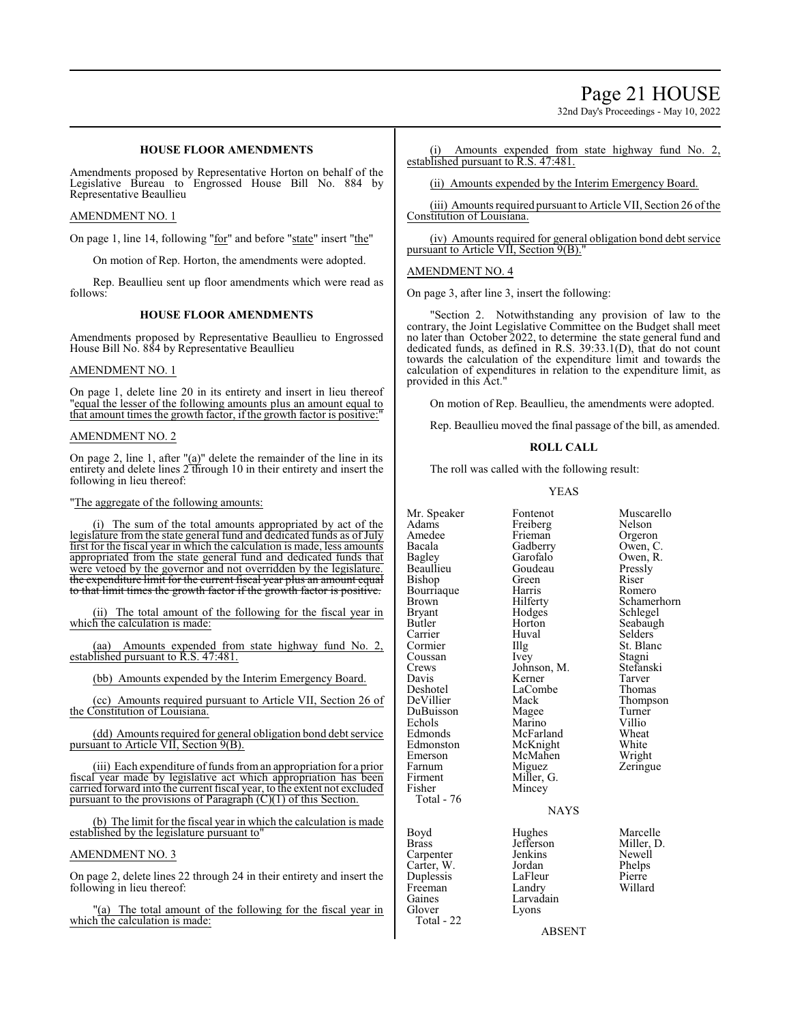# Page 21 HOUSE

32nd Day's Proceedings - May 10, 2022

# **HOUSE FLOOR AMENDMENTS**

Amendments proposed by Representative Horton on behalf of the Legislative Bureau to Engrossed House Bill No. 884 by Representative Beaullieu

#### AMENDMENT NO. 1

On page 1, line 14, following "for" and before "state" insert "the"

On motion of Rep. Horton, the amendments were adopted.

Rep. Beaullieu sent up floor amendments which were read as follows:

# **HOUSE FLOOR AMENDMENTS**

Amendments proposed by Representative Beaullieu to Engrossed House Bill No. 884 by Representative Beaullieu

### AMENDMENT NO. 1

On page 1, delete line 20 in its entirety and insert in lieu thereof "equal the lesser of the following amounts plus an amount equal to that amount times the growth factor, if the growth factor is positive:

#### AMENDMENT NO. 2

On page 2, line 1, after  $\alpha$ <sup>"</sup> delete the remainder of the line in its entirety and delete lines 2 through 10 in their entirety and insert the following in lieu thereof:

#### "The aggregate of the following amounts:

(i) The sum of the total amounts appropriated by act of the legislature from the state general fund and dedicated funds as of July first for the fiscal year in which the calculation is made, less amounts appropriated from the state general fund and dedicated funds that were vetoed by the governor and not overridden by the legislature. the expenditure limit for the current fiscal year plus an amount equal to that limit times the growth factor if the growth factor is positive.

(ii) The total amount of the following for the fiscal year in which the calculation is made:

(aa) Amounts expended from state highway fund No. 2, established pursuant to R.S. 47:481.

(bb) Amounts expended by the Interim Emergency Board.

(cc) Amounts required pursuant to Article VII, Section 26 of the Constitution of Louisiana.

(dd) Amounts required for general obligation bond debt service pursuant to Article VII, Section 9(B).

(iii) Each expenditure of funds from an appropriation for a prior fiscal year made by legislative act which appropriation has been carried forward into the current fiscal year, to the extent not excluded pursuant to the provisions of Paragraph  $(C)(1)$  of this Section.

(b) The limit for the fiscal year in which the calculation is made established by the legislature pursuant to

#### AMENDMENT NO. 3

On page 2, delete lines 22 through 24 in their entirety and insert the following in lieu thereof:

"(a) The total amount of the following for the fiscal year in which the calculation is made:

(i) Amounts expended from state highway fund No. 2, established pursuant to R.S. 47:481.

(ii) Amounts expended by the Interim Emergency Board.

(iii) Amounts required pursuant to Article VII, Section 26 ofthe Constitution of Louisiana.

(iv) Amounts required for general obligation bond debt service pursuant to Article VII, Section 9(B)."

#### AMENDMENT NO. 4

On page 3, after line 3, insert the following:

"Section 2. Notwithstanding any provision of law to the contrary, the Joint Legislative Committee on the Budget shall meet no later than October 2022, to determine the state general fund and dedicated funds, as defined in R.S. 39:33.1(D), that do not count towards the calculation of the expenditure limit and towards the calculation of expenditures in relation to the expenditure limit, as provided in this Act."

On motion of Rep. Beaullieu, the amendments were adopted.

Rep. Beaullieu moved the final passage of the bill, as amended.

#### **ROLL CALL**

The roll was called with the following result:

#### YEAS

Mr. Speaker Fontenot Muscarello<br>
Adams Freiberg Nelson Adams Freiberg Nelson Amedee Frieman<br>Bacala Gadberry Bagley Garofalo Owen, R. Beaullieu Goudeau Pressl<br>Bishop Green Riser Bishop Green Riser Bourriaque Harris<br>Brown Hilferty Bryant Hodges Schlegel Carrier Huv<br>Cormier Hllg Coussan Ivey Stagni<br>Crews Johnson, M. Stefanski Crews Johnson, M.<br>Davis Kerner Davis Kerner Tarver<br>
Deshotel LaCombe Thomas Deshotel LaCombe<br>
DeVillier Mack DuBuisson Magee Turner Echols Marino Villio<br>Edmonds McFarland Wheat Edmonston McKnight White<br>
Emerson McMahen Wright Emerson McMahen<br>Farnum Miguez Farnum Miguez Zeringue<br>Firment Miller, G. Firment Miller, G.<br>Fisher Mincey Total - 76 Boyd Hughes Marcelle<br>Brass Jefferson Miller, D.

Freeman<br>Gaines

Total - 22

McFarland Wheat<br>
McKnight White

**NAYS** 

Jefferson Miller,<br>Jenkins Newell Carpenter Jenkins Newell<br>Carter, W. Jordan Phelps Carter, W. Jordan Phelps Duplessis LaFleur Pierre<br>
Pierre Landry Willard Willard Gaines Larvadain<br>Glover Lyons Lyons

Mincey

Owen, C. Brown Hilferty Schamerhorn<br>Bryant Hodges Schlegel Horton Seabaugh<br>Huval Selders Illg St. Blanc<br>Ivey Stagni Mack Thompson<br>
Magee Turner

ABSENT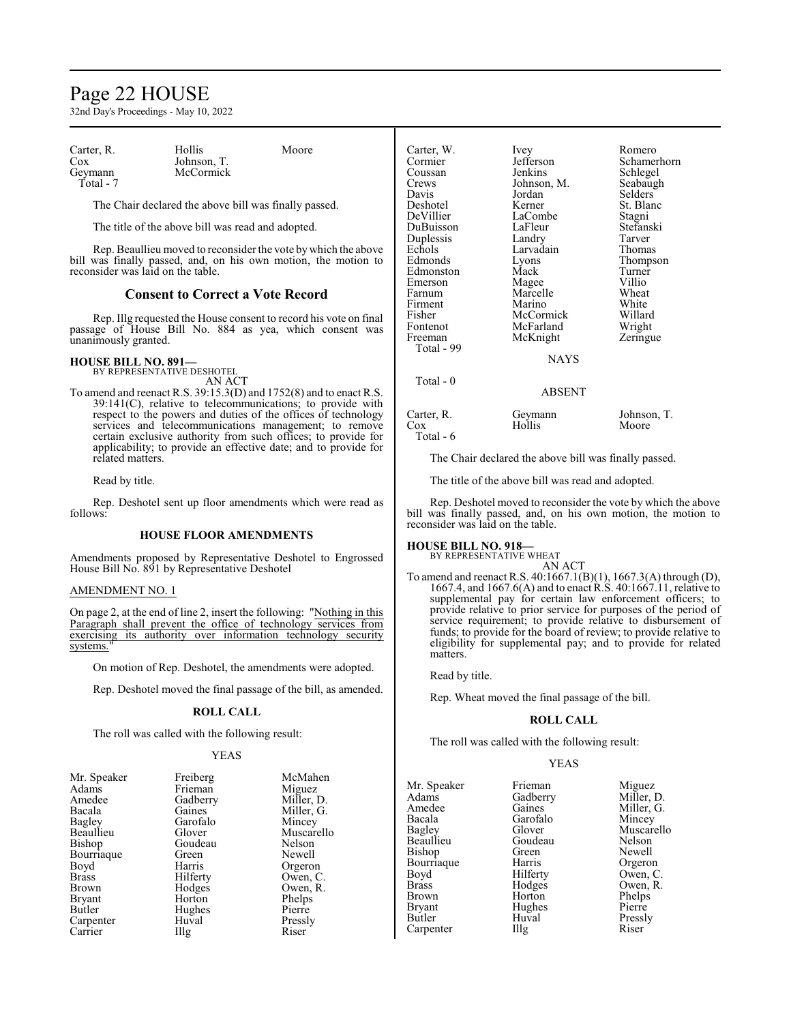# Page 22 HOUSE

32nd Day's Proceedings - May 10, 2022

| Carter, R. | Hollis      | Moore |
|------------|-------------|-------|
| Cox        | Johnson, T. |       |
| Geymann    | McCormick   |       |
| Total - 7  |             |       |

The Chair declared the above bill was finally passed.

The title of the above bill was read and adopted.

Rep. Beaullieu moved to reconsider the vote bywhich the above bill was finally passed, and, on his own motion, the motion to reconsider was laid on the table.

# **Consent to Correct a Vote Record**

Rep. Illg requested the House consent to record his vote on final passage of House Bill No. 884 as yea, which consent was unanimously granted.

# **HOUSE BILL NO. 891—** BY REPRESENTATIVE DESHOTEL

AN ACT

To amend and reenact R.S. 39:15.3(D) and 1752(8) and to enact R.S. 39:141(C), relative to telecommunications; to provide with respect to the powers and duties of the offices of technology services and telecommunications management; to remove certain exclusive authority from such offices; to provide for applicability; to provide an effective date; and to provide for related matters.

Read by title.

Rep. Deshotel sent up floor amendments which were read as follows:

#### **HOUSE FLOOR AMENDMENTS**

Amendments proposed by Representative Deshotel to Engrossed House Bill No. 891 by Representative Deshotel

#### AMENDMENT NO. 1

On page 2, at the end of line 2, insert the following: "Nothing in this Paragraph shall prevent the office of technology services from exercising its authority over information technology security systems.

On motion of Rep. Deshotel, the amendments were adopted.

Rep. Deshotel moved the final passage of the bill, as amended.

#### **ROLL CALL**

The roll was called with the following result:

#### YEAS

| Mr. Speaker   | Freiberg          | McMahen    |
|---------------|-------------------|------------|
| Adams         | Frieman           | Miguez     |
| Amedee        | Gadberry          | Miller, D. |
| Bacala        | Gaines            | Miller, G. |
| Bagley        | Garofalo          | Mincey     |
| Beaullieu     | Glover            | Muscarello |
| Bishop        | Goudeau           | Nelson     |
| Bourriaque    | Green             | Newell     |
| Boyd          | Harris            | Orgeron    |
| <b>Brass</b>  | Hilferty          | Owen, C.   |
| Brown         | Hodges            | Owen, R.   |
| <b>Bryant</b> | Horton            | Phelps     |
| Butler        | Hughes            | Pierre     |
| Carpenter     | Huval             | Pressly    |
| Carrier       | $\prod_{i=1}^{n}$ | Riser      |
|               |                   |            |

| McMahen    |
|------------|
| Miguez     |
| Miller, D. |
| Miller, G. |
| Mincey     |
| Muscarello |
| Nelson     |
| Newell     |
| Orgeron    |
| Owen, C.   |
| Owen, R.   |
| Phelps     |
| Pierre     |
| Pressly    |
| Riser      |
|            |

| Carter, W.<br>Cormier<br>Coussan<br>Crews<br>Davis<br>Deshotel<br>DeVillier<br>DuBuisson<br>Duplessis<br>Echols<br>Edmonds<br>Edmonston<br>Emerson<br>Farnum<br>Firment<br>Fisher<br>Fontenot<br>Freeman<br>Total - 99 | Ivey<br>Jefferson<br>Jenkins<br>Johnson, M.<br>Jordan<br>Kerner<br>LaCombe<br>LaFleur<br>Landry<br>Larvadain<br>Lyons<br>Mack<br>Magee<br>Marcelle<br>Marino<br>McCormick<br>McFarland<br>McKnight<br><b>NAYS</b> | Romero<br>Schamerhorn<br>Schlegel<br>Seabaugh<br>Selders<br>St. Blanc<br>Stagni<br>Stefanski<br>Tarver<br>Thomas<br>Thompson<br>Turner<br>Villio<br>Wheat<br>White<br>Willard<br>Wright<br>Zeringue |
|------------------------------------------------------------------------------------------------------------------------------------------------------------------------------------------------------------------------|-------------------------------------------------------------------------------------------------------------------------------------------------------------------------------------------------------------------|-----------------------------------------------------------------------------------------------------------------------------------------------------------------------------------------------------|
| Total $-0$                                                                                                                                                                                                             | <b>ABSENT</b>                                                                                                                                                                                                     |                                                                                                                                                                                                     |
| Carter, R.<br>Cox<br>Total - 6                                                                                                                                                                                         | Geymann<br>Hollis                                                                                                                                                                                                 | Johnson, T.<br>Moore                                                                                                                                                                                |

The Chair declared the above bill was finally passed.

The title of the above bill was read and adopted.

Rep. Deshotel moved to reconsider the vote by which the above bill was finally passed, and, on his own motion, the motion to reconsider was laid on the table.

# **HOUSE BILL NO. 918—**

BY REPRESENTATIVE WHEAT AN ACT

To amend and reenact R.S. 40:1667.1(B)(1), 1667.3(A) through (D), 1667.4, and 1667.6(A) and to enact R.S. 40:1667.11, relative to supplemental pay for certain law enforcement officers; to provide relative to prior service for purposes of the period of service requirement; to provide relative to disbursement of funds; to provide for the board of review; to provide relative to eligibility for supplemental pay; and to provide for related matters.

Read by title.

Rep. Wheat moved the final passage of the bill.

#### **ROLL CALL**

The roll was called with the following result:

#### YEAS

|          | Miguez              |
|----------|---------------------|
|          | Miller, D.          |
| Gaines   | Miller, G.          |
| Garofalo | Mincey              |
| Glover   | Muscarello          |
| Goudeau  | Nelson              |
| Green    | Newell              |
| Harris   | Orgeron             |
| Hilferty | Owen, C.            |
| Hodges   | Owen, R.            |
| Horton   | Phelps              |
| Hughes   | Pierre              |
| Huval    | Pressly             |
| Illg     | Riser               |
|          | Frieman<br>Gadberry |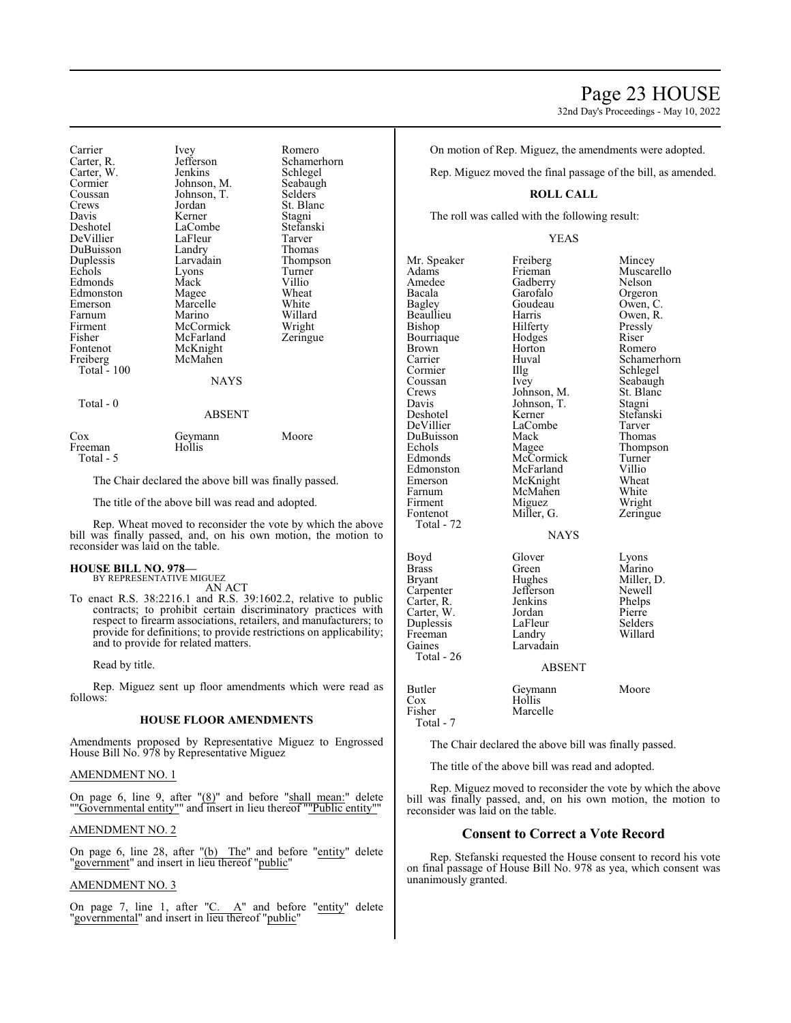32nd Day's Proceedings - May 10, 2022

Carrier Ivey Romero<br>Carter R. Jefferson Schamer Jefferson Schamerhorn<br>Jenkins Schlegel Carter, W. Jenkins Schlegel<br>Cormier Johnson, M. Seabaugh Cormier Johnson, M. Seabaug<br>Coussan Johnson, T. Selders Coussan Johnson, T.<br>Crews Jordan St. Blanc Davis Kerner Stagni Deshotel LaCombe Stefanski DeVillier LaFleur Tarver DuBuisson Landry<br>Duplessis Larvadain Duplessis Larvadain Thompson<br>
Echols Lyons Turner Extension Lyons Turner<br>
Mack Villio Edmonds Mack Villio<br>
Edmonston Magee Wheat Edmonston Magee Wheat Marcelle White<br>Marino Willard Farnum Marino Willard Firment McCormick Wright<br>
Fisher McFarland Zeringue Fisher McFarland<br>Fontenot McKnight McKnight<br>McMahen Freiberg Total  $-100$ **NAYS**  Total - 0 ABSENT Cox Geymann Moore Freeman Total - 5 The Chair declared the above bill was finally passed.

The title of the above bill was read and adopted.

Rep. Wheat moved to reconsider the vote by which the above bill was finally passed, and, on his own motion, the motion to reconsider was laid on the table.

# **HOUSE BILL NO. 978—**

BY REPRESENTATIVE MIGUEZ AN ACT

To enact R.S. 38:2216.1 and R.S. 39:1602.2, relative to public contracts; to prohibit certain discriminatory practices with respect to firearm associations, retailers, and manufacturers; to provide for definitions; to provide restrictions on applicability; and to provide for related matters.

Read by title.

Rep. Miguez sent up floor amendments which were read as follows:

#### **HOUSE FLOOR AMENDMENTS**

Amendments proposed by Representative Miguez to Engrossed House Bill No. 978 by Representative Miguez

# AMENDMENT NO. 1

On page 6, line 9, after "(8)" and before "shall mean:" delete ""Governmental entity"" and insert in lieu thereof ""Public entity"

#### AMENDMENT NO. 2

On page 6, line 28, after "(b) The" and before "entity" delete "government" and insert in lieu thereof "public"

#### AMENDMENT NO. 3

On page 7, line 1, after "C. A" and before "entity" delete "governmental" and insert in lieu thereof "public"

On motion of Rep. Miguez, the amendments were adopted.

Rep. Miguez moved the final passage of the bill, as amended.

# **ROLL CALL**

The roll was called with the following result:

#### YEAS

Mr. Speaker Freiberg Mincey<br>Adams Frieman Muscare Adams Frieman Muscarello Amedee Gadberry<br>Bacala Garofalo Bacala Garofalo Orgeron<br>Bagley Goudeau Owen, C Bagley Goudeau<br>Beaullieu Harris Beaullieu Harris Owen, R.<br>Bishop Hilferty Pressly Hilferty<br>
Hodges<br>
Riser Bourriaque Hodges<br>Brown Horton Brown Horton Romero<br>Carrier Huval Schamer Carrier Huval Schamerhorn<br>
Cormier Hlg Schlegel<br>
Schlegel Cormier IIIg Schlegel<br>Coussan Ivey Seabaugl Coussan Ivey Seabaugh<br>Crews Johnson, M. St. Blanc Crews Johnson, M. St. Blanch<br>Davis Johnson, T. Stagni Davis Johnson, T.<br>Deshotel Kerner Deshotel Kerner Stefanski<br>DeVillier LaCombe Tarver LaCombe Tarver<br>
Mack Thomas DuBuisson Mack<br>Echols Magee Echols Magee Thompson<br>Edmonds McCormick Turner Edmonds McCormick Turner<br>Edmonston McFarland Villio Edmonston McFarland Villio<br>
Emerson McKnight Wheat Emerson McKnight Wheat<br>
Farnum McMahen White Farnum McMahen<br>Firment Miguez Firment Miguez Wright<br>Fontenot Miller, G. Zeringue Miller, G. Total - 72 Boyd Glover Lyons<br>Brass Green Marine Brass Green Marino<br>Bryant Hughes Miller, Carpenter Jefferson Newell<br>Carter, R. Jenkins Phelps Carter, R. Jenkins Phelps<br>Carter, W. Jordan Pierre Carter, W. Jordan Pierre<br>
Duplessis LaFleur Selders Duplessis LaFleur Selders<br>
Freeman Landry Willard Freeman<br>Gaines Larvadain Total - 26

#### NAYS

Hughes Miller, D.<br>
Jefferson Newell

#### ABSENT

| Butler    | Geymann  | Moore |
|-----------|----------|-------|
| Cox       | Hollis   |       |
| Fisher    | Marcelle |       |
| Total - 7 |          |       |

The Chair declared the above bill was finally passed.

The title of the above bill was read and adopted.

Rep. Miguez moved to reconsider the vote by which the above bill was finally passed, and, on his own motion, the motion to reconsider was laid on the table.

#### **Consent to Correct a Vote Record**

Rep. Stefanski requested the House consent to record his vote on final passage of House Bill No. 978 as yea, which consent was unanimously granted.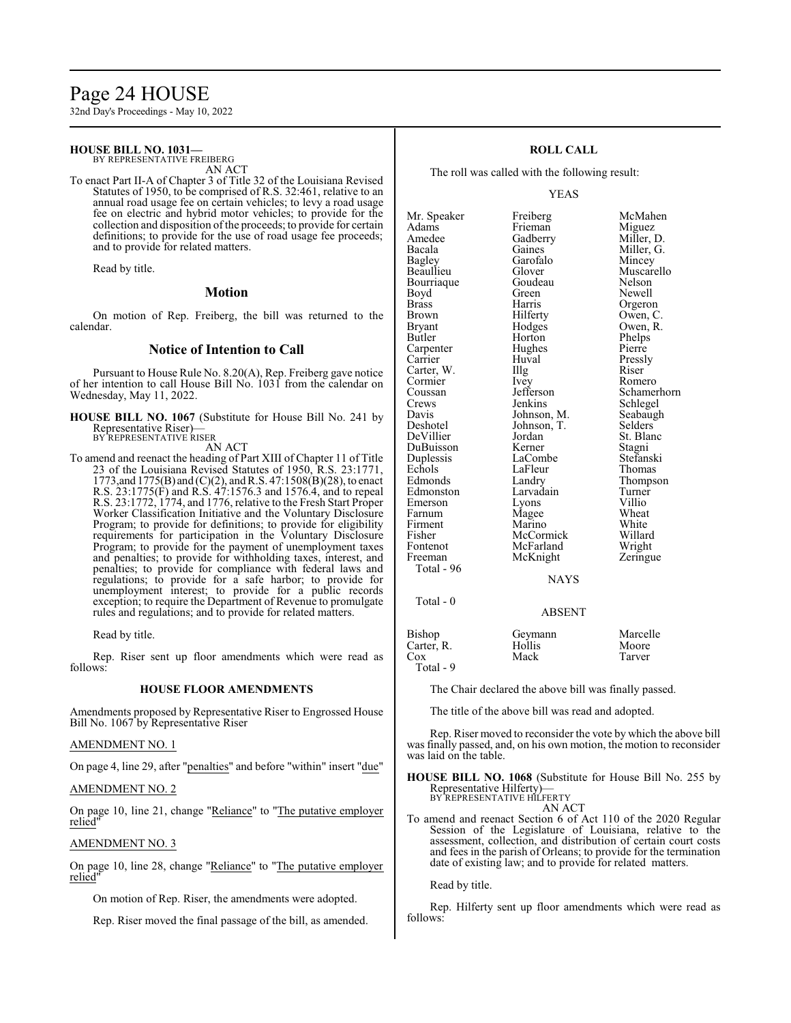# Page 24 HOUSE

32nd Day's Proceedings - May 10, 2022

# **HOUSE BILL NO. 1031—**

BY REPRESENTATIVE FREIBERG AN ACT

To enact Part II-A of Chapter 3 of Title 32 of the Louisiana Revised Statutes of 1950, to be comprised of R.S. 32:461, relative to an annual road usage fee on certain vehicles; to levy a road usage fee on electric and hybrid motor vehicles; to provide for the collection and disposition of the proceeds; to provide for certain definitions; to provide for the use of road usage fee proceeds; and to provide for related matters.

Read by title.

#### **Motion**

On motion of Rep. Freiberg, the bill was returned to the calendar.

# **Notice of Intention to Call**

Pursuant to House Rule No. 8.20(A), Rep. Freiberg gave notice of her intention to call House Bill No. 1031 from the calendar on Wednesday, May 11, 2022.

**HOUSE BILL NO. 1067** (Substitute for House Bill No. 241 by Representative Riser)— BY REPRESENTATIVE RISER

AN ACT

To amend and reenact the heading of Part XIII of Chapter 11 of Title 23 of the Louisiana Revised Statutes of 1950, R.S. 23:1771, 1773,and 1775(B) and (C)(2), and R.S. 47:1508(B)(28), to enact R.S. 23:1775(F) and R.S. 47:1576.3 and 1576.4, and to repeal R.S. 23:1772, 1774, and 1776, relative to the Fresh Start Proper Worker Classification Initiative and the Voluntary Disclosure Program; to provide for definitions; to provide for eligibility requirements for participation in the Voluntary Disclosure Program; to provide for the payment of unemployment taxes and penalties; to provide for withholding taxes, interest, and penalties; to provide for compliance with federal laws and regulations; to provide for a safe harbor; to provide for unemployment interest; to provide for a public records exception; to require the Department of Revenue to promulgate rules and regulations; and to provide for related matters.

Read by title.

Rep. Riser sent up floor amendments which were read as follows:

### **HOUSE FLOOR AMENDMENTS**

Amendments proposed by Representative Riser to Engrossed House Bill No. 1067 by Representative Riser

#### AMENDMENT NO. 1

On page 4, line 29, after "penalties" and before "within" insert "due"

AMENDMENT NO. 2

On page 10, line 21, change "Reliance" to "The putative employer relied"

### AMENDMENT NO. 3

On page 10, line 28, change "Reliance" to "The putative employer relied

On motion of Rep. Riser, the amendments were adopted.

Rep. Riser moved the final passage of the bill, as amended.

# **ROLL CALL**

The roll was called with the following result:

YEAS

Mr. Speaker Freiberg McMahen<br>Adams Frieman Miguez Adams Frieman<br>Amedee Gadberry Amedee Gadberry Miller, D.<br>Bacala Gaines Miller, G. Bacala Gaines Miller, G.<br>Bagley Garofalo Mincey Bagley Garofalo Mincey Bourriaque Goude<br>Boyd Green Boyd Green Newell<br>Brass Harris Orgerou Brown Hilferty Owen, C.<br>Bryant Hodges Owen, R. Bryant Hodges Owen, R.<br>Butler Horton Phelps Carpenter Hughe<br>Carrier Huval Carter, W. Illg Riser Cormier Livey Romero Cormier Ivey<br>Coussan Jefferson Coussan Jefferson Schamerhorn<br>Crews Jenkins Schlegel Crews Jenkins Schlegel<br>Davis Johnson, M. Seabaugh Davis Johnson, M. Seabaugh<br>Deshotel Johnson, T. Selders Deshotel Johnson, T.<br>DeVillier Jordan DuBuisson Kerner Stagni Duplessis LaCombe Stefansk<br>Echols LaFleur Thomas Echols LaFleur<br>Edmonds Landry Edmonston Larvadain Turner Emerson Lyons Villio<br>
Farnum Magee Wheat Firment Marino White<br>
Fisher McCormick Willard Fisher McCormick Willard McFarland Freeman McKnight Zeringue Total - 96  $Total - 0$ 

Glover Muscarello<br>Goudeau Nelson Harris Orgeron<br>Hilferty Owen, C Horton Phelps<br>Hughes Pierre Huval Pressly<br>Illg Riser Jordan St. Blanc<br>
Kerner Stagni Landry Thompson<br>Larvadain Turner Magee Wheat<br>
Marino White

**NAYS** 

#### ABSENT

Bishop Geymann Marcelle<br>Carter. R. Hollis Moore Carter, R. Hollis Moore Cox Mack Tarver Total - 9

The Chair declared the above bill was finally passed.

The title of the above bill was read and adopted.

Rep. Riser moved to reconsider the vote by which the above bill was finally passed, and, on his own motion, the motion to reconsider was laid on the table.

**HOUSE BILL NO. 1068** (Substitute for House Bill No. 255 by Representative Hilferty)— BY REPRESENTATIVE HILFERTY

AN ACT

To amend and reenact Section 6 of Act 110 of the 2020 Regular Session of the Legislature of Louisiana, relative to the assessment, collection, and distribution of certain court costs and fees in the parish of Orleans; to provide for the termination date of existing law; and to provide for related matters.

Read by title.

Rep. Hilferty sent up floor amendments which were read as follows: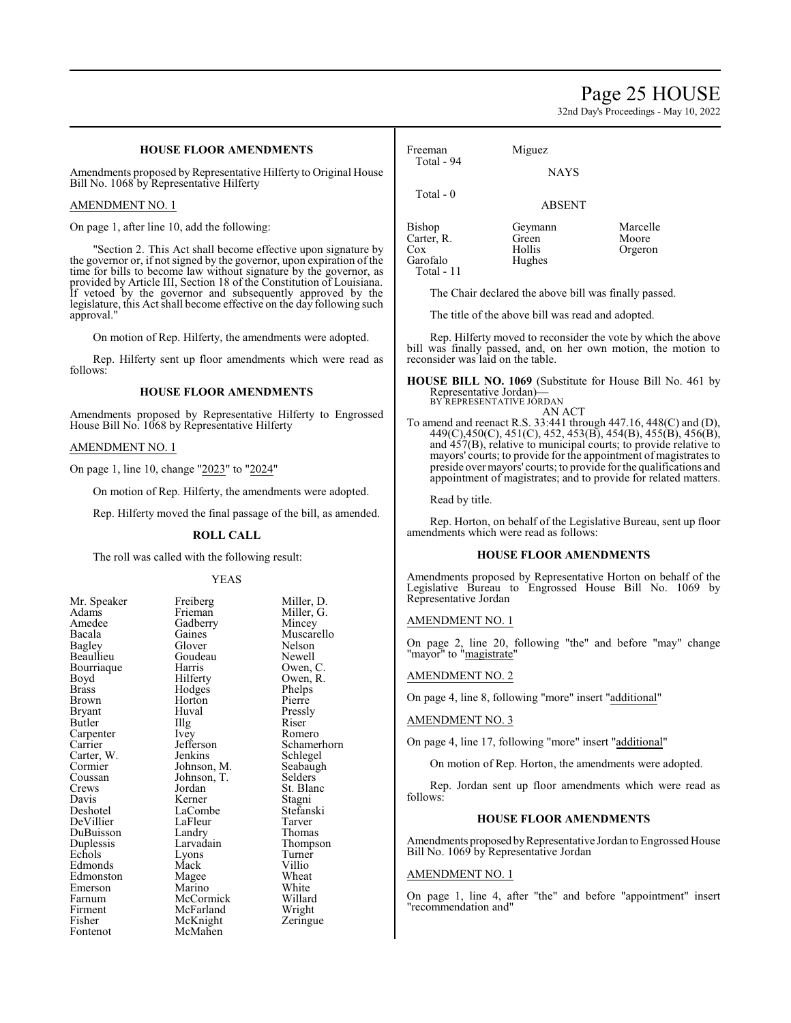# Page 25 HOUSE

32nd Day's Proceedings - May 10, 2022

# **HOUSE FLOOR AMENDMENTS**

Amendments proposed by Representative Hilferty to Original House Bill No. 1068 by Representative Hilferty

#### AMENDMENT NO. 1

On page 1, after line 10, add the following:

"Section 2. This Act shall become effective upon signature by the governor or, if not signed by the governor, upon expiration of the time for bills to become law without signature by the governor, as provided by Article III, Section 18 of the Constitution of Louisiana. If vetoed by the governor and subsequently approved by the legislature, this Act shall become effective on the day following such approval."

On motion of Rep. Hilferty, the amendments were adopted.

Rep. Hilferty sent up floor amendments which were read as follows:

#### **HOUSE FLOOR AMENDMENTS**

Amendments proposed by Representative Hilferty to Engrossed House Bill No. 1068 by Representative Hilferty

#### AMENDMENT NO. 1

On page 1, line 10, change "2023" to "2024"

On motion of Rep. Hilferty, the amendments were adopted.

Rep. Hilferty moved the final passage of the bill, as amended.

#### **ROLL CALL**

The roll was called with the following result:

#### YEAS

| Mr. Speaker | Freiberg    | Miller, D.  |
|-------------|-------------|-------------|
| Adams       | Frieman     | Miller, G.  |
| Amedee      | Gadberry    | Mincey      |
| Bacala      | Gaines      | Muscarello  |
| Bagley      | Glover      | Nelson      |
| Beaullieu   | Goudeau     | Newell      |
| Bourriaque  | Harris      | Owen, C.    |
| Boyd        | Hilferty    | Owen, R.    |
| Brass       | Hodges      | Phelps      |
| Brown       | Horton      | Pierre      |
| Bryant      | Huval       | Pressly     |
| Butler      | Illg        | Riser       |
| Carpenter   | Ivey        | Romero      |
| Carrier     | Jefferson   | Schamerhorn |
| Carter, W.  | Jenkins     | Schlegel    |
| Cormier     | Johnson, M. | Seabaugh    |
| Coussan     | Johnson, T. | Selders     |
| Crews       | Jordan      | St. Blanc   |
| Davis       | Kerner      | Stagni      |
| Deshotel    | LaCombe     | Stefanski   |
| DeVillier   | LaFleur     | Tarver      |
| DuBuisson   | Landry      | Thomas      |
| Duplessis   | Larvadain   | Thompson    |
| Echols      | Lyons       | Turner      |
| Edmonds     | Mack        | Villio      |
| Edmonston   | Magee       | Wheat       |
| Emerson     | Marino      | White       |
| Farnum      | McCormick   | Willard     |
| Firment     | McFarland   | Wright      |
| Fisher      | McKnight    | Zeringue    |
| Fontenot    | McMahen     |             |

| Freeman<br>Total - 94                                 | Miguez                               |                              |
|-------------------------------------------------------|--------------------------------------|------------------------------|
|                                                       | <b>NAYS</b>                          |                              |
| Total - 0                                             | <b>ABSENT</b>                        |                              |
| Bishop<br>Carter, R.<br>Cox<br>Garofalo<br>Total - 11 | Geymann<br>Green<br>Hollis<br>Hughes | Marcelle<br>Moore<br>Orgeron |

The Chair declared the above bill was finally passed.

The title of the above bill was read and adopted.

Rep. Hilferty moved to reconsider the vote by which the above bill was finally passed, and, on her own motion, the motion to reconsider was laid on the table.

**HOUSE BILL NO. 1069** (Substitute for House Bill No. 461 by Representative Jordan)— BY REPRESENTATIVE JORDAN

# AN ACT

To amend and reenact R.S. 33:441 through 447.16, 448(C) and (D), 449(C),450(C), 451(C), 452, 453(B), 454(B), 455(B), 456(B), and  $457(B)$ , relative to municipal courts; to provide relative to mayors' courts; to provide for the appointment of magistrates to preside over mayors' courts; to provide for the qualifications and appointment of magistrates; and to provide for related matters.

Read by title.

Rep. Horton, on behalf of the Legislative Bureau, sent up floor amendments which were read as follows:

#### **HOUSE FLOOR AMENDMENTS**

Amendments proposed by Representative Horton on behalf of the Legislative Bureau to Engrossed House Bill No. 1069 by Representative Jordan

### AMENDMENT NO. 1

On page 2, line 20, following "the" and before "may" change "mayor" to "magistrate"

#### AMENDMENT NO. 2

On page 4, line 8, following "more" insert "additional"

#### AMENDMENT NO. 3

On page 4, line 17, following "more" insert "additional"

On motion of Rep. Horton, the amendments were adopted.

Rep. Jordan sent up floor amendments which were read as follows:

# **HOUSE FLOOR AMENDMENTS**

Amendments proposed by Representative Jordan to Engrossed House Bill No. 1069 by Representative Jordan

### AMENDMENT NO. 1

On page 1, line 4, after "the" and before "appointment" insert "recommendation and"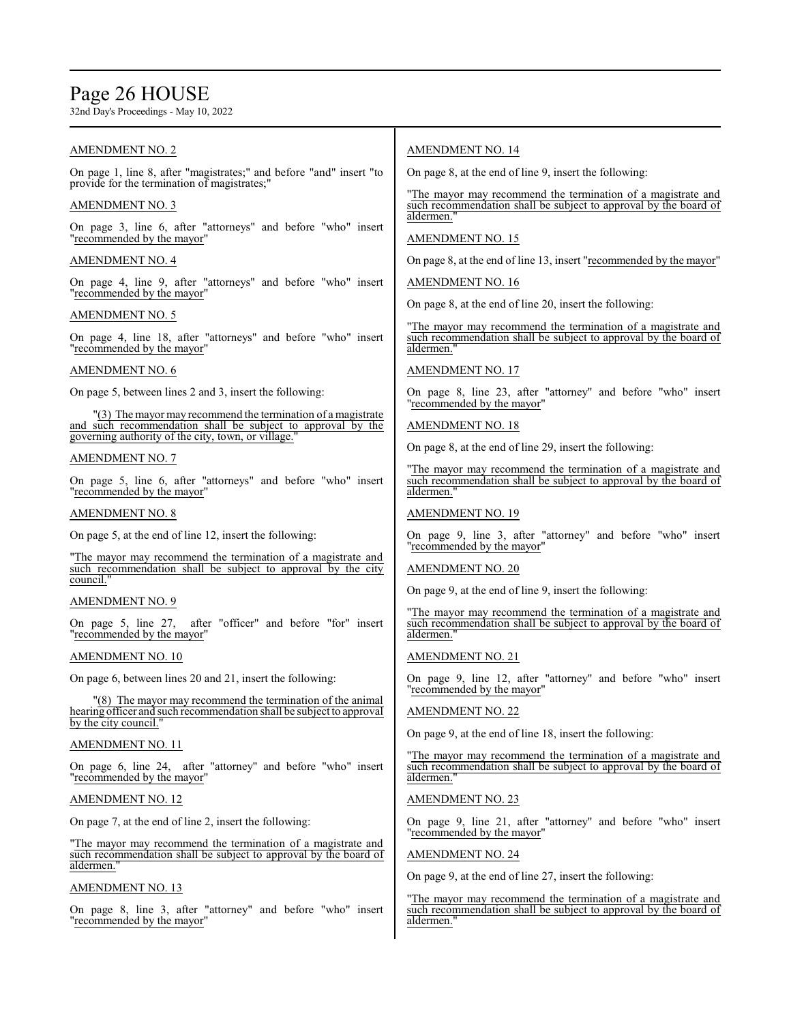# Page 26 HOUSE

32nd Day's Proceedings - May 10, 2022

# AMENDMENT NO. 2

On page 1, line 8, after "magistrates;" and before "and" insert "to provide for the termination of magistrates;

### AMENDMENT NO. 3

On page 3, line 6, after "attorneys" and before "who" insert "recommended by the mayor"

# AMENDMENT NO. 4

On page 4, line 9, after "attorneys" and before "who" insert "recommended by the mayor"

#### AMENDMENT NO. 5

On page 4, line 18, after "attorneys" and before "who" insert "recommended by the mayor"

### AMENDMENT NO. 6

On page 5, between lines 2 and 3, insert the following:

"(3) The mayor may recommend the termination of a magistrate and such recommendation shall be subject to approval by the governing authority of the city, town, or village.

#### AMENDMENT NO. 7

On page 5, line 6, after "attorneys" and before "who" insert "recommended by the mayor"

#### AMENDMENT NO. 8

On page 5, at the end of line 12, insert the following:

"The mayor may recommend the termination of a magistrate and such recommendation shall be subject to approval by the city council.

# AMENDMENT NO. 9

On page 5, line 27, after "officer" and before "for" insert "recommended by the mayor"

#### AMENDMENT NO. 10

On page 6, between lines 20 and 21, insert the following:

"(8) The mayor may recommend the termination of the animal hearing officer and such recommendation shall be subject to approval by the city council."

#### AMENDMENT NO. 11

On page 6, line 24, after "attorney" and before "who" insert "recommended by the mayor"

#### AMENDMENT NO. 12

On page 7, at the end of line 2, insert the following:

"The mayor may recommend the termination of a magistrate and such recommendation shall be subject to approval by the board of aldermen."

# AMENDMENT NO. 13

On page 8, line 3, after "attorney" and before "who" insert "recommended by the mayor"

# AMENDMENT NO. 14

On page 8, at the end of line 9, insert the following:

"The mayor may recommend the termination of a magistrate and such recommendation shall be subject to approval by the board of aldermen.

### AMENDMENT NO. 15

On page 8, at the end of line 13, insert "recommended by the mayor"

AMENDMENT NO. 16

On page 8, at the end of line 20, insert the following:

"The mayor may recommend the termination of a magistrate and such recommendation shall be subject to approval by the board of aldermen.

# AMENDMENT NO. 17

On page 8, line 23, after "attorney" and before "who" insert "recommended by the mayor"

# AMENDMENT NO. 18

On page 8, at the end of line 29, insert the following:

The mayor may recommend the termination of a magistrate and such recommendation shall be subject to approval by the board of aldermen."

### AMENDMENT NO. 19

On page 9, line 3, after "attorney" and before "who" insert "recommended by the mayor"

#### AMENDMENT NO. 20

On page 9, at the end of line 9, insert the following:

"The mayor may recommend the termination of a magistrate and such recommendation shall be subject to approval by the board of aldermen."

#### AMENDMENT NO. 21

On page 9, line 12, after "attorney" and before "who" insert "recommended by the mayor"

# AMENDMENT NO. 22

On page 9, at the end of line 18, insert the following:

"The mayor may recommend the termination of a magistrate and such recommendation shall be subject to approval by the board of aldermen."

# AMENDMENT NO. 23

On page 9, line 21, after "attorney" and before "who" insert "recommended by the mayor"

# AMENDMENT NO. 24

On page 9, at the end of line 27, insert the following:

"The mayor may recommend the termination of a magistrate and such recommendation shall be subject to approval by the board of aldermen."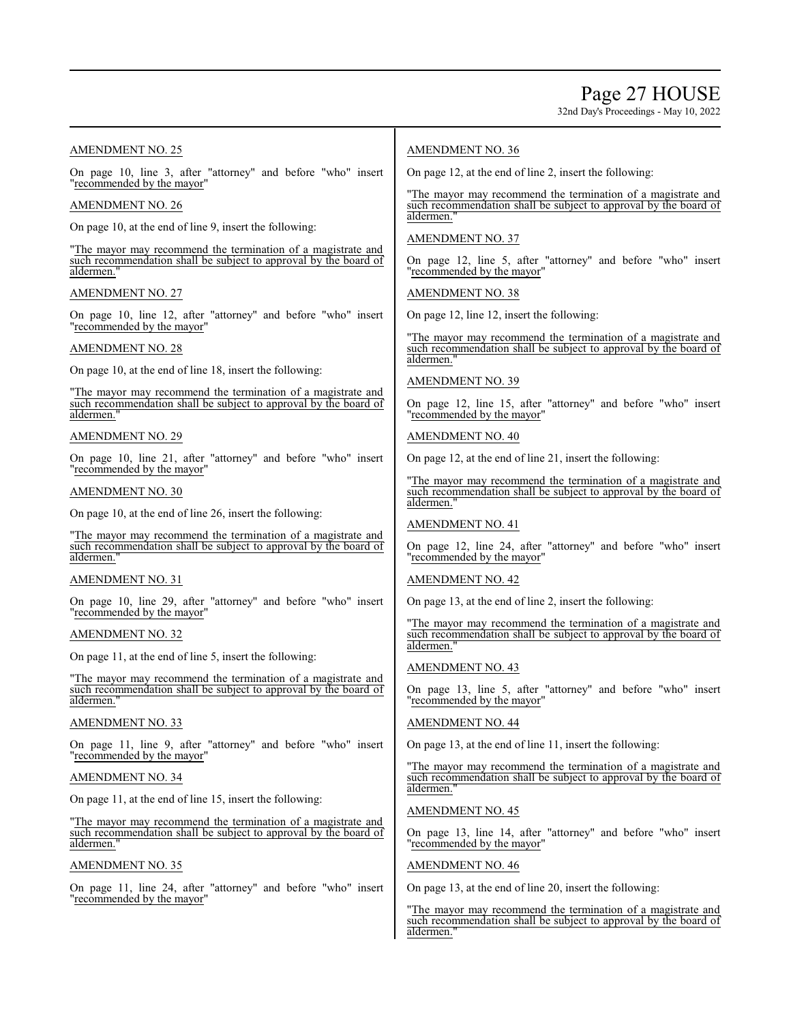32nd Day's Proceedings - May 10, 2022

# AMENDMENT NO. 25

On page 10, line 3, after "attorney" and before "who" insert "recommended by the mayor"

#### AMENDMENT NO. 26

On page 10, at the end of line 9, insert the following:

"The mayor may recommend the termination of a magistrate and such recommendation shall be subject to approval by the board of aldermen.

#### AMENDMENT NO. 27

On page 10, line 12, after "attorney" and before "who" insert "recommended by the mayor"

# AMENDMENT NO. 28

On page 10, at the end of line 18, insert the following:

"The mayor may recommend the termination of a magistrate and such recommendation shall be subject to approval by the board of aldermen."

#### AMENDMENT NO. 29

On page 10, line 21, after "attorney" and before "who" insert "recommended by the mayor"

# AMENDMENT NO. 30

On page 10, at the end of line 26, insert the following:

"The mayor may recommend the termination of a magistrate and such recommendation shall be subject to approval by the board of aldermen."

#### AMENDMENT NO. 31

On page 10, line 29, after "attorney" and before "who" insert "recommended by the mayor"

# AMENDMENT NO. 32

On page 11, at the end of line 5, insert the following:

"The mayor may recommend the termination of a magistrate and such recommendation shall be subject to approval by the board of aldermen."

#### AMENDMENT NO. 33

On page 11, line 9, after "attorney" and before "who" insert "recommended by the mayor"

### AMENDMENT NO. 34

On page 11, at the end of line 15, insert the following:

"The mayor may recommend the termination of a magistrate and such recommendation shall be subject to approval by the board of aldermen."

#### AMENDMENT NO. 35

On page 11, line 24, after "attorney" and before "who" insert "recommended by the mayor"

### AMENDMENT NO. 36

On page 12, at the end of line 2, insert the following:

"The mayor may recommend the termination of a magistrate and such recommendation shall be subject to approval by the board of aldermen.

### AMENDMENT NO. 37

On page 12, line 5, after "attorney" and before "who" insert "recommended by the mayor"

#### AMENDMENT NO. 38

On page 12, line 12, insert the following:

"The mayor may recommend the termination of a magistrate and such recommendation shall be subject to approval by the board of aldermen.

#### AMENDMENT NO. 39

On page 12, line 15, after "attorney" and before "who" insert "recommended by the mayor"

#### AMENDMENT NO. 40

On page 12, at the end of line 21, insert the following:

"The mayor may recommend the termination of a magistrate and such recommendation shall be subject to approval by the board of aldermen.

#### AMENDMENT NO. 41

On page 12, line 24, after "attorney" and before "who" insert "recommended by the mayor"

# AMENDMENT NO. 42

On page 13, at the end of line 2, insert the following:

"The mayor may recommend the termination of a magistrate and such recommendation shall be subject to approval by the board of aldermen."

# AMENDMENT NO. 43

On page 13, line 5, after "attorney" and before "who" insert "recommended by the mayor"

# AMENDMENT NO. 44

On page 13, at the end of line 11, insert the following:

"The mayor may recommend the termination of a magistrate and such recommendation shall be subject to approval by the board of aldermen.

### AMENDMENT NO. 45

On page 13, line 14, after "attorney" and before "who" insert "recommended by the mayor"

#### AMENDMENT NO. 46

On page 13, at the end of line 20, insert the following:

"The mayor may recommend the termination of a magistrate and such recommendation shall be subject to approval by the board of aldermen."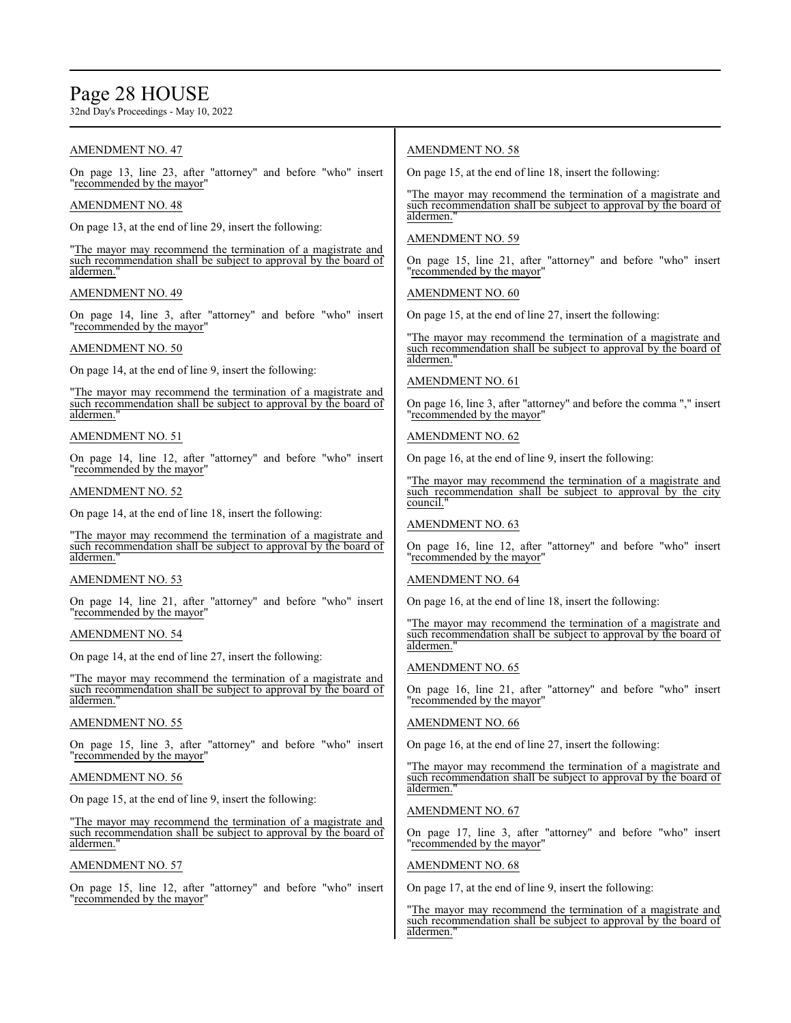# Page 28 HOUSE

32nd Day's Proceedings - May 10, 2022

# AMENDMENT NO. 47

On page 13, line 23, after "attorney" and before "who" insert "recommended by the mayor"

# AMENDMENT NO. 48

On page 13, at the end of line 29, insert the following:

"The mayor may recommend the termination of a magistrate and such recommendation shall be subject to approval by the board of aldermen.

# AMENDMENT NO. 49

On page 14, line 3, after "attorney" and before "who" insert "recommended by the mayor"

# AMENDMENT NO. 50

On page 14, at the end of line 9, insert the following:

"The mayor may recommend the termination of a magistrate and such recommendation shall be subject to approval by the board of aldermen."

# AMENDMENT NO. 51

On page 14, line 12, after "attorney" and before "who" insert "recommended by the mayor"

# AMENDMENT NO. 52

On page 14, at the end of line 18, insert the following:

"The mayor may recommend the termination of a magistrate and such recommendation shall be subject to approval by the board of aldermen."

#### AMENDMENT NO. 53

On page 14, line 21, after "attorney" and before "who" insert "recommended by the mayor"

# AMENDMENT NO. 54

On page 14, at the end of line 27, insert the following:

"The mayor may recommend the termination of a magistrate and such recommendation shall be subject to approval by the board of aldermen."

# AMENDMENT NO. 55

On page 15, line 3, after "attorney" and before "who" insert "recommended by the mayor"

### AMENDMENT NO. 56

On page 15, at the end of line 9, insert the following:

"The mayor may recommend the termination of a magistrate and such recommendation shall be subject to approval by the board of aldermen."

# AMENDMENT NO. 57

On page 15, line 12, after "attorney" and before "who" insert "recommended by the mayor"

# AMENDMENT NO. 58

On page 15, at the end of line 18, insert the following:

"The mayor may recommend the termination of a magistrate and such recommendation shall be subject to approval by the board of aldermen.

### AMENDMENT NO. 59

On page 15, line 21, after "attorney" and before "who" insert "recommended by the mayor"

# AMENDMENT NO. 60

On page 15, at the end of line 27, insert the following:

"The mayor may recommend the termination of a magistrate and such recommendation shall be subject to approval by the board of aldermen.

#### AMENDMENT NO. 61

On page 16, line 3, after "attorney" and before the comma "," insert "recommended by the mayor"

#### AMENDMENT NO. 62

On page 16, at the end of line 9, insert the following:

"The mayor may recommend the termination of a magistrate and such recommendation shall be subject to approval by the city council."

# AMENDMENT NO. 63

On page 16, line 12, after "attorney" and before "who" insert "recommended by the mayor"

# AMENDMENT NO. 64

On page 16, at the end of line 18, insert the following:

"The mayor may recommend the termination of a magistrate and such recommendation shall be subject to approval by the board of aldermen.

# AMENDMENT NO. 65

On page 16, line 21, after "attorney" and before "who" insert "recommended by the mayor"

# AMENDMENT NO. 66

On page 16, at the end of line 27, insert the following:

"The mayor may recommend the termination of a magistrate and such recommendation shall be subject to approval by the board of aldermen.

#### AMENDMENT NO. 67

On page 17, line 3, after "attorney" and before "who" insert "recommended by the mayor"

# AMENDMENT NO. 68

On page 17, at the end of line 9, insert the following:

"The mayor may recommend the termination of a magistrate and such recommendation shall be subject to approval by the board of aldermen.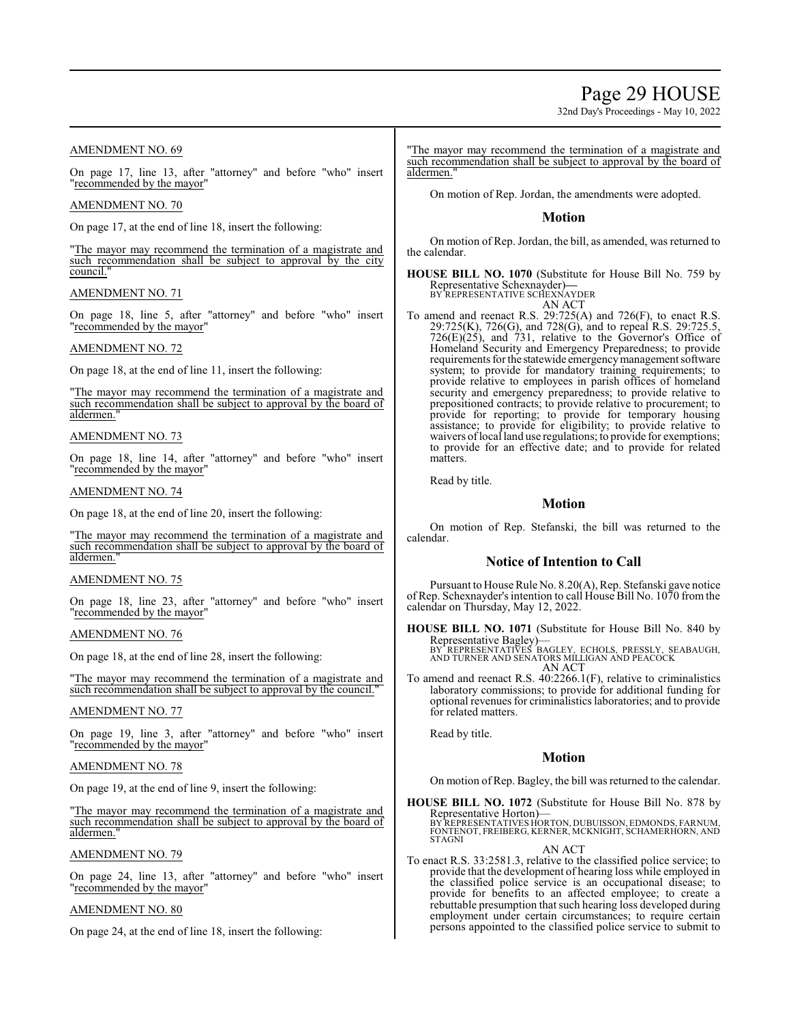# Page 29 HOUSE

32nd Day's Proceedings - May 10, 2022

# AMENDMENT NO. 69

On page 17, line 13, after "attorney" and before "who" insert "recommended by the mayor"

#### AMENDMENT NO. 70

On page 17, at the end of line 18, insert the following:

"The mayor may recommend the termination of a magistrate and such recommendation shall be subject to approval by the city council.

### AMENDMENT NO. 71

On page 18, line 5, after "attorney" and before "who" insert "recommended by the mayor"

### AMENDMENT NO. 72

On page 18, at the end of line 11, insert the following:

"The mayor may recommend the termination of a magistrate and such recommendation shall be subject to approval by the board of aldermen."

#### AMENDMENT NO. 73

On page 18, line 14, after "attorney" and before "who" insert "recommended by the mayor"

# AMENDMENT NO. 74

On page 18, at the end of line 20, insert the following:

"The mayor may recommend the termination of a magistrate and such recommendation shall be subject to approval by the board of aldermen."

#### AMENDMENT NO. 75

On page 18, line 23, after "attorney" and before "who" insert "recommended by the mayor"

### AMENDMENT NO. 76

On page 18, at the end of line 28, insert the following:

"The mayor may recommend the termination of a magistrate and such recommendation shall be subject to approval by the council.

#### AMENDMENT NO. 77

On page 19, line 3, after "attorney" and before "who" insert "recommended by the mayor"

### AMENDMENT NO. 78

On page 19, at the end of line 9, insert the following:

"The mayor may recommend the termination of a magistrate and such recommendation shall be subject to approval by the board of aldermen."

#### AMENDMENT NO. 79

On page 24, line 13, after "attorney" and before "who" insert "recommended by the mayor"

#### AMENDMENT NO. 80

On page 24, at the end of line 18, insert the following:

"The mayor may recommend the termination of a magistrate and such recommendation shall be subject to approval by the board of aldermen."

On motion of Rep. Jordan, the amendments were adopted.

### **Motion**

On motion of Rep. Jordan, the bill, as amended, was returned to the calendar.

**HOUSE BILL NO. 1070** (Substitute for House Bill No. 759 by Representative Schexnayder)**—** BY REPRESENTATIVE SCHEXNAYDER

AN ACT

To amend and reenact R.S. 29:725(A) and 726(F), to enact R.S. 29:725(K), 726(G), and 728(G), and to repeal R.S. 29:725.5, 726(E)(25), and 731, relative to the Governor's Office of Homeland Security and Emergency Preparedness; to provide requirements for the statewide emergencymanagement software system; to provide for mandatory training requirements; to provide relative to employees in parish offices of homeland security and emergency preparedness; to provide relative to prepositioned contracts; to provide relative to procurement; to provide for reporting; to provide for temporary housing assistance; to provide for eligibility; to provide relative to waivers oflocal land use regulations; to provide for exemptions; to provide for an effective date; and to provide for related matters.

Read by title.

# **Motion**

On motion of Rep. Stefanski, the bill was returned to the calendar.

# **Notice of Intention to Call**

Pursuant to House Rule No. 8.20(A), Rep. Stefanski gave notice of Rep. Schexnayder's intention to call House Bill No. 1070 from the calendar on Thursday, May 12, 2022.

**HOUSE BILL NO. 1071** (Substitute for House Bill No. 840 by Representative Bagley)— BY REPRESENTATIVES BAGLEY, ECHOLS, PRESSLY, SEABAUGH, AND TURNER AND SENATORS MILLIGAN AND PEACOCK AN ACT

To amend and reenact R.S. 40:2266.1(F), relative to criminalistics laboratory commissions; to provide for additional funding for optional revenues for criminalistics laboratories; and to provide for related matters.

Read by title.

# **Motion**

On motion of Rep. Bagley, the bill was returned to the calendar.

**HOUSE BILL NO. 1072** (Substitute for House Bill No. 878 by Representative Horton)— BY REPRESENTATIVES HORTON, DUBUISSON, EDMONDS, FARNUM, FONTENOT, FREIBERG, KERNER, MCKNIGHT, SCHAMERHORN, AND **STAGNI** AN ACT

To enact R.S. 33:2581.3, relative to the classified police service; to provide that the development of hearing loss while employed in the classified police service is an occupational disease; to provide for benefits to an affected employee; to create a rebuttable presumption that such hearing loss developed during employment under certain circumstances; to require certain persons appointed to the classified police service to submit to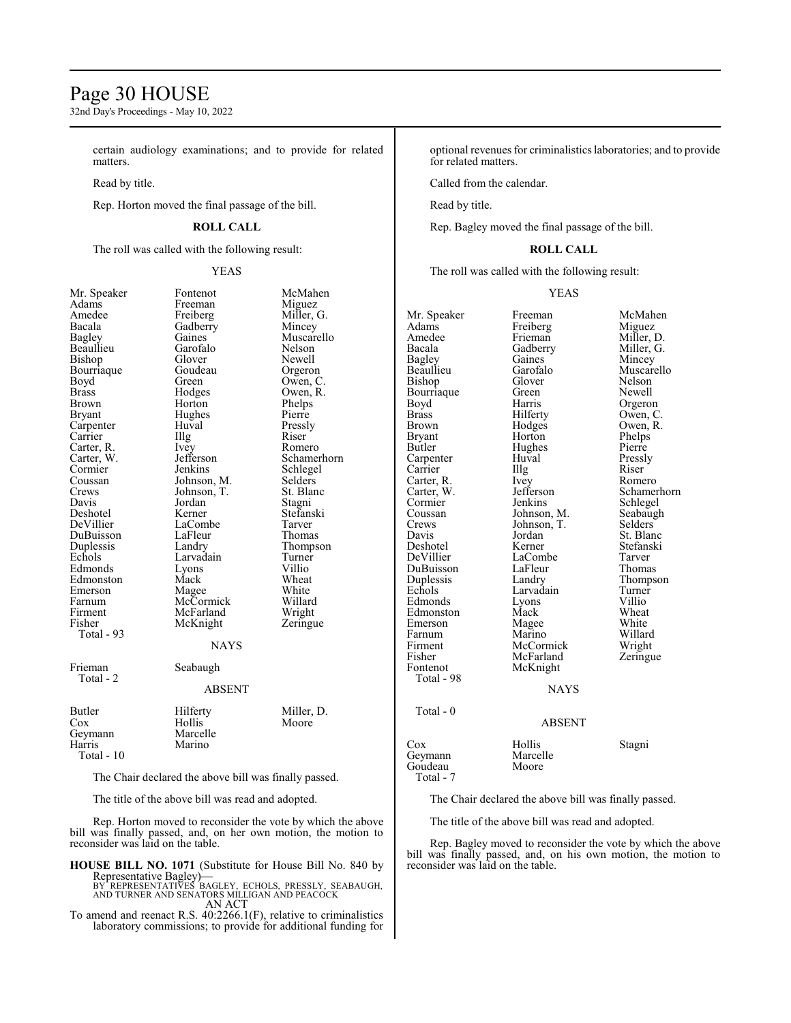# Page 30 HOUSE

32nd Day's Proceedings - May 10, 2022

certain audiology examinations; and to provide for related matters.

Read by title.

Rep. Horton moved the final passage of the bill.

# **ROLL CALL**

The roll was called with the following result:

# YEAS

| Mr. Speaker  | Fontenot      | McMa    |
|--------------|---------------|---------|
| Adams        | Freeman       | Migue   |
| Amedee       | Freiberg      | Miller  |
| Bacala       | Gadberry      | Mince   |
| Bagley       | Gaines        | Musca   |
| Beaullieu    | Garofalo      | Nelso:  |
| Bishop       | Glover        | Newel   |
| Bourriaque   | Goudeau       | Orger   |
| Boyd         | Green         | Owen    |
| Brass        | Hodges        | Owen    |
| Brown        | Horton        | Phelp   |
| Bryant       | Hughes        | Pierre  |
| Carpenter    | Huval         | Pressl  |
| Carrier      | Illg          | Riser   |
| Carter, R.   | Ivey          | Rome    |
| Carter, W.   | Jefferson     | Schan   |
| Cormier      | Jenkins       | Schleg  |
| Coussan      | Johnson, M.   | Seldei  |
| Crews        | Johnson, T.   | St. Bla |
| Davis        | Jordan        | Stagni  |
| Deshotel     | Kerner        | Stefan  |
| DeVillier    | LaCombe       | Tarver  |
| DuBuisson    | LaFleur       | Thom    |
| Duplessis    | Landry        | Thom    |
| Echols       | Larvadain     | Turne   |
| Edmonds      | Lyons         | Villio  |
| Edmonston    | Mack          | Whea    |
| Emerson      | Magee         | White   |
| Farnum       | McCormick     | Willar  |
| Firment      | McFarland     | Wrigh   |
| Fisher       | McKnight      | Zering  |
| Total - 93   |               |         |
|              | <b>NAYS</b>   |         |
| Frieman      | Seabaugh      |         |
| Total - 2    |               |         |
|              | <b>ABSENT</b> |         |
| Butler       | Hilferty      | Miller  |
| Cox          | Hollis        | Moore   |
| Geymann      | Marcelle      |         |
| Harris       | Marino        |         |
| $Total - 10$ |               |         |

tenot McMahen eman Miguez iberg Miller, G.<br>1991 Mincey 18 Mincey<br>
1988 Muscar<br>
Muscar nes Muscarello<br>
ofalo Nelson ofalo Nelson<br>ver Newell ver Newell<br>udeau Orgero udeau Orgeron<br>en Owen, C en Owen, C.<br>dges Owen, R. Owen, R. rton Phelps<br>ghes Pierre ghes Pierre<br>val Pressl<sup>,</sup> Pressly<br>Riser y Romero<br>Cerson Schamer Eerson Schamerhorn<br>
Schlegel<br>
Schlegel Schlegel<br>Selders nson, M.<br>nson, T. nson, T. St. Blanc<br>dan Stagni dan Stagni<br>Ther Stefans ner Stefanski<br>Deshotel Tarver Prombe Tarver<br>Peter Thoma Pur Thomas<br>Purisson Thomas<br>Thomps Thompson<br>Turner vadain<br><sup>ons</sup> edmonds villions villions villions villions villions villions villions villions v<br>Edmonds villions villions villions villions villions villions villions villions villions villions villions vi<br>Edmonds villions villions vill ek Wheat<br>gee White Čormick Willard<br>Farland Wright Farland<br>Knight Zeringue NAYS baugh ABSENT Ferty Miller, D.<br>Ilis Moore Moore rcelle<br>rino

Total - 10

The Chair declared the above bill was finally passed.

The title of the above bill was read and adopted.

Rep. Horton moved to reconsider the vote by which the above bill was finally passed, and, on her own motion, the motion to reconsider was laid on the table.

**HOUSE BILL NO. 1071** (Substitute for House Bill No. 840 by

Representative Bagley)—<br>BY REPRESENTATIVES BAGLEY, ECHOLS, PRESSLY, SEABAUGH,<br>AND TURNER AND SENATORS MILLIGAN AND PEACOCK<br>AN ACT

To amend and reenact R.S. 40:2266.1(F), relative to criminalistics laboratory commissions; to provide for additional funding for optional revenues for criminalistics laboratories; and to provide for related matters.

Called from the calendar.

Read by title.

Rep. Bagley moved the final passage of the bill.

# **ROLL CALL**

The roll was called with the following result:

#### YEAS

| Mr. Speaker<br>Adams<br>Amedee<br>Bacala<br>Bagley<br>Beaullieu<br>Bishop<br>Bourriaque<br>Boyd<br>Brass<br>Brown<br>Bryant<br>Butler<br>Carpenter<br>Carrier<br>Carter, R.<br>Carter, W.<br>Cormier<br>Coussan<br>Crews<br>Davis<br>Deshotel<br>DeVillier<br>DuBuisson<br>Duplessis<br>Echols<br>Edmonds<br>Edmonston<br>Emerson<br>Farnum<br>Firment<br>Fisher<br>Fontenot<br>Total - 98<br>Total - 0 | Freeman<br>Freiberg<br>Frieman<br>Gadberry<br>Gaines<br>Garofalo<br>Glover<br>Green<br>Harris<br>Hilferty<br>Hodges<br>Horton<br>Hughes<br>Huval<br>Illg<br>Ivey<br>Jefferson<br>Jenkins<br>Johnson, M.<br>Johnson, T.<br>Jordan<br>Kerner<br>LaCombe<br>LaFleur<br>Landry<br>Larvadain<br>Lyons<br>Mack<br>Magee<br>Marino<br>McCormick<br>McFarland<br>McKnight<br><b>NAYS</b> | McMahen<br>Miguez<br>Miller, D.<br>Miller, G.<br>Mincey<br>Muscarello<br>Nelson<br>Newell<br>Orgeron<br>Owen, C.<br>Owen, R.<br>Phelps<br>Pierre<br>Pressly<br>Riser<br>Romero<br>Schamerhorn<br>Schlegel<br>Seabaugh<br>Selders<br>St. Blanc<br>Stefanski<br>Tarver<br>Thomas<br>Thompson<br>Turner<br>Villio<br>Wheat<br>White<br>Willard<br>Wright<br>Zeringue |
|---------------------------------------------------------------------------------------------------------------------------------------------------------------------------------------------------------------------------------------------------------------------------------------------------------------------------------------------------------------------------------------------------------|----------------------------------------------------------------------------------------------------------------------------------------------------------------------------------------------------------------------------------------------------------------------------------------------------------------------------------------------------------------------------------|-------------------------------------------------------------------------------------------------------------------------------------------------------------------------------------------------------------------------------------------------------------------------------------------------------------------------------------------------------------------|
|                                                                                                                                                                                                                                                                                                                                                                                                         |                                                                                                                                                                                                                                                                                                                                                                                  |                                                                                                                                                                                                                                                                                                                                                                   |
|                                                                                                                                                                                                                                                                                                                                                                                                         | <b>ABSENT</b>                                                                                                                                                                                                                                                                                                                                                                    |                                                                                                                                                                                                                                                                                                                                                                   |
| Cox<br>Geymann<br>Goudeau<br>Total - 7                                                                                                                                                                                                                                                                                                                                                                  | Hollis<br>Marcelle<br>Moore                                                                                                                                                                                                                                                                                                                                                      | Stagni                                                                                                                                                                                                                                                                                                                                                            |

The Chair declared the above bill was finally passed.

The title of the above bill was read and adopted.

Rep. Bagley moved to reconsider the vote by which the above bill was finally passed, and, on his own motion, the motion to reconsider was laid on the table.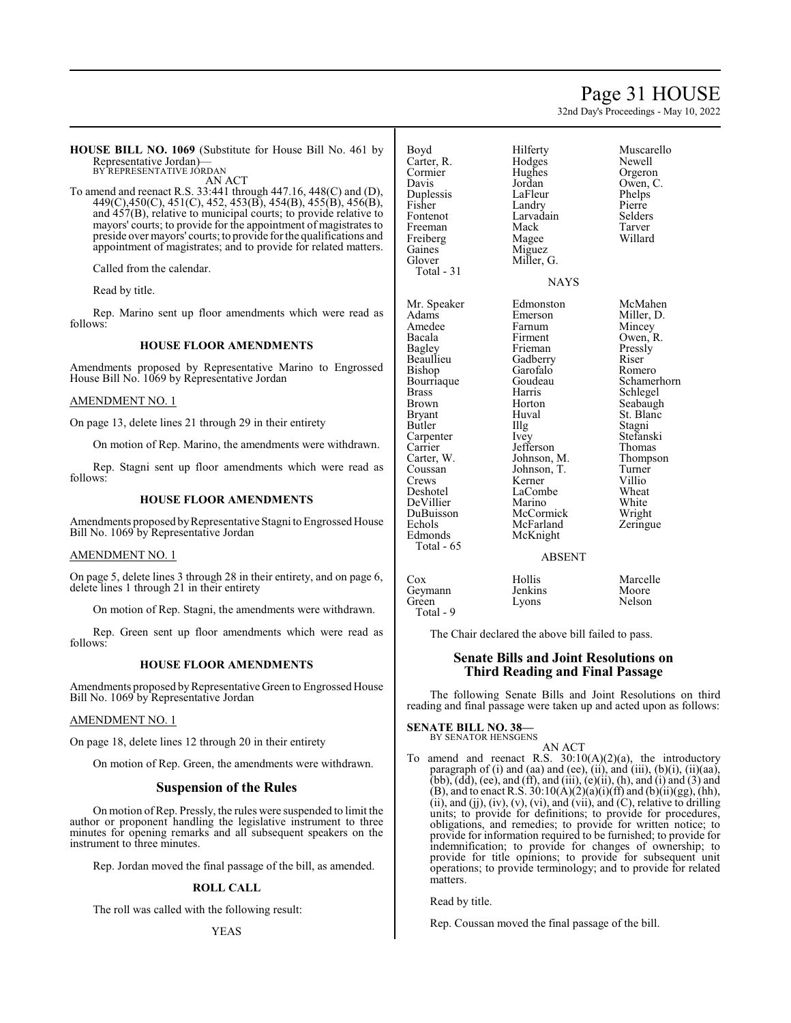# Page 31 HOUSE

32nd Day's Proceedings - May 10, 2022

**HOUSE BILL NO. 1069** (Substitute for House Bill No. 461 by Representative Jordan)— BY REPRESENTATIVE JORDAN

AN ACT

To amend and reenact R.S. 33:441 through 447.16, 448(C) and (D), 449(C),450(C), 451(C), 452, 453(B), 454(B), 455(B), 456(B), and 457(B), relative to municipal courts; to provide relative to mayors' courts; to provide for the appointment of magistrates to preside over mayors' courts; to provide for the qualifications and appointment of magistrates; and to provide for related matters.

Called from the calendar.

Read by title.

Rep. Marino sent up floor amendments which were read as follows:

#### **HOUSE FLOOR AMENDMENTS**

Amendments proposed by Representative Marino to Engrossed House Bill No. 1069 by Representative Jordan

### AMENDMENT NO. 1

On page 13, delete lines 21 through 29 in their entirety

On motion of Rep. Marino, the amendments were withdrawn.

Rep. Stagni sent up floor amendments which were read as follows:

#### **HOUSE FLOOR AMENDMENTS**

Amendments proposed by Representative Stagni to Engrossed House Bill No. 1069 by Representative Jordan

### AMENDMENT NO. 1

On page 5, delete lines 3 through 28 in their entirety, and on page 6, delete lines 1 through 21 in their entirety

On motion of Rep. Stagni, the amendments were withdrawn.

Rep. Green sent up floor amendments which were read as follows:

#### **HOUSE FLOOR AMENDMENTS**

Amendments proposed by Representative Green to Engrossed House Bill No. 1069 by Representative Jordan

#### AMENDMENT NO. 1

On page 18, delete lines 12 through 20 in their entirety

On motion of Rep. Green, the amendments were withdrawn.

# **Suspension of the Rules**

On motion ofRep. Pressly, the rules were suspended to limit the author or proponent handling the legislative instrument to three minutes for opening remarks and all subsequent speakers on the instrument to three minutes.

Rep. Jordan moved the final passage of the bill, as amended.

#### **ROLL CALL**

The roll was called with the following result:

| Boyd<br>Carter, R.<br>Cormier<br>Davis<br>Duplessis<br>Fisher<br>Fontenot | Hilferty<br>Hodges<br>Hughes<br>Jordan<br>LaFleur<br>Landry<br>Larvadain | Muscarello<br>Newell<br>Orgeron<br>Owen, C.<br>Phelps<br>Pierre<br>Selders |
|---------------------------------------------------------------------------|--------------------------------------------------------------------------|----------------------------------------------------------------------------|
| Freeman                                                                   | Mack                                                                     | Tarver                                                                     |
| Freiberg                                                                  | Magee                                                                    | Willard                                                                    |
| Gaines                                                                    | Miguez                                                                   |                                                                            |
| Glover                                                                    | Miller, G.                                                               |                                                                            |
| Total - 31                                                                |                                                                          |                                                                            |
|                                                                           | <b>NAYS</b>                                                              |                                                                            |
| Mr. Speaker                                                               | Edmonston                                                                | McMahen                                                                    |
| Adams                                                                     | Emerson                                                                  | Miller, D.                                                                 |
| Amedee                                                                    | Farnum                                                                   | Mincey                                                                     |
| Bacala                                                                    | Firment                                                                  | Owen, R.                                                                   |
| <b>Bagley</b>                                                             | Frieman                                                                  | Pressly                                                                    |
| Beaullieu                                                                 | Gadberry                                                                 | Riser                                                                      |
| Bishop                                                                    | Garofalo                                                                 | Romero                                                                     |
| Bourriaque                                                                | Goudeau                                                                  | Schamerho                                                                  |
| <b>Brass</b>                                                              | Harris                                                                   | Schlegel                                                                   |
| Brown                                                                     | Horton                                                                   | Seabaugh                                                                   |
| Bryant                                                                    | Huval                                                                    | St. Blanc                                                                  |
| Butler                                                                    | Illg                                                                     | Stagni                                                                     |
| Carpenter                                                                 | Ivey                                                                     | Stefanski                                                                  |
| Carrier                                                                   | Jefferson                                                                | Thomas                                                                     |
| Carter, W.                                                                | Johnson, M.                                                              | Thompson                                                                   |
| Coussan                                                                   | Johnson, T.                                                              | Turner                                                                     |
| Crews                                                                     | Kerner                                                                   | Villio                                                                     |
| Deshotel                                                                  | LaCombe                                                                  | Wheat                                                                      |
| DeVillier                                                                 | Marino                                                                   | White                                                                      |
| DuBuisson                                                                 | McCormick                                                                | Wright                                                                     |
| Echols                                                                    | McFarland                                                                | Zeringue                                                                   |
| Edmonds<br>Total - 65                                                     | McKnight                                                                 |                                                                            |
|                                                                           | <b>A DCEMT</b>                                                           |                                                                            |

nston McMahen son Miller, D.<br>m Mincey am Mincey<br>
American Mincey<br>
Owen, 1 Owen, R. example<br>Bagger Free Source Riser falo Romero<br>leau Schame Schamerhorn Schlegel n Seabaugh St. Blanc Stagni Stefanski Francescon Chomas<br>
Francescon Thomas<br>
Thomas Son, M. Thompson<br>Son, T. Turner Son, T. Turner<br>
er Villio mbe Wheat no White<br>Devillier Wright ormick Wright<br>1981 - Mariand Zeringu Zeringue

#### ABSENT

### Cox Hollis Marcelle Geymann Jenkins Moore<br>Green Lyons Nelson Lyons Total - 9

The Chair declared the above bill failed to pass.

# **Senate Bills and Joint Resolutions on Third Reading and Final Passage**

The following Senate Bills and Joint Resolutions on third reading and final passage were taken up and acted upon as follows:

# **SENATE BILL NO. 38—**

BY SENATOR HENSGENS AN ACT

To amend and reenact R.S.  $30:10(A)(2)(a)$ , the introductory paragraph of  $(i)$  and  $(aa)$  and  $(ee)$ ,  $(ii)$ , and  $(iii)$ ,  $(b)(i)$ ,  $(ii)(aa)$ (bb),  $(dd)$ , (ee), and (ff), and (iii),  $(e)(ii)$ ,  $(h)$ , and (i) and  $(3)$  and (B), and to enact R.S.  $30:10(A)(2)(a)(i)(ff)$  and  $(b)(ii)(gg)$ , (hh), (ii), and (jj), (iv), (v), (vi), and (vii), and (C), relative to drilling units; to provide for definitions; to provide for procedures, obligations, and remedies; to provide for written notice; to provide for information required to be furnished; to provide for indemnification; to provide for changes of ownership; to provide for title opinions; to provide for subsequent unit operations; to provide terminology; and to provide for related matters.

Read by title.

Rep. Coussan moved the final passage of the bill.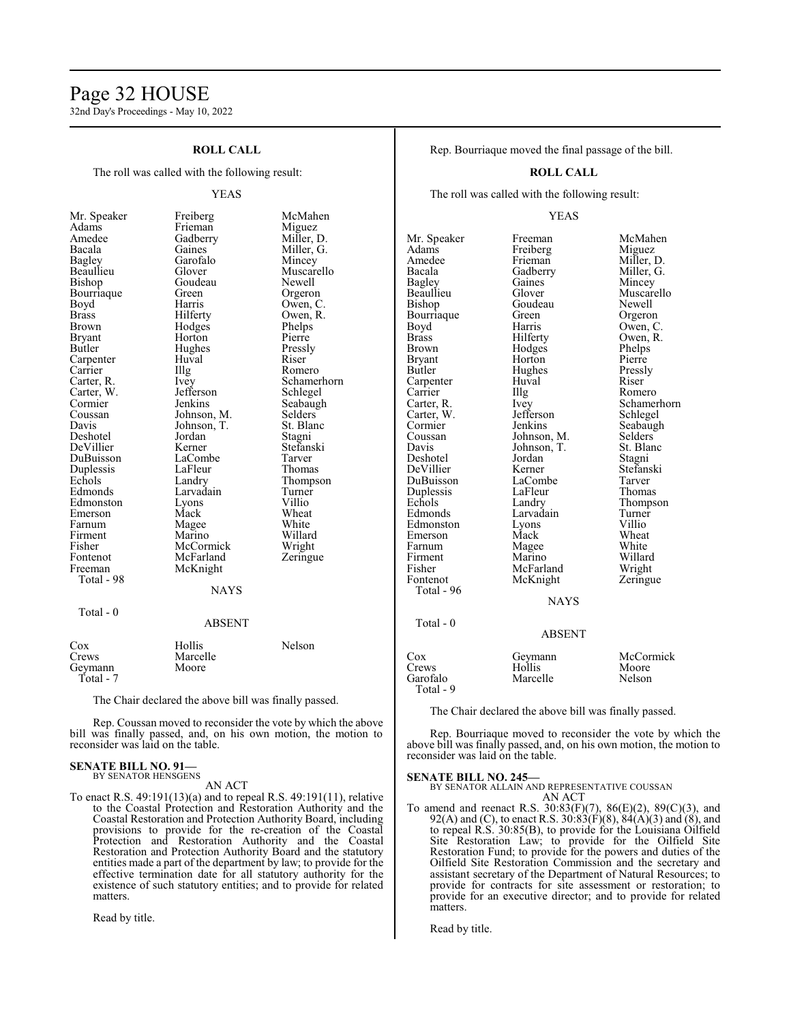# Page 32 HOUSE

32nd Day's Proceedings - May 10, 2022

# **ROLL CALL**

The roll was called with the following result:

#### YEAS

Owen, C.

Amedee Gadberry<br>Bacala Gaines Bourriaque Green<br>Boyd Harris Bryant Horton<br>Butler Hughes Carpenter Huv<br>Carrier Hllg Carter, W. Jefferson Duplessis LaFleur<br>Echols Landry Fontenot McFarland<br>Freeman McKnight Total - 98 Total - 0

Mr. Speaker Freiberg McMahen<br>Adams Frieman Miguez Adams Frieman Miguez<br>Amedee Gadberry Miller, D. Bacala Gaines Miller, G. Bagley Garofalo Mincey Bagley Garofalo Mincey Beaullieu Glover Muscarello<br>Bishop Goudeau Newell Goudeau Newell<br>Green Orgeron Brass Hilferty Owen, R. Brown Hodges Phelps<br>Bryant Horton Pierre Hughes Pressly<br>Huyal Riser Carrier IIIg Romero<br>Carter, R. Ivey Schame! Ivey Schamerhorn<br>Jefferson Schlegel Cormier Jenkins Seabaugh<br>Coussan Johnson, M. Selders Coussan Johnson, M. Selders<br>Davis Johnson, T. St. Blanc Johnson, T.<br>
Jordan Stagni Deshotel Jordan Stagni<br>
DeVillier Kerner Stefanski DeVillier Kerner Stefans<br>DuBuisson LaCombe Tarver LaCombe Tarver<br>
LaFleur Thomas Echols Landry Thompson<br>Edmonds Larvadain Turner Larvadain Turner<br>Lyons Villio Edmonston Lyons Villio<br>
Emerson Mack Wheat Emerson Mack Wheat<br>
Farnum Magee White Farnum Magee White<br>
Firment Marino Willard Firment Marino Willard<br>Fisher McCormick Wright Fisher McCormick Wright<br>Fontenot McFarland Zeringue McKnight **NAYS** ABSENT

| Cox       | Hollis   | Nelson |
|-----------|----------|--------|
| Crews     | Marcelle |        |
| Geymann   | Moore    |        |
| Total - 7 |          |        |

The Chair declared the above bill was finally passed.

Rep. Coussan moved to reconsider the vote by which the above bill was finally passed, and, on his own motion, the motion to reconsider was laid on the table.

#### **SENATE BILL NO. 91—** BY SENATOR HENSGENS

AN ACT

To enact R.S. 49:191(13)(a) and to repeal R.S. 49:191(11), relative to the Coastal Protection and Restoration Authority and the Coastal Restoration and Protection Authority Board, including provisions to provide for the re-creation of the Coastal Protection and Restoration Authority and the Coastal Restoration and Protection Authority Board and the statutory entities made a part of the department by law; to provide for the effective termination date for all statutory authority for the existence of such statutory entities; and to provide for related matters.

Read by title.

Rep. Bourriaque moved the final passage of the bill.

#### **ROLL CALL**

The roll was called with the following result:

#### YEAS

Mr. Speaker Freeman McMahen<br>Adams Freiberg Miguez Adams Freiberg<br>Amedee Frieman Amedee Frieman Miller, D.<br>Bacala Gadberry Miller, G. Bacala Gadberry Miller, G. Bagley Gaines Mincey<br>Beaullieu Glover Muscare Beaullieu Glover Muscarello<br>Bishop Goudeau Newell Bourriaque Green Orgeron<br>Boyd Harris Owen, C Boyd Harris Owen, C.<br>Brass Hilferty Owen, R. Brass Hilferty Owen, R.<br>Brown Hodges Phelps Brown Hodges Phelps<br>Brvant Horton Pierre Bryant Horton Pierre<br>Butler Hughes Pressly Carpenter Huval River<br>
Carrier Hug Carrier Illg Romero<br>Carter R. Ivev Schamer Carter, W. Jefferson<br>Cormier Jenkins Cormier Jenkins Seabaugh<br>Coussan Johnson, M. Selders Coussan Johnson, M. Selders<br>Davis Johnson, T. St. Blanc Davis Johnson, T.<br>Deshotel Jordan Deshotel Jordan Stagni DuBuisson LaCombe Tarver<br>
Duplessis LaFleur Thomas Duplessis LaFleu<br>Echols Landry Echols Landry Thompson<br>Edmonds Larvadain Turner Edmonston Lyons Villio Emerson Mack Wheat<br>
Farnum Magee White Firment Marino Willard<br>Fisher McFarland Wright Fisher McFarland Wright<br>
Fontenot McKnight Zeringue Total - 96 Total - 0

Goudeau Hughes Pressl<br>Huval Riser Larvadain Turner<br>
Lyons Villio Magee McKnight **NAYS** 

Ivey Schamerhorn<br>Jefferson Schlegel Kerner Stefanski<br>LaCombe Tarver

# ABSENT

| Cox       | Geymann  | McCormick |
|-----------|----------|-----------|
| Crews     | Hollis   | Moore     |
| Garofalo  | Marcelle | Nelson    |
| Total - 9 |          |           |

The Chair declared the above bill was finally passed.

Rep. Bourriaque moved to reconsider the vote by which the above bill was finally passed, and, on his own motion, the motion to reconsider was laid on the table.

#### **SENATE BILL NO. 245—**

BY SENATOR ALLAIN AND REPRESENTATIVE COUSSAN AN ACT

To amend and reenact R.S. 30:83(F)(7), 86(E)(2), 89(C)(3), and 92(A) and (C), to enact R.S. 30:83(F)(8), 84(A)(3) and (8), and to repeal R.S. 30:85(B), to provide for the Louisiana Oilfield Site Restoration Law; to provide for the Oilfield Site Restoration Fund; to provide for the powers and duties of the Oilfield Site Restoration Commission and the secretary and assistant secretary of the Department of Natural Resources; to provide for contracts for site assessment or restoration; to provide for an executive director; and to provide for related matters.

Read by title.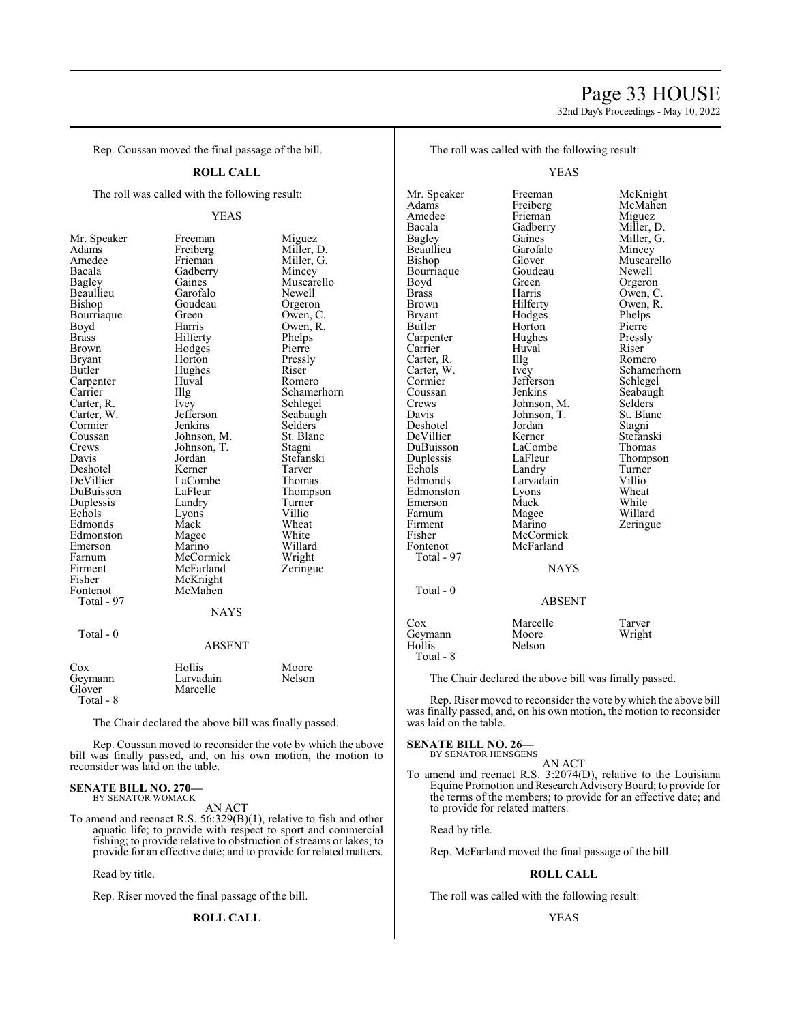# Page 33 HOUSE

32nd Day's Proceedings - May 10, 2022

Rep. Coussan moved the final passage of the bill.

#### **ROLL CALL**

The roll was called with the following result:

Bacala Gadberry<br>Bagley Gaines Bourriaque Green<br>Boyd Harris Brown Hodges<br>Bryant Horton Carpenter Huv<br>Carrier Hllg Crews Johnson, T.<br>Davis Jordan Firment McFarland<br>Fisher McKnight Fisher McKnight<br>Fontenot McMahen Total - 97

YEAS Mr. Speaker Freeman Miguez<br>Adams Freiberg Miller, 1 Adams Freiberg Miller, D. Amedee Frieman Miller, G.<br>Bacala Gadberry Mincey Bagley Gaines Muscarello<br>Beaullieu Garofalo Newell Beaullieu Garofalo Newell<br>Bishop Goudeau Orgeron Goudeau Orgeron<br>Green Owen, C. Boyd Harris Owen, R.<br>Brass Hilferty Phelps Brass Hilferty Phelps Bryant Horton Pressly<br>Butler Hughes Riser Hughes Riser<br>Huval Romero Carter, R. Ivey Schlegel<br>Carter, W. Jefferson Seabaugh Carter, W. Jefferson Seabaugh<br>Cormier Jenkins Selders Cormier Jenkins Selders<br>
Coussan Johnson, M. St. Blanc Coussan Johnson, M. St. Blanchessen<br>
Crews Johnson, T. Stagni Jordan Stefanski<br>Kerner Tarver Deshotel Kerner Tarver LaCombe<br>
LaFleur Thompson DuBuisson LaFleur Thomp<br>
Duplessis Landry Turner Duplessis Landry Turner<br>
Echols Lyons Villio Lyons Villio<br>
Mack Wheat Edmonds Mack Wheat<br>Edmonston Magee White Edmonston Magee White<br>
Emerson Marino Willard Emerson Marino Willard Farnum McCormick Wright<br>
Firment McFarland Zeringue McMahen NAYS

Schamerhorn<br>Schlegel

# Total - 0

#### ABSENT

| Cox     | Hollis    | Moore  |
|---------|-----------|--------|
| Geymann | Larvadain | Nelson |
| Glover  | Marcelle  |        |

Total - 8

The Chair declared the above bill was finally passed.

Rep. Coussan moved to reconsider the vote by which the above bill was finally passed, and, on his own motion, the motion to reconsider was laid on the table.

#### **SENATE BILL NO. 270—** BY SENATOR WOMACK

AN ACT

To amend and reenact R.S. 56:329(B)(1), relative to fish and other aquatic life; to provide with respect to sport and commercial fishing; to provide relative to obstruction of streams or lakes; to provide for an effective date; and to provide for related matters.

Read by title.

Rep. Riser moved the final passage of the bill.

# **ROLL CALL**

The roll was called with the following result:

YEAS

Mr. Speaker Freeman McKnight<br>
Adams Freiberg McMahen Adams Freiberg McMahen<br>Amedee Frieman Miguez Amedee Frieman Miguez<br>Bacala Gadberry Miller, 1 Bacala Gadberry Miller, D.<br>Bagley Gaines Miller, G. Gaines Miller, G.<br>Garofalo Mincey Beaullieu Garofal<br>Bishop Glover Glover Muscarello<br>Goudeau Newell Bourriaque Goude<br>Boyd Green Boyd Green Orgeron<br>Brass Harris Owen, C Brass Harris Owen, C.<br>Brown Hilferty Owen, R. Brown Hilferty Owen, R.<br>Bryant Hodges Phelps Bryant Hodges Phelps<br>Butler Horton Pierre Horton Pierre<br>
Hughes Pressly Carpenter Hughes Press<br>
Carrier Huval Riser Huval Riser<br>Illg Romero Carter, R. Illg<br>Carter, W. Ivey Carter, W. Ivey Schamerhorn<br>
Cormier Jefferson Schlegel Cormier Jefferson<br>Coussan Jenkins Coussan Jenkins Seabaugh<br>Crews Johnson M Selders Crews Johnson, M. Selders Davis Johnson, T. St. Blanc Johnson, T. St. Bla<br>Jordan Stagni Deshotel Jordan<br>DeVillier Kerner DeVillier Kerner Stefanski DuBuisson LaCombe<br>
Duplessis LaFleur Duplessis LaFleur Thompson<br>
Echols Landry Turner Echols Landry Turner<br>Edmonds Larvadain Villio Larvadain Villio<br>
Lyons Wheat Edmonston Lyons Wheat<br>
Emerson Mack White Emerson Mack<br>Farnum Magee Farnum Magee Willard<br>Firment Marino Zeringu Firment Marino Zeringue<br>Fisher McCormick Zeringue Fisher McCormick<br>Fontenot McFarland McFarland Total - 97 NAYS Total - 0 ABSENT Cox Marcelle Tarver<br>
Geymann Moore Wright Geymann<br>Hollis Nelson

Total - 8

The Chair declared the above bill was finally passed.

Rep. Riser moved to reconsider the vote by which the above bill was finally passed, and, on his own motion, the motion to reconsider was laid on the table.

#### **SENATE BILL NO. 26—**

BY SENATOR HENSGENS

To amend and reenact R.S. 3:2074(D), relative to the Louisiana Equine Promotion and Research AdvisoryBoard; to provide for the terms of the members; to provide for an effective date; and to provide for related matters.

AN ACT

Read by title.

Rep. McFarland moved the final passage of the bill.

# **ROLL CALL**

The roll was called with the following result: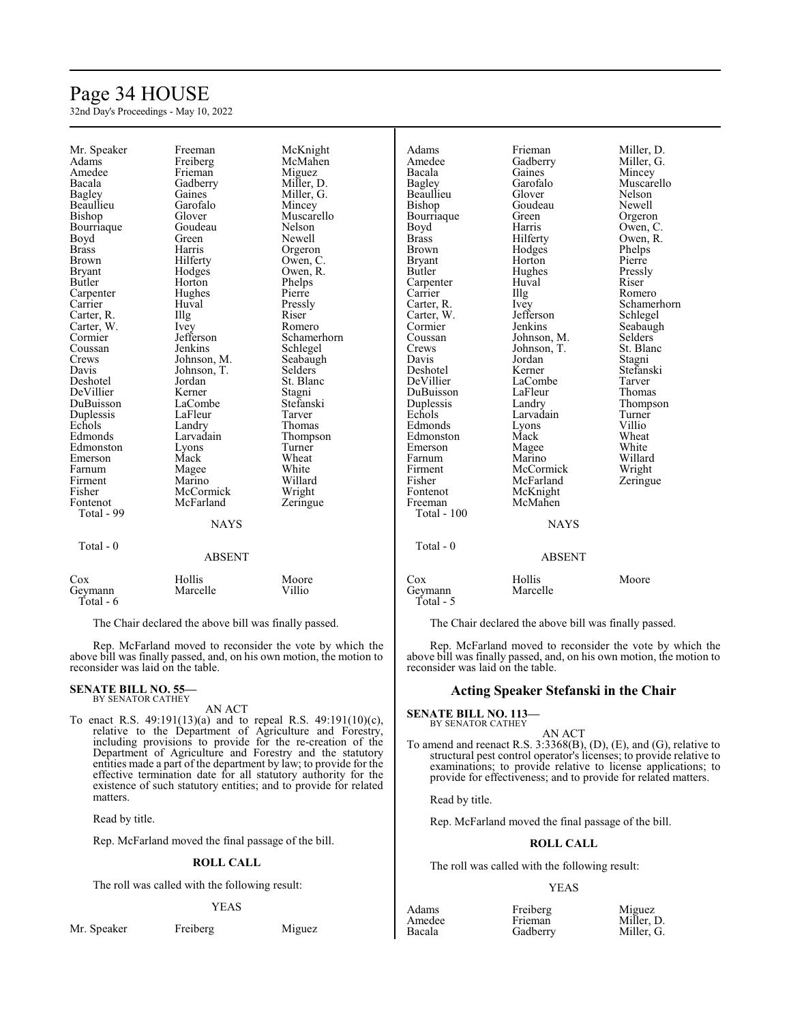# Page 34 HOUSE

32nd Day's Proceedings - May 10, 2022

| Mr. Speaker   | Freeman       | McKnight       | Adams              | Frieman       | Miller, D.  |
|---------------|---------------|----------------|--------------------|---------------|-------------|
| Adams         | Freiberg      | McMahen        | Amedee             | Gadberry      | Miller, G.  |
| Amedee        | Frieman       | Miguez         | Bacala             | Gaines        | Mincey      |
| Bacala        | Gadberry      | Miller, D.     | Bagley             | Garofalo      | Muscarello  |
| Bagley        | Gaines        | Miller, G.     | Beaullieu          | Glover        | Nelson      |
| Beaullieu     | Garofalo      | Mincey         | Bishop             | Goudeau       | Newell      |
| Bishop        | Glover        | Muscarello     | Bourriaque         | Green         | Orgeron     |
| Bourriaque    | Goudeau       | Nelson         | Boyd               | Harris        | Owen, C.    |
| Boyd          | Green         | Newell         | <b>Brass</b>       | Hilferty      | Owen, R.    |
| <b>Brass</b>  | Harris        | Orgeron        | <b>Brown</b>       | Hodges        | Phelps      |
| <b>Brown</b>  | Hilferty      | Owen, C.       | <b>Bryant</b>      | Horton        | Pierre      |
| <b>Bryant</b> | Hodges        | Owen, R.       | Butler             | Hughes        | Pressly     |
| Butler        | Horton        | Phelps         | Carpenter          | Huval         | Riser       |
|               |               | Pierre         | Carrier            |               | Romero      |
| Carpenter     | Hughes        |                |                    | Illg          |             |
| Carrier       | Huval         | Pressly        | Carter, R.         | Ivey          | Schamerhorn |
| Carter, R.    | Illg          | Riser          | Carter, W.         | Jefferson     | Schlegel    |
| Carter, W.    | Ivey          | Romero         | Cormier            | Jenkins       | Seabaugh    |
| Cormier       | Jefferson     | Schamerhorn    | Coussan            | Johnson, M.   | Selders     |
| Coussan       | Jenkins       | Schlegel       | Crews              | Johnson, T.   | St. Blanc   |
| Crews         | Johnson, M.   | Seabaugh       | Davis              | Jordan        | Stagni      |
| Davis         | Johnson, T.   | <b>Selders</b> | Deshotel           | Kerner        | Stefanski   |
| Deshotel      | Jordan        | St. Blanc      | DeVillier          | LaCombe       | Tarver      |
| DeVillier     | Kerner        | Stagni         | DuBuisson          | LaFleur       | Thomas      |
| DuBuisson     | LaCombe       | Stefanski      | Duplessis          | Landry        | Thompson    |
| Duplessis     | LaFleur       | Tarver         | Echols             | Larvadain     | Turner      |
| Echols        | Landry        | Thomas         | Edmonds            | Lyons         | Villio      |
| Edmonds       | Larvadain     | Thompson       | Edmonston          | Mack          | Wheat       |
| Edmonston     | Lyons         | Turner         | Emerson            | Magee         | White       |
| Emerson       | Mack          | Wheat          | Farnum             | Marino        | Willard     |
| Farnum        | Magee         | White          | Firment            | McCormick     | Wright      |
| Firment       | Marino        | Willard        | Fisher             | McFarland     | Zeringue    |
| Fisher        | McCormick     | Wright         | Fontenot           | McKnight      |             |
| Fontenot      | McFarland     | Zeringue       | Freeman            | McMahen       |             |
| Total - 99    |               |                | <b>Total - 100</b> |               |             |
|               | <b>NAYS</b>   |                |                    | <b>NAYS</b>   |             |
|               |               |                |                    |               |             |
| Total - 0     |               |                | Total - 0          |               |             |
|               | <b>ABSENT</b> |                |                    | <b>ABSENT</b> |             |
|               |               |                |                    |               |             |
| Cox           | Hollis        | Moore          | Cox                | Hollis        | Moore       |
| Geymann       | Marcelle      | Villio         | Geymann            | Marcelle      |             |
| Total - 6     |               |                | Total - 5          |               |             |
|               |               |                |                    |               |             |

The Chair declared the above bill was finally passed.

Rep. McFarland moved to reconsider the vote by which the above bill was finally passed, and, on his own motion, the motion to reconsider was laid on the table.

# **SENATE BILL NO. 55—**<br>BY SENATOR CATHEY

AN ACT

To enact R.S. 49:191(13)(a) and to repeal R.S. 49:191(10)(c), relative to the Department of Agriculture and Forestry, including provisions to provide for the re-creation of the Department of Agriculture and Forestry and the statutory entities made a part of the department by law; to provide for the effective termination date for all statutory authority for the existence of such statutory entities; and to provide for related matters.

Read by title.

Rep. McFarland moved the final passage of the bill.

#### **ROLL CALL**

The roll was called with the following result:

#### YEAS

Mr. Speaker Freiberg Miguez

The Chair declared the above bill was finally passed.

Rep. McFarland moved to reconsider the vote by which the above bill was finally passed, and, on his own motion, the motion to reconsider was laid on the table.

#### **Acting Speaker Stefanski in the Chair**

# **SENATE BILL NO. 113—** BY SENATOR CATHEY

AN ACT

To amend and reenact R.S. 3:3368(B), (D), (E), and (G), relative to structural pest control operator's licenses; to provide relative to examinations; to provide relative to license applications; to provide for effectiveness; and to provide for related matters.

Read by title.

Rep. McFarland moved the final passage of the bill.

### **ROLL CALL**

The roll was called with the following result:

| Adams  | Freiberg | Miguez     |
|--------|----------|------------|
| Amedee | Frieman  | Miller, D. |
| Bacala | Gadberry | Miller, G. |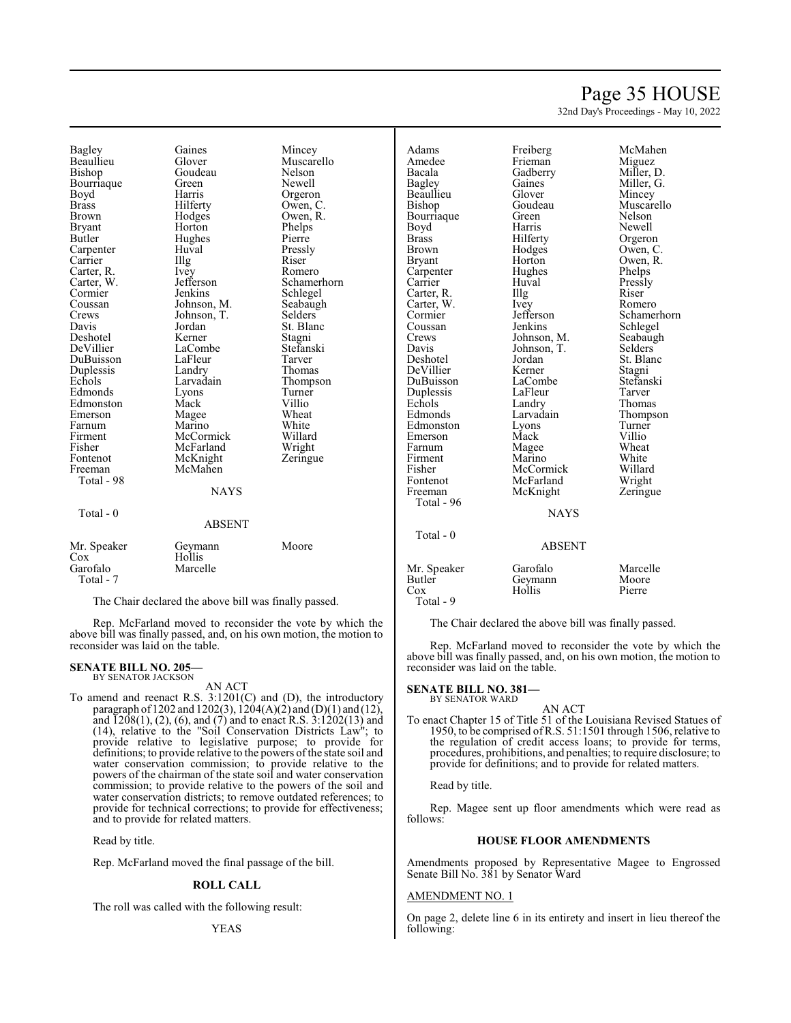# Page 35 HOUSE

32nd Day's Proceedings - May 10, 2022

Bagley Gaines Mincey<br>Beaullieu Glover Muscar Beaullieu Glover Muscarello Bourriaque Green<br>Boyd Harris Boyd Harris Orgeron<br>Brass Hilferty Owen, C Brown Hodges Owen, R.<br>Bryant Horton Phelps Bryant Horton Phelps<br>Butler Hughes Pierre Carpenter Huval Pressl<br>Carrier Hugh Riser Carrier Illg Riser Carter, R. Ivey Romero<br>Carter, W. Jefferson Schame! Carter, W. Jefferson Schamerhorn<br>
Cormier Jenkins Schlegel Cormier Jenkins Schlegel<br>Coussan Johnson M. Seabaugh Crews Johnson, T.<br>Davis Jordan Deshotel Kerner Stagni<br>
DeVillier LaCombe Stefanski DuBuisson LaFleur Tarver<br>
Duplessis Landry Thomas Duplessis Landry<br>Echols Larvadain Edmonds Lyons Turne<br>
Edmonston Mack Villio Edmonston Mack Villio<br>Emerson Magee Wheat Farnum Marino White<br>
Firment McCormick Willard Firment McCormick Willard Fisher McFarland Wright<br>
Fontenot McKnight Zeringue Fontenot McKnight<br>Freeman McMahen McMahen Total - 98 **NAYS**  Total - 0 ABSENT Mr. Speaker Geymann Moore Cox Hollis<br>Garofalo Marcelle Garofalo

Goudeau Nelson<br>Green Newell Owen, C. Hughes Pierre<br>Huval Pressly Seabaugh<br>Selders Jordan St. Blanc<br>Kerner Stagni LaCombe Stefans<br>LaFleur Tarver Larvadain Thompson<br>Lyons Turner Magee Wheat<br>
Marino White

Carpenter Hughes Phelps<br>Carrier Huval Pressly Carrier Huval Pressi<br>Carter, R. Illg Riser Carter, R. Illg Riser<br>Carter, W. Ivev Romero Carter, W. Ivey<br>Cormier Jefferson Coussan Jenkins Schlegel<br>Crews Johnson, M. Seabaugh Crews Johnson, M. Seabaughter Seabaughter Seabaughter Seabaughter Seabaughter Seabaughter Seabaughter Seabaughter Seabaughter Seabaughter Seabaughter Seabaughter Seabaughter Seabaughter Seabaughter Seabaughter Seabaughter Davis Johnson, T.<br>Deshotel Jordan DeVillier Kerner Stagni<br>DuBuisson LaCombe Stefanski DuBuisson LaCombe Stefans<br>
Duplessis LaFleur Tarver Duplessis LaFleur Tarver Echols Landry Thomas Edmonds Larvadain Thompson<br>Edmonston Lyons Turner Edmonston Lyons Turner<br>
Emerson Mack Villio Emerson Mack Villio<br>
Farnum Magee Wheat Farnum Magee Wheat<br>
Firment Marino White Firment Marino White<br>
Fisher McCormick Willard Fisher McCormick Willard Fontenot McFarland Wright<br>
Freeman McKnight Zeringue Total - 96

Bacala Gadberry<br>Bagley Gaines Beaullieu Glover<br>Bishop Goudeau Bourriaque Green Nelson<br>Boyd Harris Newell Boyd Harris Newell<br>Brass Hilferty Orgerol Brass Filerty Orgeron<br>Brown Hodges Owen, C Brown Hodges Owen, C.<br>Bryant Horton Owen, R. McKnight NAYS

Adams Freiberg McMahen<br>Amedee Frieman Miguez Amedee Frieman Miguez<br>Bacala Gadberry Miller, D. Gaines Miller, G.<br>Glover Mincey Muscarello Horton Owen, R.<br>Hughes Phelps Cormier Jefferson Schamerhorn<br>
Coussan Jenkins Schlegel Jordan St. Blanc<br>Kerner Stagni

| Total - 0                                 | <b>ABSENT</b>                 |                             |
|-------------------------------------------|-------------------------------|-----------------------------|
| Mr. Speaker<br>Butler<br>Cox<br>Total - 9 | Garofalo<br>Geymann<br>Hollis | Marcelle<br>Moore<br>Pierre |

The Chair declared the above bill was finally passed.

Rep. McFarland moved to reconsider the vote by which the above bill was finally passed, and, on his own motion, the motion to reconsider was laid on the table.

# **SENATE BILL NO. 381—** BY SENATOR WARD

AN ACT To enact Chapter 15 of Title 51 of the Louisiana Revised Statues of 1950, to be comprised ofR.S. 51:1501 through 1506, relative to the regulation of credit access loans; to provide for terms, procedures, prohibitions, and penalties; to require disclosure; to provide for definitions; and to provide for related matters.

Read by title.

Rep. Magee sent up floor amendments which were read as follows:

#### **HOUSE FLOOR AMENDMENTS**

Amendments proposed by Representative Magee to Engrossed Senate Bill No. 381 by Senator Ward

### AMENDMENT NO. 1

On page 2, delete line 6 in its entirety and insert in lieu thereof the following:

The Chair declared the above bill was finally passed.

Rep. McFarland moved to reconsider the vote by which the above bill was finally passed, and, on his own motion, the motion to reconsider was laid on the table.

#### **SENATE BILL NO. 205—** BY SENATOR JACKSON

Total - 7

AN ACT

To amend and reenact R.S. 3:1201(C) and (D), the introductory paragraph of 1202 and 1202(3), 1204(A)(2) and (D)(1) and (12), and  $\overline{1}208(1)$ , (2), (6), and (7) and to enact R.S.  $3:1202(13)$  and (14), relative to the "Soil Conservation Districts Law"; to provide relative to legislative purpose; to provide for definitions; to provide relative to the powers of the state soil and water conservation commission; to provide relative to the powers of the chairman of the state soil and water conservation commission; to provide relative to the powers of the soil and water conservation districts; to remove outdated references; to provide for technical corrections; to provide for effectiveness; and to provide for related matters.

Read by title.

Rep. McFarland moved the final passage of the bill.

#### **ROLL CALL**

The roll was called with the following result: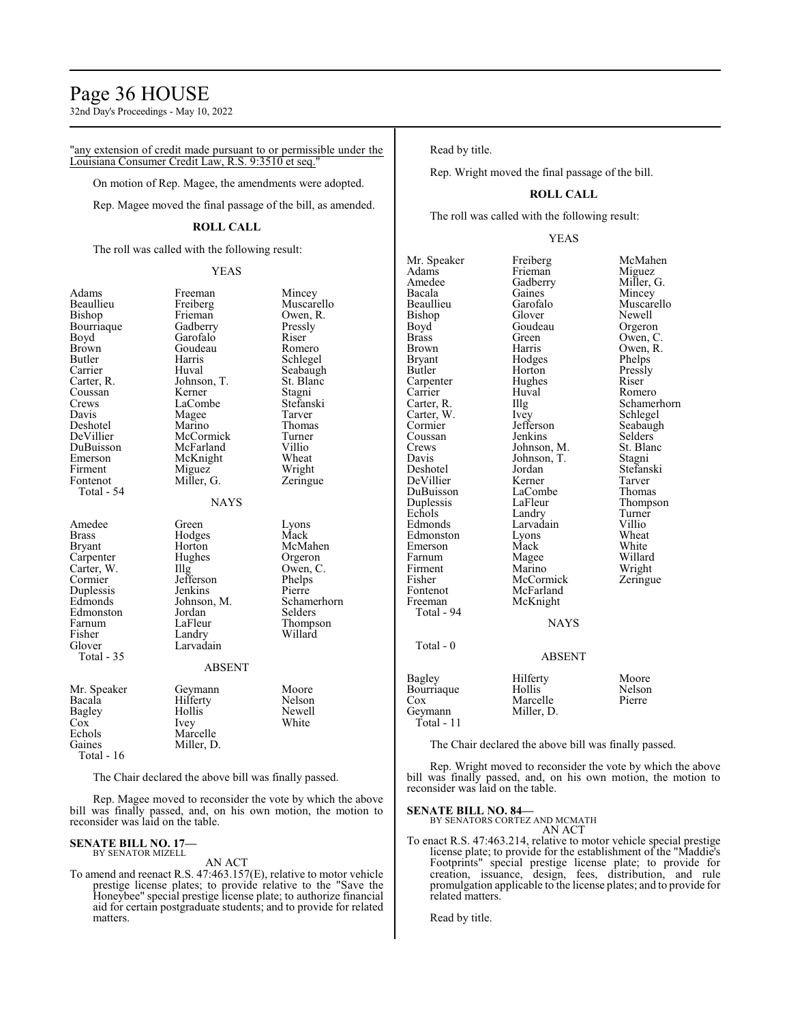# Page 36 HOUSE

32nd Day's Proceedings - May 10, 2022

"any extension of credit made pursuant to or permissible under the Louisiana Consumer Credit Law, R.S. 9:3510 et seq."

On motion of Rep. Magee, the amendments were adopted.

Rep. Magee moved the final passage of the bill, as amended.

# **ROLL CALL**

The roll was called with the following result:

#### YEAS

| Adams<br>Beaullieu<br>Bishop<br>Bourriaque<br>Boyd<br>Brown<br>Butler<br>Carrier<br>Carter, R.<br>Coussan<br>Crews<br>Davis<br>Deshotel<br>DeVillier<br>DuBuisson<br>Emerson<br>Firment<br>Fontenot<br>Total - 54 | Freeman<br>Freiberg<br>Frieman<br>Gadberry<br>Garofalo<br>Goudeau<br>Harris<br>Huval<br>Johnson, T.<br>Kerner<br>LaCombe<br>Magee<br>Marino<br>McCormick<br>McFarland<br>McKnight<br>Miguez<br>Miller, G.<br><b>NAYS</b> | Mincey<br>Muscarello<br>Owen, R.<br>Pressly<br>Riser<br>Romero<br>Schlegel<br>Seabaugh<br>St. Blanc<br>Stagni<br>Stefanski<br>Tarver<br>Thomas<br>Turner<br>Villio<br>Wheat<br>Wright<br>Zeringue |
|-------------------------------------------------------------------------------------------------------------------------------------------------------------------------------------------------------------------|--------------------------------------------------------------------------------------------------------------------------------------------------------------------------------------------------------------------------|---------------------------------------------------------------------------------------------------------------------------------------------------------------------------------------------------|
| Amedee<br>Brass<br>Bryant<br>Carpenter<br>Carter, W.<br>Cormier<br>Duplessis<br>Edmonds<br>Edmonston<br>Farnum<br>Fisher<br>Glover<br>Total - 35                                                                  | Green<br>Hodges<br>Horton<br>Hughes<br>Illg<br>Jefferson<br>Jenkins<br>Johnson, M.<br>Jordan<br>LaFleur<br>Landry<br>Larvadain<br><b>ABSENT</b>                                                                          | Lyons<br>Mack<br>McMahen<br>Orgeron<br>Owen, C.<br>Phelps<br>Pierre<br>Schamerhorn<br>Selders<br>Thompson<br>Willard                                                                              |
| Mr. Speaker<br>Bacala<br>Bagley<br>Cox<br>Echols<br>Gaines<br>Total - 16                                                                                                                                          | Geymann<br>Hilferty<br>Hollis<br>Ivey<br>Marcelle<br>Miller, D.                                                                                                                                                          | Moore<br>Nelson<br>Newell<br>White                                                                                                                                                                |

The Chair declared the above bill was finally passed.

Rep. Magee moved to reconsider the vote by which the above bill was finally passed, and, on his own motion, the motion to reconsider was laid on the table.

# **SENATE BILL NO. 17—** BY SENATOR MIZELL

AN ACT

To amend and reenact R.S. 47:463.157(E), relative to motor vehicle prestige license plates; to provide relative to the "Save the Honeybee" special prestige license plate; to authorize financial aid for certain postgraduate students; and to provide for related matters.

#### Read by title.

Rep. Wright moved the final passage of the bill.

# **ROLL CALL**

The roll was called with the following result:

#### YEAS

Mr. Speaker Freiberg McMahen<br>Adams Frieman Miguez Adams Frieman Miguez<br>Amedee Gadberry Miller, G. Amedee Gadberry<br>Bacala Gaines Bacala Gaines Mincey Bishop Glover Newell<br>Boyd Goudeau Orgeror Boyd Goudeau Orgeron<br>Brass Green Owen, C Brass Green Owen, C.<br>Brown Harris Owen, R. Brown Harris Owen, R.<br>Brvant Hodges Phelps Bryant Hodges Phelps<br>Butler Horton Pressly Carpenter Hughe<br>Carrier Huval Carrier Huval Romero<br>Carter, R. Illg Schamer Carter, W. Ivey<br>Cormier Jefferson Coussan Jenkins Selders<br>Crews Johnson, M. St. Blanc Crews Johnson, M. St. Bla<br>
Davis Johnson, T. Stagni Davis Johnson, T.<br>Deshotel Jordan DeVillier Kerner Tarver DuBuisson LaComb<br>
Duplessis LaFleur Duplessis LaFleur Thompson<br>
Echols Landry Turner Echols Landry Turner<br>
Edmonds Larvadain Villio Edmonston Lyons Wheat<br>Emerson Mack White Emerson Mack White<br>
Farnum Magee Willard Farnum Magee Willard<br>Firment Marino Wright Firment Marino Wright<br>
Fisher McCormick Zeringue Fisher McCormick<br>Fontenot McFarland Fontenot McFarland<br>Freeman McKnight McKnight Total - 94 Total - 0

Garofalo Muscarello<br>Glover Newell Horton Pressl<br>Hughes Riser Illg Schamerhorn<br>Ivey Schlegel Jefferson Seabaugh<br>Jenkins Selders Jordan Stefanski<br>Kerner Tarver Larvadain Villio<br>Lyons Wheat

# ABSENT

NAYS

|                                                      | 1.10011111                                   |                           |
|------------------------------------------------------|----------------------------------------------|---------------------------|
| Bagley<br>Bourriaque<br>Cox<br>Geymann<br>Total - 11 | Hilferty<br>Hollis<br>Marcelle<br>Miller, D. | Moore<br>Nelson<br>Pierre |
|                                                      |                                              |                           |

The Chair declared the above bill was finally passed.

Rep. Wright moved to reconsider the vote by which the above bill was finally passed, and, on his own motion, the motion to reconsider was laid on the table.

#### **SENATE BILL NO. 84—**

BY SENATORS CORTEZ AND MCMATH AN ACT

To enact R.S. 47:463.214, relative to motor vehicle special prestige license plate; to provide for the establishment of the "Maddie's Footprints" special prestige license plate; to provide for creation, issuance, design, fees, distribution, and rule promulgation applicable to the license plates; and to provide for related matters.

Read by title.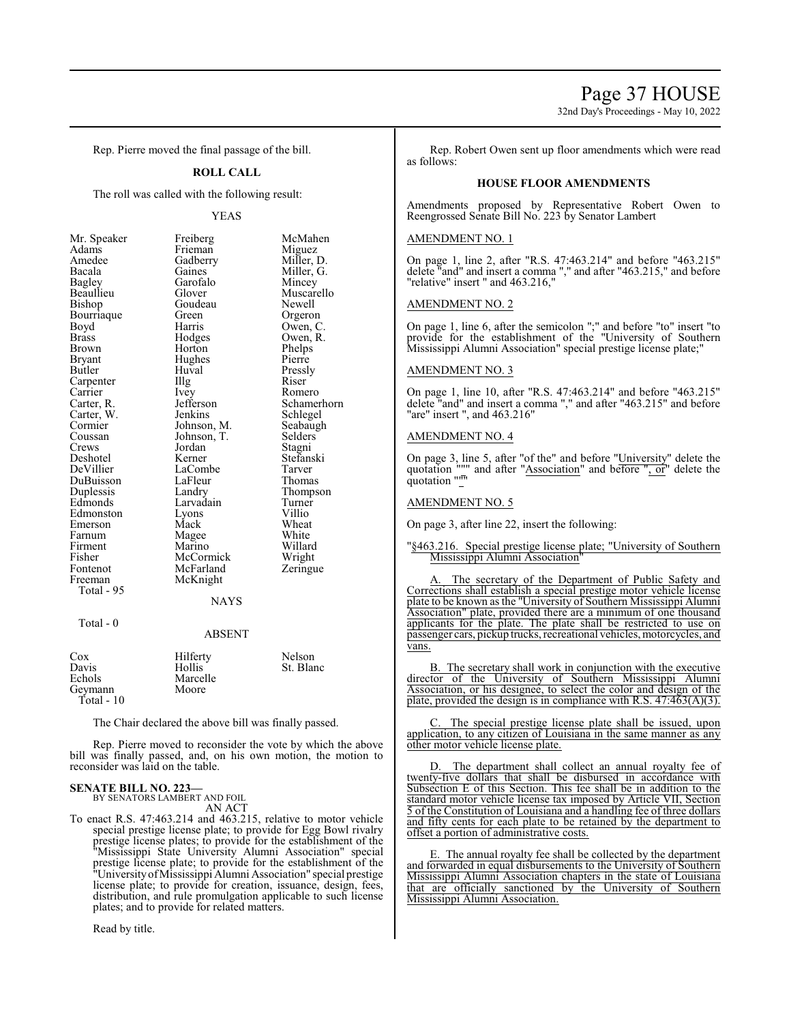32nd Day's Proceedings - May 10, 2022

Rep. Pierre moved the final passage of the bill.

#### **ROLL CALL**

The roll was called with the following result:

#### YEAS

| Mr. Speaker | Freiberg              | McMahen                  |
|-------------|-----------------------|--------------------------|
| Adams       | Frieman               | Miguez                   |
| Amedee      | Gadberry              |                          |
| Bacala      | Gaines                | Miller, D.<br>Miller, G. |
| Bagley      | Mincey<br>Garofalo    |                          |
| Beaullieu   | Glover<br>Muscarello  |                          |
| Bishop      | Goudeau               | Newell                   |
| Bourriaque  | Green                 | Orgeron                  |
| Boyd        | Harris                | Owen, C.                 |
| Brass       | Hodges                | Owen, R.                 |
| Brown       | Horton                | Phelps                   |
| Bryant      | Hughes                | Pierre                   |
| Butler      | Huval                 | Pressly                  |
| Carpenter   | Illg                  | Riser                    |
| Carrier     | <i>lvey</i>           | Romero                   |
| Carter, R.  | Jefferson             | Schamerhorn              |
| Carter, W.  | Jenkins<br>Schlegel   |                          |
| Cormier     | Johnson, M.           | Seabaugh                 |
| Coussan     | Johnson, T.           | Selders                  |
| Crews       | Jordan                | Stagni                   |
| Deshotel    | Kerner                | Stefanski                |
| DeVillier   | LaCombe               | Tarver                   |
| DuBuisson   | LaFleur               | Thomas                   |
| Duplessis   | Landry                | Thompson                 |
| Edmonds     | Larvadain             | Turner                   |
| Edmonston   | Lyons                 | Villio                   |
| Emerson     | Mack                  | Wheat                    |
| Farnum      | White<br>Magee        |                          |
| Firment     | Marino                | Willard                  |
| Fisher      | McCormick<br>Wright   |                          |
| Fontenot    | McFarland<br>Zeringue |                          |
| Freeman     | McKnight              |                          |
| Total - 95  |                       |                          |
|             | NAYS                  |                          |
|             |                       |                          |

# Total - 0

# ABSENT

| Cox          | Hilferty | Nelson    |
|--------------|----------|-----------|
| Davis        | Hollis   | St. Blanc |
| Echols       | Marcelle |           |
| Gevmann      | Moore    |           |
| Total - $10$ |          |           |

The Chair declared the above bill was finally passed.

Rep. Pierre moved to reconsider the vote by which the above bill was finally passed, and, on his own motion, the motion to reconsider was laid on the table.

# **SENATE BILL NO. 223—**

BY SENATORS LAMBERT AND FOIL AN ACT

- To enact R.S. 47:463.214 and 463.215, relative to motor vehicle
- special prestige license plate; to provide for Egg Bowl rivalry prestige license plates; to provide for the establishment of the "Mississippi State University Alumni Association" special prestige license plate; to provide for the establishment of the "UniversityofMississippi Alumni Association" special prestige license plate; to provide for creation, issuance, design, fees, distribution, and rule promulgation applicable to such license plates; and to provide for related matters.

Read by title.

Rep. Robert Owen sent up floor amendments which were read as follows:

#### **HOUSE FLOOR AMENDMENTS**

Amendments proposed by Representative Robert Owen to Reengrossed Senate Bill No. 223 by Senator Lambert

#### AMENDMENT NO. 1

On page 1, line 2, after "R.S. 47:463.214" and before "463.215" delete "and" and insert a comma "," and after "463.215," and before "relative" insert " and 463.216,"

#### AMENDMENT NO. 2

On page 1, line 6, after the semicolon ";" and before "to" insert "to provide for the establishment of the "University of Southern Mississippi Alumni Association" special prestige license plate;"

### AMENDMENT NO. 3

On page 1, line 10, after "R.S. 47:463.214" and before "463.215" delete "and" and insert a comma "," and after "463.215" and before "are" insert ", and 463.216"

#### AMENDMENT NO. 4

On page 3, line 5, after "of the" and before "University" delete the quotation """ and after "Association" and before ", or" delete the quotation """

#### AMENDMENT NO. 5

On page 3, after line 22, insert the following:

#### "§463.216. Special prestige license plate; "University of Southern Mississippi Alumni Association"

The secretary of the Department of Public Safety and Corrections shall establish a special prestige motor vehicle license plate to be known as the "University of Southern Mississippi Alumni Association" plate, provided there are a minimum of one thousand applicants for the plate. The plate shall be restricted to use on passenger cars, pickup trucks, recreational vehicles, motorcycles, and vans.

B. The secretary shall work in conjunction with the executive director of the University of Southern Mississippi Alumni Association, or his designee, to select the color and design of the plate, provided the design is in compliance with R.S.  $47:463(A)(3)$ .

C. The special prestige license plate shall be issued, upon application, to any citizen of Louisiana in the same manner as any other motor vehicle license plate.

The department shall collect an annual royalty fee of twenty-five dollars that shall be disbursed in accordance with Subsection E of this Section. This fee shall be in addition to the standard motor vehicle license tax imposed by Article VII, Section 5 of the Constitution of Louisiana and a handling fee of three dollars and fifty cents for each plate to be retained by the department to offset a portion of administrative costs.

E. The annual royalty fee shall be collected by the department and forwarded in equal disbursements to the University of Southern Mississippi Alumni Association chapters in the state of Louisiana that are officially sanctioned by the University of Southern Mississippi Alumni Association.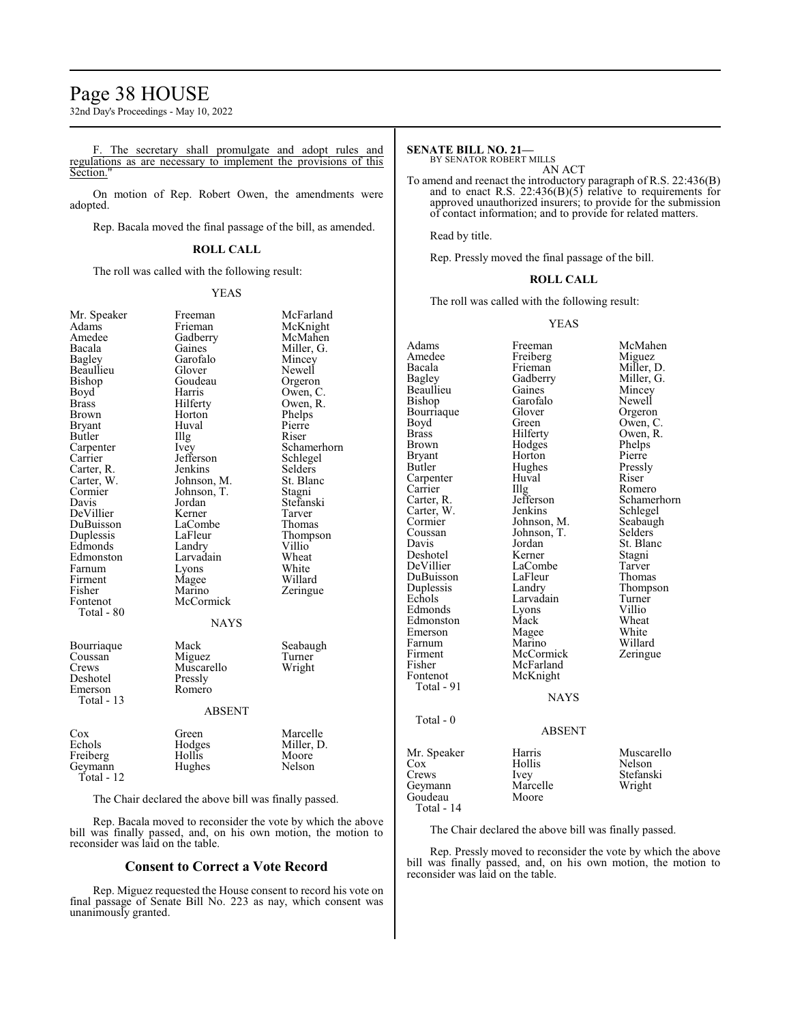# Page 38 HOUSE

32nd Day's Proceedings - May 10, 2022

F. The secretary shall promulgate and adopt rules and regulations as are necessary to implement the provisions of this Section."

On motion of Rep. Robert Owen, the amendments were adopted.

Rep. Bacala moved the final passage of the bill, as amended.

# **ROLL CALL**

The roll was called with the following result:

#### YEAS

McFarland McKnight McMahen Miller, G. Mincey Newell Orgeron Owen, C. Owen, R. Phelps Pierre<br>Riser

Schamerhorn Schlegel Selders St. Blanc Stagni Stefanski Tarver Thomas Thompson<br>Villio

Wheat White Willard Zeringue

Seabaugh Turner Wright

Marcelle Miller, D. Moore<br>Nelson

| Mr. Speaker   | Freeman       | McFa   |
|---------------|---------------|--------|
| Adams         | Frieman       | McKr   |
| Amedee        | Gadberry      | McM    |
| Bacala        | Gaines        | Miller |
| <b>Bagley</b> | Garofalo      | Mince  |
| Beaullieu     | Glover        | Newe   |
| Bishop        | Goudeau       | Orger  |
| Boyd          | Harris        | Owen   |
| <b>Brass</b>  | Hilferty      | Owen   |
| Brown         | Horton        | Phelp  |
| <b>Bryant</b> | Huval         | Pierre |
| Butler        | Illg          | Riser  |
| Carpenter     | Ivey          | Schan  |
| Carrier       | Jefferson     | Schle  |
| Carter, R.    | Jenkins       | Selde: |
| Carter, W.    | Johnson, M.   | St. Bl |
| Cormier       | Johnson, T.   | Stagn  |
| Davis         | Jordan        | Stefar |
| DeVillier     | Kerner        | Tarve  |
| DuBuisson     | LaCombe       | Thom   |
| Duplessis     | LaFleur       | Thom   |
| Edmonds       | Landry        | Villio |
| Edmonston     | Larvadain     | Whea   |
| Farnum        | Lyons         | White  |
| Firment       | Magee         | Willa  |
| Fisher        | Marino        | Zering |
| Fontenot      | McCormick     |        |
| Total - 80    |               |        |
|               | <b>NAYS</b>   |        |
| Bourriaque    | Mack          | Seaba  |
| Coussan       | Miguez        | Turne  |
| Crews         | Muscarello    | Wrigł  |
| Deshotel      | Pressly       |        |
| Emerson       | Romero        |        |
| Total - 13    |               |        |
|               | <b>ABSENT</b> |        |
| Cox           | Green         | Marce  |
| Echols        | Hodges        | Miller |
| Freiberg      | Hollis        | Moor   |
|               |               | Nelso  |
| Geymann       | Hughes        |        |

Total - 12

The Chair declared the above bill was finally passed.

Rep. Bacala moved to reconsider the vote by which the above bill was finally passed, and, on his own motion, the motion to reconsider was laid on the table.

# **Consent to Correct a Vote Record**

Rep. Miguez requested the House consent to record his vote on final passage of Senate Bill No. 223 as nay, which consent was unanimously granted.

# **SENATE BILL NO. 21—**

BY SENATOR ROBERT MILLS AN ACT

To amend and reenact the introductory paragraph of R.S. 22:436(B) and to enact R.S.  $22:436(B)(5)$  relative to requirements for approved unauthorized insurers; to provide for the submission of contact information; and to provide for related matters.

Read by title.

Rep. Pressly moved the final passage of the bill.

#### **ROLL CALL**

The roll was called with the following result:

#### YEAS

| Adams<br>Amedee<br>Bacala<br>Bagley<br>Beaullieu<br>Bishop<br>Bourriaque<br>Boyd<br>Brass<br>Brown<br>Bryant<br>Butler<br>Carpenter<br>Carrier<br>Carter, R.<br>Carter, W.<br>Cormier<br>Coussan<br>Davis<br>Deshotel<br>DeVillier<br>DuBuisson<br>Duplessis<br>Echols<br>Edmonds<br>Edmonston<br>Emerson<br>Farnum<br>Firment<br>Fisher<br>Fontenot<br>Total - 91<br>Total - $0$ | Freeman<br>Freiberg<br>Frieman<br>Gadberry<br>Gaines<br>Garofalo<br>Glover<br>Green<br>Hilferty<br>Hodges<br>Horton<br>Hughes<br>Huval<br>Illg<br>Jefferson<br>Jenkins<br>Johnson, M.<br>Johnson, T.<br>Jordan<br>Kerner<br>LaCombe<br>LaFleur<br>Landry<br>Larvadain<br>Lyons<br>Mack<br>Magee<br>Marino<br>McCormick<br>McFarland<br>McKnight<br><b>NAYS</b> | McMahen<br>Miguez<br>Miller, D.<br>Miller, G.<br>Mincey<br>Newell<br>Orgeron<br>Owen, C.<br>Owen, R.<br>Phelps<br>Pierre<br>Pressly<br>Riser<br>Romero<br>Schamerhorn<br>Schlegel<br>Seabaugh<br>Selders<br>St. Blanc<br>Stagni<br>Tarver<br>Thomas<br>Thompson<br>Turner<br>Villio<br>Wheat<br>White<br>Willard<br>Zeringue |
|-----------------------------------------------------------------------------------------------------------------------------------------------------------------------------------------------------------------------------------------------------------------------------------------------------------------------------------------------------------------------------------|----------------------------------------------------------------------------------------------------------------------------------------------------------------------------------------------------------------------------------------------------------------------------------------------------------------------------------------------------------------|------------------------------------------------------------------------------------------------------------------------------------------------------------------------------------------------------------------------------------------------------------------------------------------------------------------------------|
|                                                                                                                                                                                                                                                                                                                                                                                   | <b>ABSENT</b>                                                                                                                                                                                                                                                                                                                                                  |                                                                                                                                                                                                                                                                                                                              |
| Mr. Speaker<br>Cox<br>Crews<br>Geymann<br>Goudeau<br>Total - 14                                                                                                                                                                                                                                                                                                                   | Harris<br>Hollis<br>Ivey<br>Marcelle<br>Moore                                                                                                                                                                                                                                                                                                                  | Muscarello<br>Nelson<br>Stefanski<br>Wright                                                                                                                                                                                                                                                                                  |

#### The Chair declared the above bill was finally passed.

Rep. Pressly moved to reconsider the vote by which the above bill was finally passed, and, on his own motion, the motion to reconsider was laid on the table.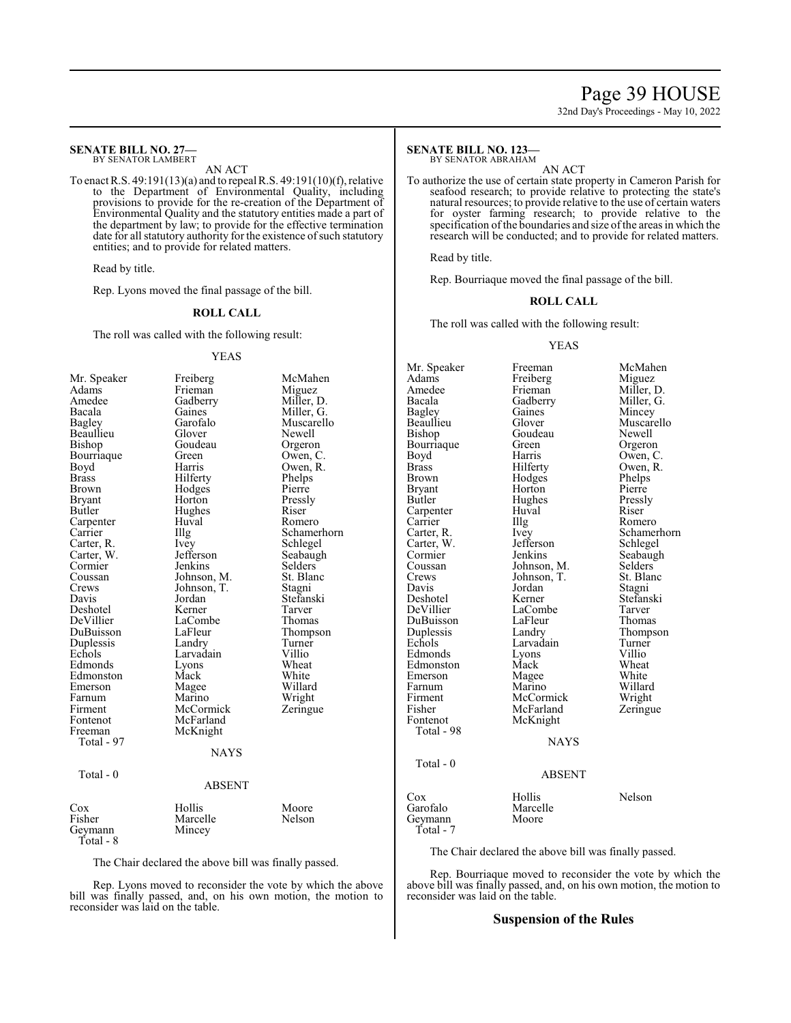# Page 39 HOUSE

32nd Day's Proceedings - May 10, 2022

#### **SENATE BILL NO. 27—** BY SENATOR LAMBERT

AN ACT To enact R.S. 49:191(13)(a) and to repeal R.S. 49:191(10)(f), relative to the Department of Environmental Quality, including provisions to provide for the re-creation of the Department of Environmental Quality and the statutory entities made a part of the department by law; to provide for the effective termination date for all statutory authority for the existence of such statutory entities; and to provide for related matters.

Read by title.

Rep. Lyons moved the final passage of the bill.

#### **ROLL CALL**

The roll was called with the following result:

#### YEAS

| Mr. Speaker   | Freiberg          | McMahen     |
|---------------|-------------------|-------------|
| Adams         | Frieman<br>Miguez |             |
| Amedee        | Gadberry          | Miller, D.  |
| Bacala        | Gaines            | Miller, G.  |
| <b>Bagley</b> | Garofalo          | Muscarello  |
| Beaullieu     | Glover            | Newell      |
| Bishop        | Goudeau           | Orgeron     |
| Bourriaque    | Green             | Owen, C.    |
| Boyd          | Harris            | Owen, R.    |
| <b>Brass</b>  | Hilferty          | Phelps      |
| Brown         | Hodges            | Pierre      |
| Bryant        | Horton            | Pressly     |
| Butler        | Hughes            | Riser       |
| Carpenter     | Huval             | Romero      |
| Carrier       | Illg              | Schamerhorn |
| Carter, R.    | Ivey              | Schlegel    |
| Carter, W.    | Jefferson         | Seabaugh    |
| Cormier       | Jenkins           | Selders     |
| Coussan       | Johnson, M.       | St. Blanc   |
| Crews         | Johnson, T.       | Stagni      |
| Davis         | Jordan            | Stefanski   |
| Deshotel      | Kerner            | Tarver      |
| DeVillier     | LaCombe           | Thomas      |
| DuBuisson     | LaFleur           | Thompson    |
| Duplessis     | Landry            | Turner      |
| Echols        | Larvadain         | Villio      |
| Edmonds       | Lyons             | Wheat       |
| Edmonston     | Mack              | White       |
| Emerson       | Magee             | Willard     |
| Farnum        | Marino            | Wright      |
| Firment       | McCormick         | Zeringue    |
| Fontenot      | McFarland         |             |
| Freeman       | McKnight          |             |
| Total - 97    |                   |             |
|               | NAYS              |             |
| Total - 0     |                   |             |
|               | <b>ABSENT</b>     |             |
| Cox           | Hollis            | Moore       |
| Fisher        | Marcelle          | Nelson      |
| Geymann       | Mincey            |             |
| Total - 8     |                   |             |

The Chair declared the above bill was finally passed.

Rep. Lyons moved to reconsider the vote by which the above bill was finally passed, and, on his own motion, the motion to reconsider was laid on the table.

#### **SENATE BILL NO. 123—** BY SENATOR ABRAHAM

AN ACT

To authorize the use of certain state property in Cameron Parish for seafood research; to provide relative to protecting the state's natural resources; to provide relative to the use of certain waters for oyster farming research; to provide relative to the specification of the boundaries and size of the areas in which the research will be conducted; and to provide for related matters.

Read by title.

Rep. Bourriaque moved the final passage of the bill.

#### **ROLL CALL**

The roll was called with the following result:

#### YEAS

Mr. Speaker Freeman McMahen<br>Adams Freiberg Miguez Adams Freiberg<br>Amedee Frieman Amedee Frieman Miller, D.<br>Bacala Gadberry Miller, G. Bacala Gadberry Miller, G.<br>Bagley Gaines Mincey Bagley Gaines Mincey<br>Beaullieu Glover Muscare Glover Muscarello<br>Goudeau Newell Bishop Goudeau Newell<br>Bourriaque Green Orgeron Bourriaque Green<br>Boyd Harris Boyd Harris Owen, C.<br>Brass Hilferty Owen, R. Brass Hilferty Owen, R.<br>Brown Hodges Phelps Hodges Phelps<br>
Horton Pierre Bryant Horton Pierre<br>Butler Hughes Pressly Hughes Pressl<br>Huval Riser Carpenter Huval River<br>
Carrier Hug Carrier IIIg Romero<br>Carter, R. Ivey Schamer Ivey Schamerhorn<br>Jefferson Schlegel Carter, W. Jefferson<br>Cormier Jenkins Cormier Jenkins Seabaugh<br>Coussan Johnson, M. Selders Coussan Johnson, M. Selders<br>Crews Johnson, T. St. Blanc Crews Johnson, T. St. Blanck<br>Davis Jordan Stagni Davis Jordan<br>Deshotel Kerner Deshotel Kerner Stefanski LaCombe Tarver<br>
LaFleur Thomas DuBuisson LaFleu<br>
Duplessis Landry Duplessis Landry Thompson<br>
Echols Larvadain Turner Larvadain Turner<br>Lyons Villio Edmonds Lyons Villio<br>Edmonston Mack Wheat Edmonston Mack Wheat<br>Emerson Magee White Emerson Magee<br>Farnum Marino Farnum Marino Willard<br>Firment McCormick Wright Firment McCormick Wright<br>
Fisher McFarland Zeringue Fisher McFarland<br>Fontenot McKnight McKnight Total - 98 NAYS Total - 0 ABSENT Cox Hollis Nelson<br>Garofalo Marcelle Nelson Marcelle<br>Moore Geymann Total - 7

The Chair declared the above bill was finally passed.

Rep. Bourriaque moved to reconsider the vote by which the above bill was finally passed, and, on his own motion, the motion to reconsider was laid on the table.

#### **Suspension of the Rules**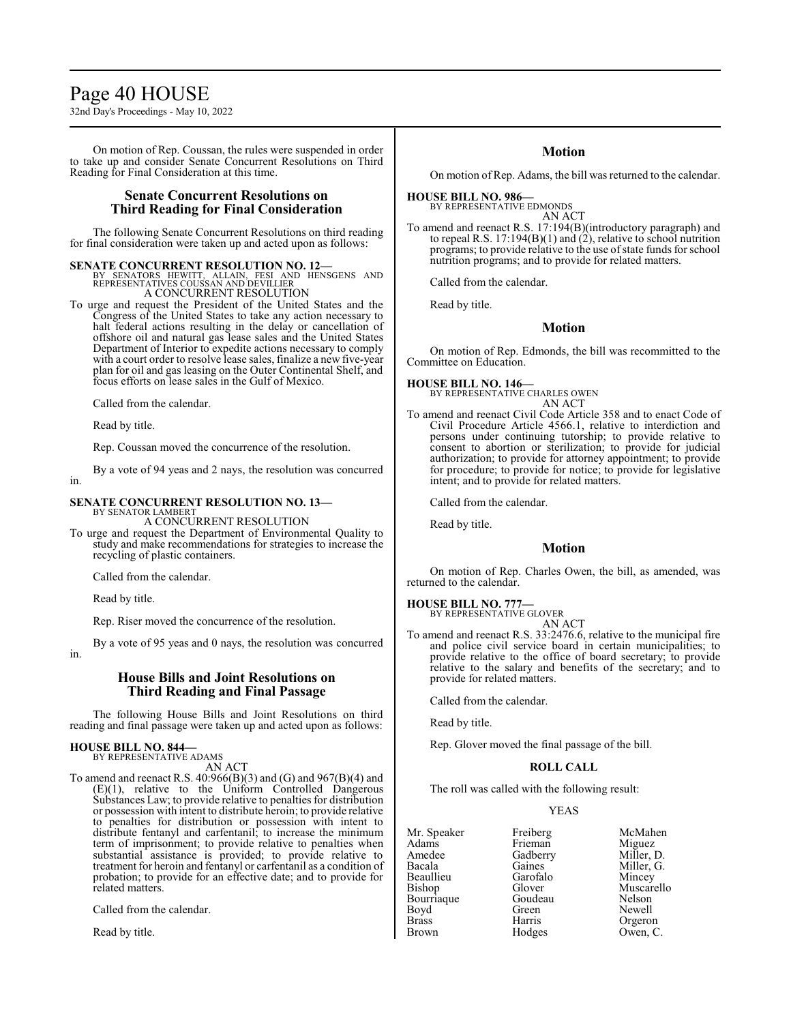# Page 40 HOUSE

32nd Day's Proceedings - May 10, 2022

On motion of Rep. Coussan, the rules were suspended in order to take up and consider Senate Concurrent Resolutions on Third Reading for Final Consideration at this time.

# **Senate Concurrent Resolutions on Third Reading for Final Consideration**

The following Senate Concurrent Resolutions on third reading for final consideration were taken up and acted upon as follows:

#### **SENATE CONCURRENT RESOLUTION NO. 12—**

BY SENATORS HEWITT, ALLAIN, FESI AND HENSGENS AND REPRESENTATIVES COUSSAN AND DEVILLIER A CONCURRENT RESOLUTION

To urge and request the President of the United States and the Congress of the United States to take any action necessary to halt federal actions resulting in the delay or cancellation of offshore oil and natural gas lease sales and the United States Department of Interior to expedite actions necessary to comply with a court order to resolve lease sales, finalize a new five-year plan for oil and gas leasing on the Outer Continental Shelf, and focus efforts on lease sales in the Gulf of Mexico.

Called from the calendar.

Read by title.

Rep. Coussan moved the concurrence of the resolution.

By a vote of 94 yeas and 2 nays, the resolution was concurred in.

# **SENATE CONCURRENT RESOLUTION NO. 13—**

BY SENATOR LAMBERT A CONCURRENT RESOLUTION

To urge and request the Department of Environmental Quality to study and make recommendations for strategies to increase the recycling of plastic containers.

Called from the calendar.

Read by title.

Rep. Riser moved the concurrence of the resolution.

By a vote of 95 yeas and 0 nays, the resolution was concurred in.

# **House Bills and Joint Resolutions on Third Reading and Final Passage**

The following House Bills and Joint Resolutions on third reading and final passage were taken up and acted upon as follows:

# **HOUSE BILL NO. 844—** BY REPRESENTATIVE ADAMS

AN ACT

To amend and reenact R.S. 40:966(B)(3) and (G) and 967(B)(4) and (E)(1), relative to the Uniform Controlled Dangerous Substances Law; to provide relative to penalties for distribution or possession with intent to distribute heroin; to provide relative to penalties for distribution or possession with intent to distribute fentanyl and carfentanil; to increase the minimum term of imprisonment; to provide relative to penalties when substantial assistance is provided; to provide relative to treatment for heroin and fentanyl or carfentanil as a condition of probation; to provide for an effective date; and to provide for related matters.

Called from the calendar.

Read by title.

# **Motion**

On motion of Rep. Adams, the bill was returned to the calendar.

#### **HOUSE BILL NO. 986—** BY REPRESENTATIVE EDMONDS

AN ACT

To amend and reenact R.S. 17:194(B)(introductory paragraph) and to repeal R.S. 17:194(B)(1) and (2), relative to school nutrition programs; to provide relative to the use of state funds for school nutrition programs; and to provide for related matters.

Called from the calendar.

Read by title.

#### **Motion**

On motion of Rep. Edmonds, the bill was recommitted to the Committee on Education.

**HOUSE BILL NO. 146—**

BY REPRESENTATIVE CHARLES OWEN AN ACT

To amend and reenact Civil Code Article 358 and to enact Code of Civil Procedure Article 4566.1, relative to interdiction and persons under continuing tutorship; to provide relative to consent to abortion or sterilization; to provide for judicial authorization; to provide for attorney appointment; to provide for procedure; to provide for notice; to provide for legislative intent; and to provide for related matters.

Called from the calendar.

Read by title.

# **Motion**

On motion of Rep. Charles Owen, the bill, as amended, was returned to the calendar.

**HOUSE BILL NO. 777—** BY REPRESENTATIVE GLOVER

- AN ACT
- To amend and reenact R.S. 33:2476.6, relative to the municipal fire and police civil service board in certain municipalities; to provide relative to the office of board secretary; to provide relative to the salary and benefits of the secretary; and to provide for related matters.

Called from the calendar.

Read by title.

Rep. Glover moved the final passage of the bill.

### **ROLL CALL**

The roll was called with the following result:

### YEAS

Mr. Speaker Freiberg McMahen<br>Adams Frieman Miguez Adams Frieman<br>Amedee Gadberry Amedee Gadberry Miller, D.<br>Bacala Gaines Miller, G. Beaullieu Garofal<br>Bishop Glover Bourriaque Goude<br>Boyd Green Boyd Green Newell<br>Brass Harris Orgero Brown Hodges Owen, C.

Gaines Miller, G.<br>Garofalo Mincev Glover Muscarello<br>Goudeau Nelson Orgeron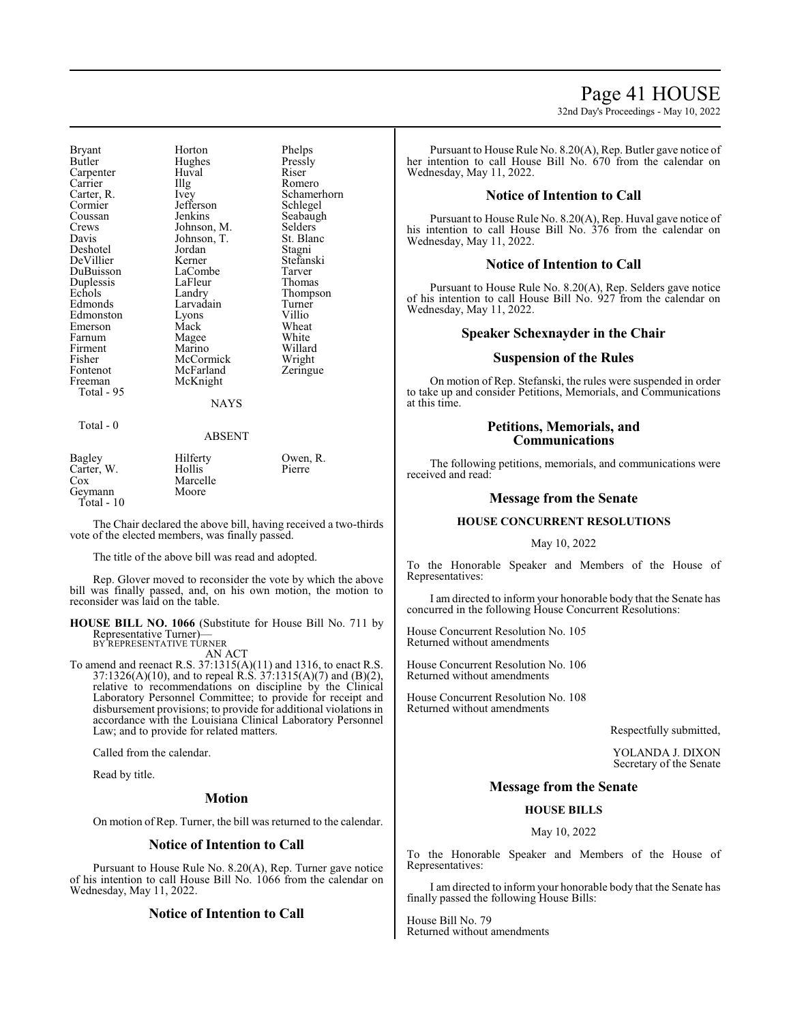# Page 41 HOUSE

32nd Day's Proceedings - May 10, 2022

Bryant Horton Phelps<br>Butler Hughes Pressly Carpenter Huv<br>Carrier Hllg Carrier IIIg Romero<br>Carter, R. Ivey Schame Coussan Jenkins Seabaugh<br>Crews Johnson, M. Selders Crews Johnson, M. Selders<br>
Davis Johnson, T. St. Blanc Deshotel Jordan Stagni<br>
DeVillier Kerner Stefanski DeVillier Kerner Stefans<br>DuBuisson LaCombe Tarver DuBuisson LaCombe Tarver Duplessis LaFleu<br>Echols Landry Echols Landry Thompson<br>
Edmonds Larvadain Turner Edmonston Lyons Villio Emerson Mack Wheat<br>
Farnum Magee White Farnum Magee<br>Firment Marino Firment Marino Willard<br>
Fisher McCormick Wright Fisher McCormick Wright<br>Fontenot McFarland Zeringue Fontenot McFarland<br>Freeman McKnight Total - 95

Hughes Pressl<br>Huval Riser Jefferson Johnson, T. St. Blanch<br>Jordan Stagni Larvadain McKnight

Carter, R. Ivey Schamerhorn

#### NAYS

#### Total - 0

#### ABSENT

| Bagley       | Hilferty | Owen, R. |
|--------------|----------|----------|
| Carter, W.   | Hollis   | Pierre   |
| Cox          | Marcelle |          |
| Geymann      | Moore    |          |
| Total - $10$ |          |          |

The Chair declared the above bill, having received a two-thirds vote of the elected members, was finally passed.

The title of the above bill was read and adopted.

Rep. Glover moved to reconsider the vote by which the above bill was finally passed, and, on his own motion, the motion to reconsider was laid on the table.

#### **HOUSE BILL NO. 1066** (Substitute for House Bill No. 711 by Representative Turner)— BY REPRESENTATIVE TURNER

AN ACT

To amend and reenact R.S. 37:1315(A)(11) and 1316, to enact R.S. 37:1326(A)(10), and to repeal R.S. 37:1315(A)(7) and (B)(2), relative to recommendations on discipline by the Clinical Laboratory Personnel Committee; to provide for receipt and disbursement provisions; to provide for additional violations in accordance with the Louisiana Clinical Laboratory Personnel Law; and to provide for related matters.

Called from the calendar.

Read by title.

#### **Motion**

On motion of Rep. Turner, the bill was returned to the calendar.

#### **Notice of Intention to Call**

Pursuant to House Rule No. 8.20(A), Rep. Turner gave notice of his intention to call House Bill No. 1066 from the calendar on Wednesday, May 11, 2022.

#### **Notice of Intention to Call**

Pursuant to House Rule No. 8.20(A), Rep. Butler gave notice of her intention to call House Bill No. 670 from the calendar on Wednesday, May 11, 2022.

#### **Notice of Intention to Call**

Pursuant to House Rule No. 8.20(A), Rep. Huval gave notice of his intention to call House Bill No. 376 from the calendar on Wednesday, May 11, 2022.

#### **Notice of Intention to Call**

Pursuant to House Rule No. 8.20(A), Rep. Selders gave notice of his intention to call House Bill No. 927 from the calendar on Wednesday, May 11, 2022.

### **Speaker Schexnayder in the Chair**

#### **Suspension of the Rules**

On motion of Rep. Stefanski, the rules were suspended in order to take up and consider Petitions, Memorials, and Communications at this time.

# **Petitions, Memorials, and Communications**

The following petitions, memorials, and communications were received and read:

### **Message from the Senate**

#### **HOUSE CONCURRENT RESOLUTIONS**

#### May 10, 2022

To the Honorable Speaker and Members of the House of Representatives:

I am directed to inform your honorable body that the Senate has concurred in the following House Concurrent Resolutions:

House Concurrent Resolution No. 105 Returned without amendments

House Concurrent Resolution No. 106 Returned without amendments

House Concurrent Resolution No. 108 Returned without amendments

Respectfully submitted,

YOLANDA J. DIXON Secretary of the Senate

#### **Message from the Senate**

#### **HOUSE BILLS**

#### May 10, 2022

To the Honorable Speaker and Members of the House of Representatives:

I am directed to inform your honorable body that the Senate has finally passed the following House Bills:

House Bill No. 79 Returned without amendments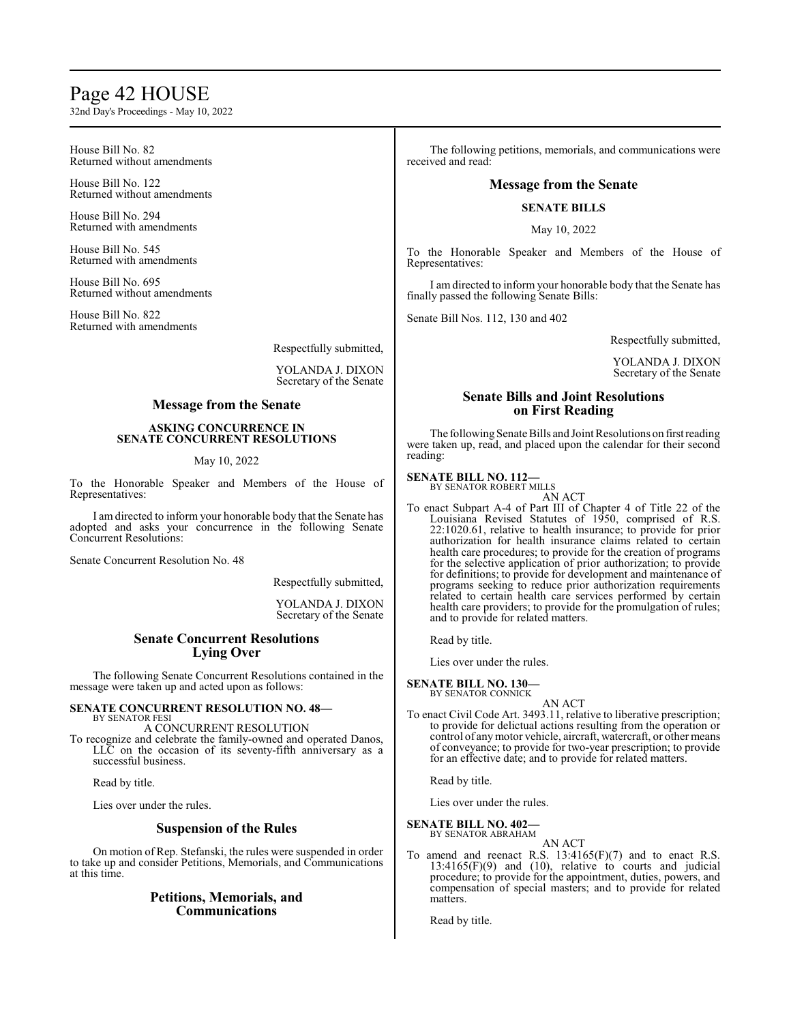# Page 42 HOUSE

32nd Day's Proceedings - May 10, 2022

#### House Bill No. 82 Returned without amendments

House Bill No. 122 Returned without amendments

House Bill No. 294 Returned with amendments

House Bill No. 545 Returned with amendments

House Bill No. 695 Returned without amendments

House Bill No. 822 Returned with amendments

Respectfully submitted,

YOLANDA J. DIXON Secretary of the Senate

# **Message from the Senate**

#### **ASKING CONCURRENCE IN SENATE CONCURRENT RESOLUTIONS**

#### May 10, 2022

To the Honorable Speaker and Members of the House of Representatives:

I am directed to inform your honorable body that the Senate has adopted and asks your concurrence in the following Senate Concurrent Resolutions:

Senate Concurrent Resolution No. 48

Respectfully submitted,

YOLANDA J. DIXON Secretary of the Senate

# **Senate Concurrent Resolutions Lying Over**

The following Senate Concurrent Resolutions contained in the message were taken up and acted upon as follows:

#### **SENATE CONCURRENT RESOLUTION NO. 48—** BY SENATOR FESI

A CONCURRENT RESOLUTION To recognize and celebrate the family-owned and operated Danos, LLC on the occasion of its seventy-fifth anniversary as a successful business.

Read by title.

Lies over under the rules.

# **Suspension of the Rules**

On motion of Rep. Stefanski, the rules were suspended in order to take up and consider Petitions, Memorials, and Communications at this time.

# **Petitions, Memorials, and Communications**

The following petitions, memorials, and communications were received and read:

# **Message from the Senate**

#### **SENATE BILLS**

May 10, 2022

To the Honorable Speaker and Members of the House of Representatives:

I am directed to inform your honorable body that the Senate has finally passed the following Senate Bills:

Senate Bill Nos. 112, 130 and 402

Respectfully submitted,

YOLANDA J. DIXON Secretary of the Senate

# **Senate Bills and Joint Resolutions on First Reading**

The following Senate Bills and Joint Resolutions on first reading were taken up, read, and placed upon the calendar for their second reading:

#### **SENATE BILL NO. 112—** BY SENATOR ROBERT MILLS

AN ACT

To enact Subpart A-4 of Part III of Chapter 4 of Title 22 of the Louisiana Revised Statutes of 1950, comprised of R.S. 22:1020.61, relative to health insurance; to provide for prior authorization for health insurance claims related to certain health care procedures; to provide for the creation of programs for the selective application of prior authorization; to provide for definitions; to provide for development and maintenance of programs seeking to reduce prior authorization requirements related to certain health care services performed by certain health care providers; to provide for the promulgation of rules; and to provide for related matters.

Read by title.

Lies over under the rules.

**SENATE BILL NO. 130—**

BY SENATOR CONNICK AN ACT

To enact Civil Code Art. 3493.11, relative to liberative prescription; to provide for delictual actions resulting from the operation or control of anymotor vehicle, aircraft, watercraft, or other means of conveyance; to provide for two-year prescription; to provide for an effective date; and to provide for related matters.

Read by title.

Lies over under the rules.

# **SENATE BILL NO. 402—**

BY SENATOR ABRAHAM AN ACT

To amend and reenact R.S. 13:4165(F)(7) and to enact R.S. 13:4165(F)(9) and (10), relative to courts and judicial procedure; to provide for the appointment, duties, powers, and compensation of special masters; and to provide for related matters.

Read by title.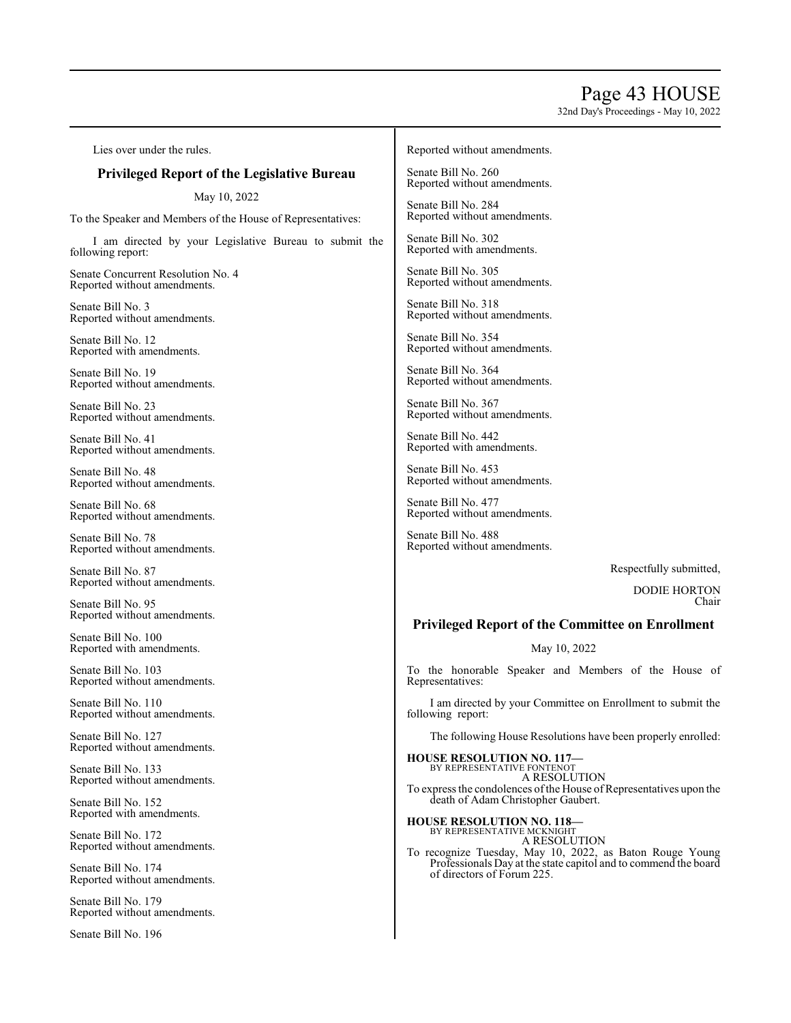# Page 43 HOUSE

32nd Day's Proceedings - May 10, 2022

Lies over under the rules.

# **Privileged Report of the Legislative Bureau**

May 10, 2022

To the Speaker and Members of the House of Representatives:

I am directed by your Legislative Bureau to submit the following report:

Senate Concurrent Resolution No. 4 Reported without amendments.

Senate Bill No. 3 Reported without amendments.

Senate Bill No. 12 Reported with amendments.

Senate Bill No. 19 Reported without amendments.

Senate Bill No. 23 Reported without amendments.

Senate Bill No. 41 Reported without amendments.

Senate Bill No. 48 Reported without amendments.

Senate Bill No. 68 Reported without amendments.

Senate Bill No. 78 Reported without amendments.

Senate Bill No. 87 Reported without amendments.

Senate Bill No. 95 Reported without amendments.

Senate Bill No. 100 Reported with amendments.

Senate Bill No. 103 Reported without amendments.

Senate Bill No. 110 Reported without amendments.

Senate Bill No. 127 Reported without amendments.

Senate Bill No. 133 Reported without amendments.

Senate Bill No. 152 Reported with amendments.

Senate Bill No. 172 Reported without amendments.

Senate Bill No. 174 Reported without amendments.

Senate Bill No. 179 Reported without amendments.

Senate Bill No. 196

#### Reported without amendments.

Senate Bill No. 260 Reported without amendments.

Senate Bill No. 284 Reported without amendments.

Senate Bill No. 302 Reported with amendments.

Senate Bill No. 305 Reported without amendments.

Senate Bill No. 318 Reported without amendments.

Senate Bill No. 354 Reported without amendments.

Senate Bill No. 364 Reported without amendments.

Senate Bill No. 367 Reported without amendments.

Senate Bill No. 442 Reported with amendments.

Senate Bill No. 453 Reported without amendments.

Senate Bill No. 477 Reported without amendments.

Senate Bill No. 488 Reported without amendments.

Respectfully submitted,

DODIE HORTON Chair

# **Privileged Report of the Committee on Enrollment**

May 10, 2022

To the honorable Speaker and Members of the House of Representatives:

I am directed by your Committee on Enrollment to submit the following report:

The following House Resolutions have been properly enrolled:

**HOUSE RESOLUTION NO. 117—** BY REPRESENTATIVE FONTENOT A RESOLUTION To express the condolences of the House of Representatives upon the death of Adam Christopher Gaubert.

**HOUSE RESOLUTION NO. 118—** BY REPRESENTATIVE MCKNIGHT

A RESOLUTION

To recognize Tuesday, May 10, 2022, as Baton Rouge Young Professionals Day at the state capitol and to commend the board of directors of Forum 225.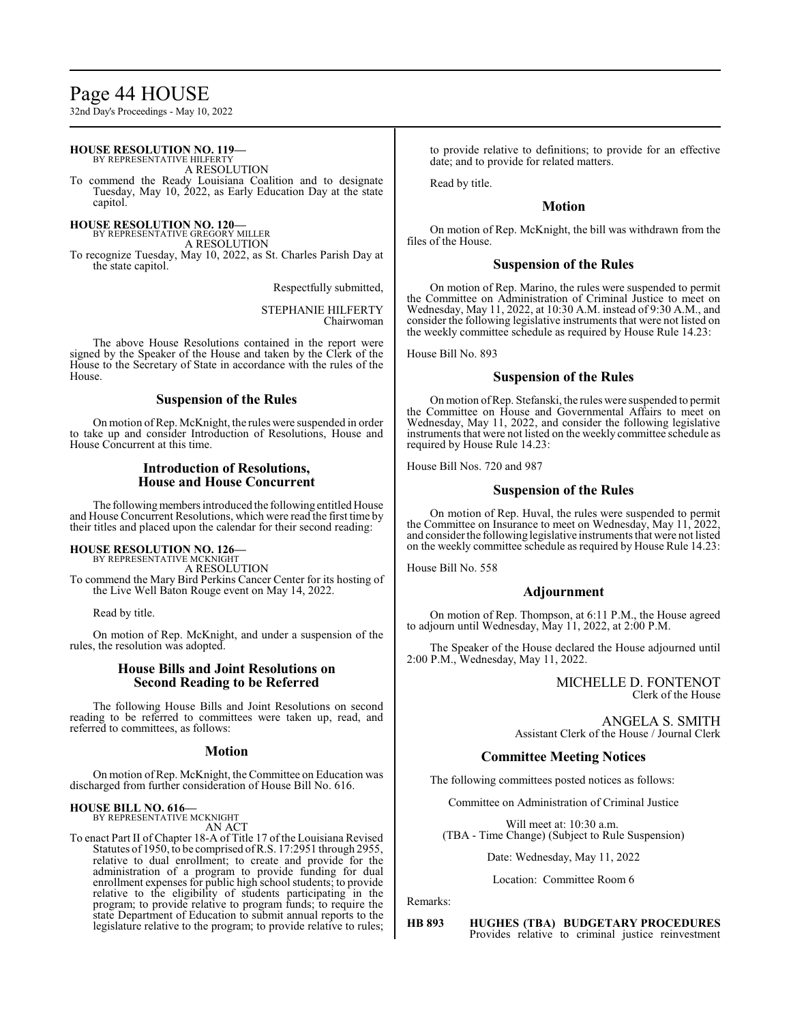# Page 44 HOUSE

32nd Day's Proceedings - May 10, 2022

#### **HOUSE RESOLUTION NO. 119—** BY REPRESENTATIVE HILFERTY

A RESOLUTION

To commend the Ready Louisiana Coalition and to designate Tuesday, May 10, 2022, as Early Education Day at the state capitol.

#### **HOUSE RESOLUTION NO. 120—** BY REPRESENTATIVE GREGORY MILLER

A RESOLUTION

To recognize Tuesday, May 10, 2022, as St. Charles Parish Day at the state capitol.

Respectfully submitted,

STEPHANIE HILFERTY Chairwoman

The above House Resolutions contained in the report were signed by the Speaker of the House and taken by the Clerk of the House to the Secretary of State in accordance with the rules of the House.

# **Suspension of the Rules**

On motion ofRep. McKnight, the rules were suspended in order to take up and consider Introduction of Resolutions, House and House Concurrent at this time.

# **Introduction of Resolutions, House and House Concurrent**

The following members introduced the following entitled House and House Concurrent Resolutions, which were read the first time by their titles and placed upon the calendar for their second reading:

# **HOUSE RESOLUTION NO. 126—**

BY REPRESENTATIVE MCKNIGHT A RESOLUTION To commend the Mary Bird Perkins Cancer Center for its hosting of the Live Well Baton Rouge event on May 14, 2022.

Read by title.

On motion of Rep. McKnight, and under a suspension of the rules, the resolution was adopted.

# **House Bills and Joint Resolutions on Second Reading to be Referred**

The following House Bills and Joint Resolutions on second reading to be referred to committees were taken up, read, and referred to committees, as follows:

# **Motion**

On motion ofRep. McKnight, the Committee on Education was discharged from further consideration of House Bill No. 616.

#### **HOUSE BILL NO. 616—** BY REPRESENTATIVE MCKNIGHT AN ACT

To enact Part II of Chapter 18-A of Title 17 of the Louisiana Revised Statutes of 1950, to be comprised ofR.S. 17:2951 through 2955, relative to dual enrollment; to create and provide for the administration of a program to provide funding for dual enrollment expenses for public high school students; to provide relative to the eligibility of students participating in the program; to provide relative to program funds; to require the state Department of Education to submit annual reports to the legislature relative to the program; to provide relative to rules; to provide relative to definitions; to provide for an effective date; and to provide for related matters.

Read by title.

# **Motion**

On motion of Rep. McKnight, the bill was withdrawn from the files of the House.

# **Suspension of the Rules**

On motion of Rep. Marino, the rules were suspended to permit the Committee on Administration of Criminal Justice to meet on Wednesday, May 11, 2022, at 10:30 A.M. instead of 9:30 A.M., and consider the following legislative instruments that were not listed on the weekly committee schedule as required by House Rule 14.23:

House Bill No. 893

# **Suspension of the Rules**

On motion ofRep. Stefanski, the rules were suspended to permit the Committee on House and Governmental Affairs to meet on Wednesday, May 11, 2022, and consider the following legislative instruments that were not listed on the weekly committee schedule as required by House Rule 14.23:

House Bill Nos. 720 and 987

# **Suspension of the Rules**

On motion of Rep. Huval, the rules were suspended to permit the Committee on Insurance to meet on Wednesday, May 11, 2022, and consider the following legislative instruments that were not listed on the weekly committee schedule as required by House Rule 14.23:

House Bill No. 558

# **Adjournment**

On motion of Rep. Thompson, at 6:11 P.M., the House agreed to adjourn until Wednesday, May 11, 2022, at 2:00 P.M.

The Speaker of the House declared the House adjourned until 2:00 P.M., Wednesday, May 11, 2022.

# MICHELLE D. FONTENOT Clerk of the House

ANGELA S. SMITH Assistant Clerk of the House / Journal Clerk

# **Committee Meeting Notices**

The following committees posted notices as follows:

Committee on Administration of Criminal Justice

Will meet at: 10:30 a.m. (TBA - Time Change) (Subject to Rule Suspension)

Date: Wednesday, May 11, 2022

#### Location: Committee Room 6

Remarks:

**HB 893 HUGHES (TBA) BUDGETARY PROCEDURES**  Provides relative to criminal justice reinvestment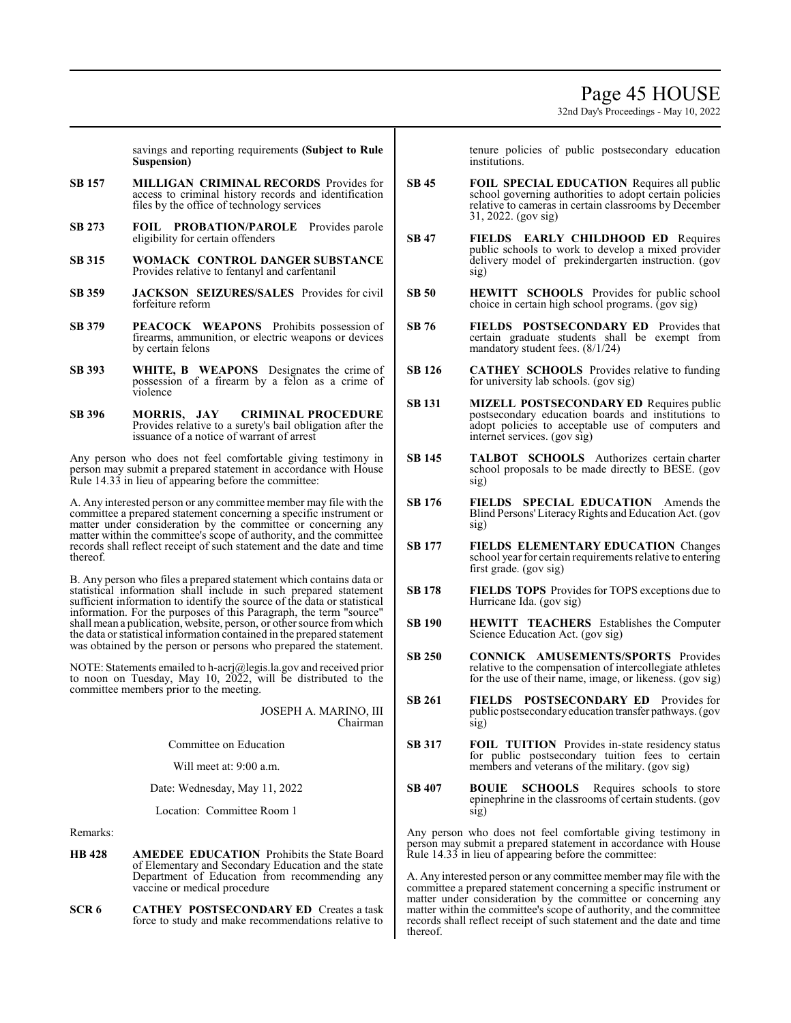32nd Day's Proceedings - May 10, 2022

savings and reporting requirements **(Subject to Rule Suspension)**

- **SB 157 MILLIGAN CRIMINAL RECORDS** Provides for access to criminal history records and identification files by the office of technology services
- **SB 273 FOIL PROBATION/PAROLE** Provides parole eligibility for certain offenders
- **SB 315 WOMACK CONTROL DANGER SUBSTANCE**  Provides relative to fentanyl and carfentanil
- **SB 359 JACKSON SEIZURES/SALES** Provides for civil forfeiture reform
- **SB 379 PEACOCK WEAPONS** Prohibits possession of firearms, ammunition, or electric weapons or devices by certain felons
- **SB 393 WHITE, B WEAPONS** Designates the crime of possession of a firearm by a felon as a crime of violence
- **SB 396 MORRIS, JAY CRIMINAL PROCEDURE**  Provides relative to a surety's bail obligation after the issuance of a notice of warrant of arrest

Any person who does not feel comfortable giving testimony in person may submit a prepared statement in accordance with House Rule 14.33 in lieu of appearing before the committee:

A. Any interested person or any committee member may file with the committee a prepared statement concerning a specific instrument or matter under consideration by the committee or concerning any matter within the committee's scope of authority, and the committee records shall reflect receipt of such statement and the date and time thereof.

B. Any person who files a prepared statement which contains data or statistical information shall include in such prepared statement sufficient information to identify the source of the data or statistical information. For the purposes of this Paragraph, the term "source" shall mean a publication, website, person, or other source fromwhich the data or statistical information contained in the prepared statement was obtained by the person or persons who prepared the statement.

NOTE: Statements emailed to h-acrj@legis.la.gov and received prior to noon on Tuesday, May 10, 2022, will be distributed to the committee members prior to the meeting.

> JOSEPH A. MARINO, III Chairman

Committee on Education

Will meet at: 9:00 a.m.

Date: Wednesday, May 11, 2022

Location: Committee Room 1

Remarks:

- **HB 428 AMEDEE EDUCATION** Prohibits the State Board of Elementary and Secondary Education and the state Department of Education from recommending any vaccine or medical procedure
- **SCR 6 CATHEY POSTSECONDARY ED** Creates a task force to study and make recommendations relative to

tenure policies of public postsecondary education institutions.

- **SB 45 FOIL SPECIAL EDUCATION** Requires all public school governing authorities to adopt certain policies relative to cameras in certain classrooms by December 31, 2022. (gov sig)
- **SB 47 FIELDS EARLY CHILDHOOD ED** Requires public schools to work to develop a mixed provider delivery model of prekindergarten instruction. (gov sig)
- **SB 50 HEWITT SCHOOLS** Provides for public school choice in certain high school programs. (gov sig)
- **SB 76 FIELDS POSTSECONDARY ED** Provides that certain graduate students shall be exempt from mandatory student fees. (8/1/24)
- **SB 126 CATHEY SCHOOLS** Provides relative to funding for university lab schools. (gov sig)
- **SB 131 MIZELL POSTSECONDARY ED** Requires public postsecondary education boards and institutions to adopt policies to acceptable use of computers and internet services. (gov sig)
- **SB 145 TALBOT SCHOOLS** Authorizes certain charter school proposals to be made directly to BESE. (gov sig)
- **SB 176 FIELDS SPECIAL EDUCATION** Amends the Blind Persons'LiteracyRights and Education Act. (gov sig)
- **SB 177 FIELDS ELEMENTARY EDUCATION** Changes school year for certain requirements relative to entering first grade. (gov sig)
- **SB 178 FIELDS TOPS** Provides for TOPS exceptions due to Hurricane Ida. (gov sig)
- **SB 190 HEWITT TEACHERS** Establishes the Computer Science Education Act. (gov sig)
- **SB 250 CONNICK AMUSEMENTS/SPORTS** Provides relative to the compensation of intercollegiate athletes for the use of their name, image, or likeness. (gov sig)
- **SB 261 FIELDS POSTSECONDARY ED** Provides for public postsecondaryeducation transfer pathways. (gov sig)
- **SB 317 FOIL TUITION** Provides in-state residency status for public postsecondary tuition fees to certain members and veterans of the military. (gov sig)
- **SB 407 BOUIE SCHOOLS** Requires schools to store epinephrine in the classrooms of certain students. (gov sig)

Any person who does not feel comfortable giving testimony in person may submit a prepared statement in accordance with House Rule 14.33 in lieu of appearing before the committee:

A. Any interested person or any committee member may file with the committee a prepared statement concerning a specific instrument or matter under consideration by the committee or concerning any matter within the committee's scope of authority, and the committee records shall reflect receipt of such statement and the date and time thereof.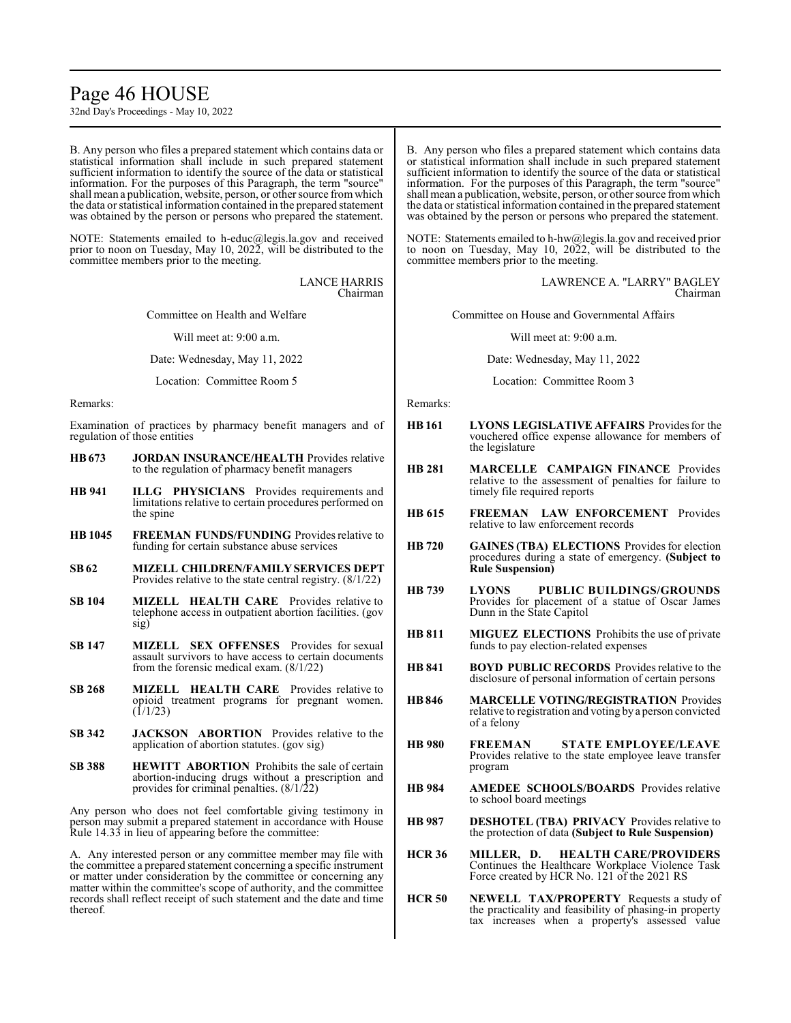# Page 46 HOUSE

32nd Day's Proceedings - May 10, 2022

B. Any person who files a prepared statement which contains data or statistical information shall include in such prepared statement sufficient information to identify the source of the data or statistical information. For the purposes of this Paragraph, the term "source" shall mean a publication, website, person, or other source from which the data or statistical information contained in the prepared statement was obtained by the person or persons who prepared the statement.

NOTE: Statements emailed to h-educ@legis.la.gov and received prior to noon on Tuesday, May 10, 2022, will be distributed to the committee members prior to the meeting.

> LANCE HARRIS Chairman

Committee on Health and Welfare

Will meet at: 9:00 a.m.

Date: Wednesday, May 11, 2022

Location: Committee Room 5

Remarks:

Examination of practices by pharmacy benefit managers and of regulation of those entities

- **HB673 JORDAN INSURANCE/HEALTH** Provides relative to the regulation of pharmacy benefit managers
- **HB 941 ILLG PHYSICIANS** Provides requirements and limitations relative to certain procedures performed on the spine
- **HB 1045 FREEMAN FUNDS/FUNDING** Provides relative to funding for certain substance abuse services
- **SB62 MIZELL CHILDREN/FAMILYSERVICES DEPT**  Provides relative to the state central registry. (8/1/22)
- **SB 104 MIZELL HEALTH CARE** Provides relative to telephone access in outpatient abortion facilities. (gov sig)
- **SB 147 MIZELL SEX OFFENSES** Provides for sexual assault survivors to have access to certain documents from the forensic medical exam. (8/1/22)
- **SB 268 MIZELL HEALTH CARE** Provides relative to opioid treatment programs for pregnant women.  $(1/1/23)$
- **SB 342 JACKSON ABORTION** Provides relative to the application of abortion statutes. (gov sig)
- **SB 388 HEWITT ABORTION** Prohibits the sale of certain abortion-inducing drugs without a prescription and provides for criminal penalties.  $(8/1/22)$

Any person who does not feel comfortable giving testimony in person may submit a prepared statement in accordance with House Rule 14.33 in lieu of appearing before the committee:

A. Any interested person or any committee member may file with the committee a prepared statement concerning a specific instrument or matter under consideration by the committee or concerning any matter within the committee's scope of authority, and the committee records shall reflect receipt of such statement and the date and time thereof.

B. Any person who files a prepared statement which contains data or statistical information shall include in such prepared statement sufficient information to identify the source of the data or statistical information. For the purposes of this Paragraph, the term "source" shall mean a publication, website, person, or other source fromwhich the data or statistical information contained in the prepared statement was obtained by the person or persons who prepared the statement.

NOTE: Statements emailed to h-hw@legis.la.gov and received prior to noon on Tuesday, May 10, 2022, will be distributed to the committee members prior to the meeting.

> LAWRENCE A. "LARRY" BAGLEY Chairman

Committee on House and Governmental Affairs

Will meet at: 9:00 a.m.

Date: Wednesday, May 11, 2022

Location: Committee Room 3

Remarks:

- **HB 161 LYONS LEGISLATIVE AFFAIRS** Provides for the vouchered office expense allowance for members of the legislature
- **HB 281 MARCELLE CAMPAIGN FINANCE** Provides relative to the assessment of penalties for failure to timely file required reports
- **HB 615 FREEMAN LAW ENFORCEMENT** Provides relative to law enforcement records
- **HB 720 GAINES (TBA) ELECTIONS** Provides for election procedures during a state of emergency. **(Subject to Rule Suspension)**
- **HB 739 LYONS PUBLIC BUILDINGS/GROUNDS**  Provides for placement of a statue of Oscar James Dunn in the State Capitol
- **HB 811 MIGUEZ ELECTIONS** Prohibits the use of private funds to pay election-related expenses
- **HB 841 BOYD PUBLIC RECORDS** Provides relative to the disclosure of personal information of certain persons
- **HB846 MARCELLE VOTING/REGISTRATION** Provides relative to registration and voting by a person convicted of a felony
- **HB 980 FREEMAN STATE EMPLOYEE/LEAVE**  Provides relative to the state employee leave transfer program
- **HB 984 AMEDEE SCHOOLS/BOARDS** Provides relative to school board meetings
- **HB 987 DESHOTEL (TBA) PRIVACY** Provides relative to the protection of data **(Subject to Rule Suspension)**
- **HCR 36 MILLER, D. HEALTH CARE/PROVIDERS**  Continues the Healthcare Workplace Violence Task Force created by HCR No. 121 of the 2021 RS
- **HCR 50 NEWELL TAX/PROPERTY** Requests a study of the practicality and feasibility of phasing-in property tax increases when a property's assessed value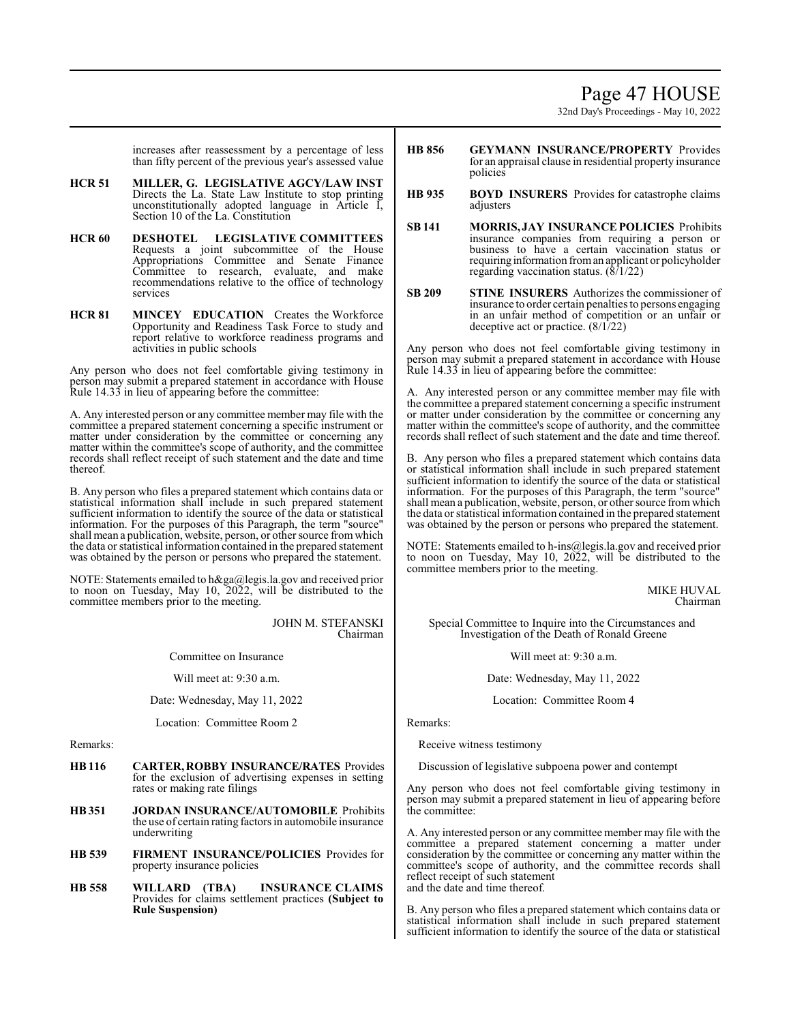# Page 47 HOUSE

32nd Day's Proceedings - May 10, 2022

increases after reassessment by a percentage of less than fifty percent of the previous year's assessed value

- **HCR 51 MILLER, G. LEGISLATIVE AGCY/LAW INST**  Directs the La. State Law Institute to stop printing unconstitutionally adopted language in Article I, Section 10 of the La. Constitution
- **HCR 60 DESHOTEL LEGISLATIVE COMMITTEES**  Requests a joint subcommittee of the House Appropriations Committee and Senate Finance Committee to research, evaluate, and make recommendations relative to the office of technology services
- **HCR 81 MINCEY EDUCATION** Creates the Workforce Opportunity and Readiness Task Force to study and report relative to workforce readiness programs and activities in public schools

Any person who does not feel comfortable giving testimony in person may submit a prepared statement in accordance with House Rule 14.33 in lieu of appearing before the committee:

A. Any interested person or any committee member may file with the committee a prepared statement concerning a specific instrument or matter under consideration by the committee or concerning any matter within the committee's scope of authority, and the committee records shall reflect receipt of such statement and the date and time thereof.

B. Any person who files a prepared statement which contains data or statistical information shall include in such prepared statement sufficient information to identify the source of the data or statistical information. For the purposes of this Paragraph, the term "source" shall mean a publication, website, person, or other source fromwhich the data or statistical information contained in the prepared statement was obtained by the person or persons who prepared the statement.

NOTE: Statements emailed to h&ga@legis.la.gov and received prior to noon on Tuesday, May 10, 2022, will be distributed to the committee members prior to the meeting.

> JOHN M. STEFANSKI Chairman

Committee on Insurance

Will meet at: 9:30 a.m.

Date: Wednesday, May 11, 2022

Location: Committee Room 2

Remarks:

- **HB116 CARTER, ROBBY INSURANCE/RATES** Provides for the exclusion of advertising expenses in setting rates or making rate filings
- **HB351 JORDAN INSURANCE/AUTOMOBILE** Prohibits the use of certain rating factors in automobile insurance underwriting
- **HB 539 FIRMENT INSURANCE/POLICIES** Provides for property insurance policies
- **HB 558 WILLARD (TBA) INSURANCE CLAIMS**  Provides for claims settlement practices **(Subject to Rule Suspension)**
- **HB 856 GEYMANN INSURANCE/PROPERTY** Provides for an appraisal clause in residential property insurance policies
- **HB 935 BOYD INSURERS** Provides for catastrophe claims adjusters
- **SB 141 MORRIS, JAY INSURANCE POLICIES** Prohibits insurance companies from requiring a person or business to have a certain vaccination status or requiring information froman applicant or policyholder regarding vaccination status. (8/1/22)
- **SB 209 STINE INSURERS** Authorizes the commissioner of insurance to order certain penalties to persons engaging in an unfair method of competition or an unfair or deceptive act or practice. (8/1/22)

Any person who does not feel comfortable giving testimony in person may submit a prepared statement in accordance with House Rule 14.33 in lieu of appearing before the committee:

A. Any interested person or any committee member may file with the committee a prepared statement concerning a specific instrument or matter under consideration by the committee or concerning any matter within the committee's scope of authority, and the committee records shall reflect of such statement and the date and time thereof.

B. Any person who files a prepared statement which contains data or statistical information shall include in such prepared statement sufficient information to identify the source of the data or statistical information. For the purposes of this Paragraph, the term "source" shall mean a publication, website, person, or other source fromwhich the data or statistical information contained in the prepared statement was obtained by the person or persons who prepared the statement.

NOTE: Statements emailed to h-ins@legis.la.gov and received prior to noon on Tuesday, May 10, 2022, will be distributed to the committee members prior to the meeting.

> MIKE HUVAL Chairman

Special Committee to Inquire into the Circumstances and Investigation of the Death of Ronald Greene

Will meet at: 9:30 a.m.

Date: Wednesday, May 11, 2022

Location: Committee Room 4

Remarks:

Receive witness testimony

Discussion of legislative subpoena power and contempt

Any person who does not feel comfortable giving testimony in person may submit a prepared statement in lieu of appearing before the committee:

A. Any interested person or any committee member may file with the committee a prepared statement concerning a matter under consideration by the committee or concerning any matter within the committee's scope of authority, and the committee records shall reflect receipt of such statement and the date and time thereof.

B. Any person who files a prepared statement which contains data or statistical information shall include in such prepared statement sufficient information to identify the source of the data or statistical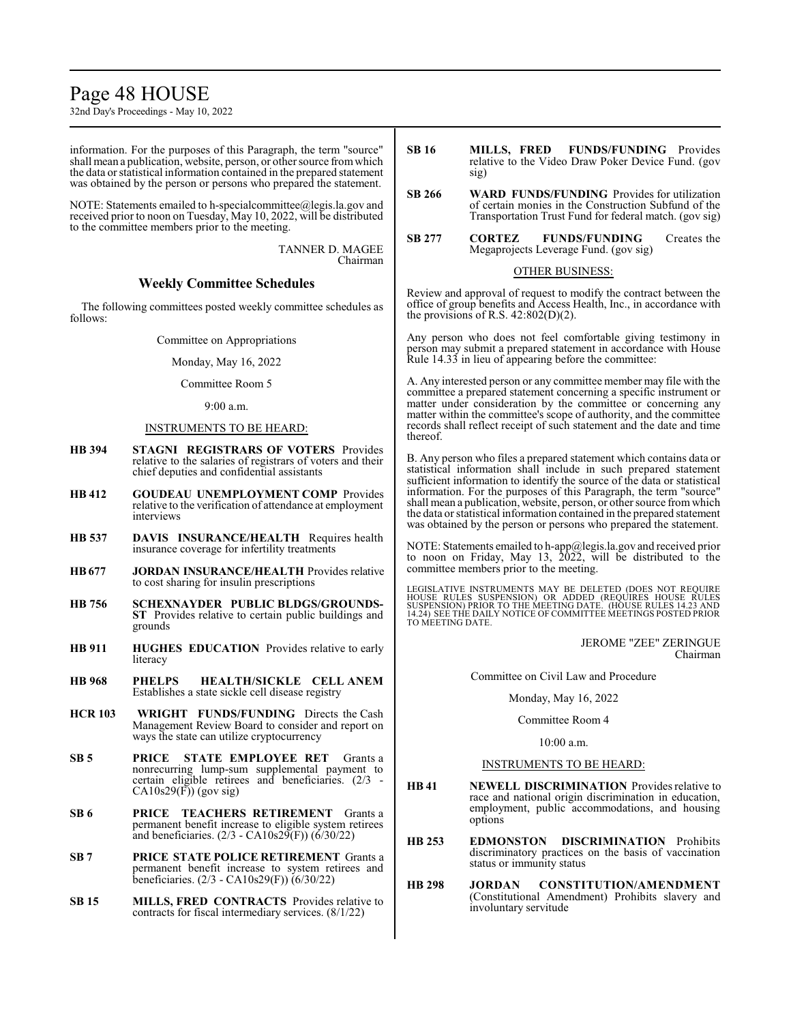# Page 48 HOUSE

32nd Day's Proceedings - May 10, 2022

information. For the purposes of this Paragraph, the term "source" shall mean a publication, website, person, or other source fromwhich the data or statistical information contained in the prepared statement was obtained by the person or persons who prepared the statement.

NOTE: Statements emailed to h-specialcommittee@legis.la.gov and received prior to noon on Tuesday, May 10, 2022, will be distributed to the committee members prior to the meeting.

> TANNER D. MAGEE Chairman

# **Weekly Committee Schedules**

The following committees posted weekly committee schedules as follows:

Committee on Appropriations

Monday, May 16, 2022

Committee Room 5

9:00 a.m.

#### INSTRUMENTS TO BE HEARD:

- **HB 394 STAGNI REGISTRARS OF VOTERS** Provides relative to the salaries of registrars of voters and their chief deputies and confidential assistants
- **HB 412 GOUDEAU UNEMPLOYMENT COMP** Provides relative to the verification of attendance at employment interviews
- **HB 537 DAVIS INSURANCE/HEALTH** Requires health insurance coverage for infertility treatments
- **HB677 JORDAN INSURANCE/HEALTH** Provides relative to cost sharing for insulin prescriptions
- **HB 756 SCHEXNAYDER PUBLIC BLDGS/GROUNDS-ST** Provides relative to certain public buildings and grounds
- **HB 911 HUGHES EDUCATION** Provides relative to early literacy
- **HB 968 PHELPS HEALTH/SICKLE CELL ANEM** Establishes a state sickle cell disease registry
- **HCR 103 WRIGHT FUNDS/FUNDING** Directs the Cash Management Review Board to consider and report on ways the state can utilize cryptocurrency
- **SB 5 PRICE STATE EMPLOYEE RET** Grants a nonrecurring lump-sum supplemental payment to certain eligible retirees and beneficiaries. (2/3 -  $CA10s29(F))$  (gov sig)
- **SB 6 PRICE TEACHERS RETIREMENT** Grants a permanent benefit increase to eligible system retirees and beneficiaries.  $(2/3 - CA10s29(F))$  (6/30/22)
- **SB 7 PRICE STATE POLICE RETIREMENT** Grants a permanent benefit increase to system retirees and beneficiaries. (2/3 - CA10s29(F)) (6/30/22)
- **SB 15 MILLS, FRED CONTRACTS** Provides relative to contracts for fiscal intermediary services. (8/1/22)
- **SB 16 MILLS, FRED FUNDS/FUNDING** Provides relative to the Video Draw Poker Device Fund. (gov sig)
- **SB 266 WARD FUNDS/FUNDING** Provides for utilization of certain monies in the Construction Subfund of the Transportation Trust Fund for federal match. (gov sig)
- **SB 277 CORTEZ FUNDS/FUNDING** Creates the Megaprojects Leverage Fund. (gov sig)

#### OTHER BUSINESS:

Review and approval of request to modify the contract between the office of group benefits and Access Health, Inc., in accordance with the provisions of R.S.  $42:802(D)(2)$ .

Any person who does not feel comfortable giving testimony in person may submit a prepared statement in accordance with House Rule 14.33 in lieu of appearing before the committee:

A. Any interested person or any committee member may file with the committee a prepared statement concerning a specific instrument or matter under consideration by the committee or concerning any matter within the committee's scope of authority, and the committee records shall reflect receipt of such statement and the date and time thereof.

B. Any person who files a prepared statement which contains data or statistical information shall include in such prepared statement sufficient information to identify the source of the data or statistical information. For the purposes of this Paragraph, the term "source" shall mean a publication, website, person, or other source fromwhich the data or statistical information contained in the prepared statement was obtained by the person or persons who prepared the statement.

NOTE: Statements emailed to h-app@legis.la.gov and received prior to noon on Friday, May 13, 2022, will be distributed to the committee members prior to the meeting.

LEGISLATIVE INSTRUMENTS MAY BE DELETED (DOES NOT REQUIRE<br>HOUSE RULES SUSPENSION) OR ADDED (REQUIRES HOUSE RULES<br>SUSPENSION) PRIOR TO THE MEETING DATE. (HOUSE RULES 14.23 AND<br>14.24) SEE THE DAILY NOTICE OF COMMITTEE MEETING TO MEETING DATE.

> JEROME "ZEE" ZERINGUE Chairman

Committee on Civil Law and Procedure

#### Monday, May 16, 2022

#### Committee Room 4

10:00 a.m.

#### INSTRUMENTS TO BE HEARD:

- **HB 41 NEWELL DISCRIMINATION** Provides relative to race and national origin discrimination in education, employment, public accommodations, and housing options
- **HB 253 EDMONSTON DISCRIMINATION** Prohibits discriminatory practices on the basis of vaccination status or immunity status
- **HB 298 JORDAN CONSTITUTION/AMENDMENT** (Constitutional Amendment) Prohibits slavery and involuntary servitude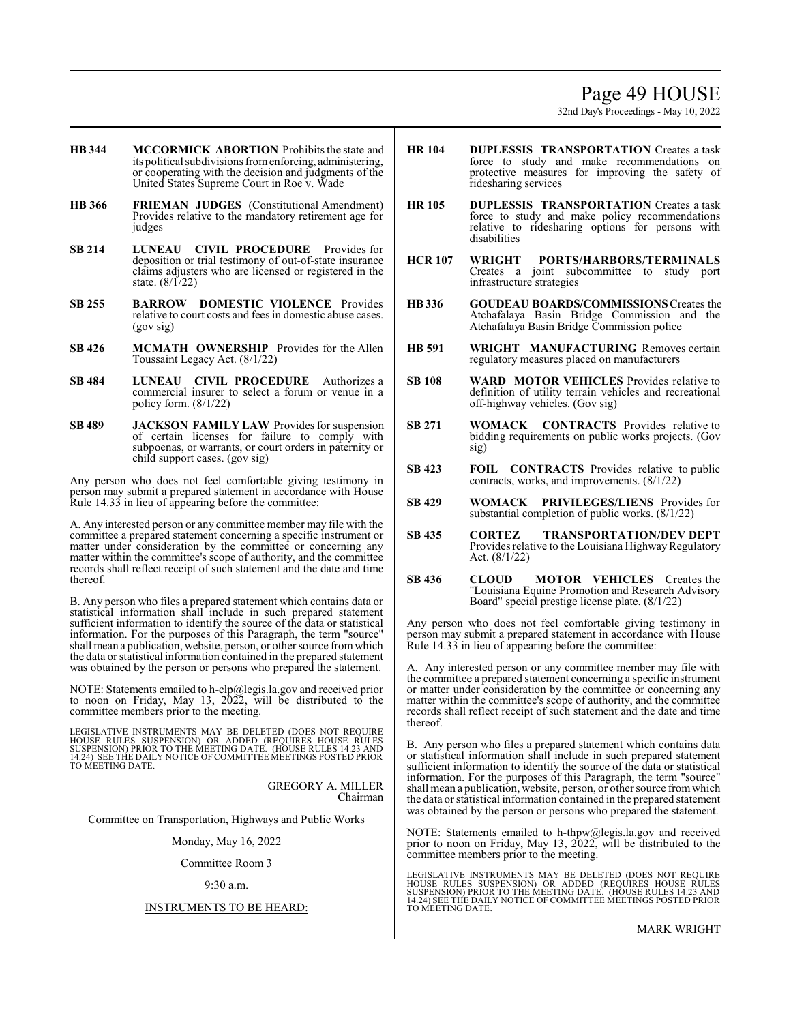# Page 49 HOUSE

32nd Day's Proceedings - May 10, 2022

- **HB 344 MCCORMICK ABORTION** Prohibits the state and its political subdivisions fromenforcing, administering, or cooperating with the decision and judgments of the United States Supreme Court in Roe v. Wade
- **HB 366 FRIEMAN JUDGES** (Constitutional Amendment) Provides relative to the mandatory retirement age for judges
- **SB 214 LUNEAU CIVIL PROCEDURE** Provides for deposition or trial testimony of out-of-state insurance claims adjusters who are licensed or registered in the state.  $(8/\tilde{1}/22)$
- **SB 255 BARROW DOMESTIC VIOLENCE** Provides relative to court costs and fees in domestic abuse cases. (gov sig)
- **SB 426 MCMATH OWNERSHIP** Provides for the Allen Toussaint Legacy Act. (8/1/22)
- **SB 484 LUNEAU CIVIL PROCEDURE** Authorizes a commercial insurer to select a forum or venue in a policy form. (8/1/22)
- **SB 489 JACKSON FAMILY LAW** Provides for suspension of certain licenses for failure to comply with subpoenas, or warrants, or court orders in paternity or child support cases. (gov sig)

Any person who does not feel comfortable giving testimony in person may submit a prepared statement in accordance with House Rule 14.33 in lieu of appearing before the committee:

A. Any interested person or any committee member may file with the committee a prepared statement concerning a specific instrument or matter under consideration by the committee or concerning any matter within the committee's scope of authority, and the committee records shall reflect receipt of such statement and the date and time thereof.

B. Any person who files a prepared statement which contains data or statistical information shall include in such prepared statement sufficient information to identify the source of the data or statistical information. For the purposes of this Paragraph, the term "source" shall mean a publication, website, person, or other source fromwhich the data or statistical information contained in the prepared statement was obtained by the person or persons who prepared the statement.

NOTE: Statements emailed to h-clp@legis.la.gov and received prior to noon on Friday, May 13, 2022, will be distributed to the committee members prior to the meeting.

LEGISLATIVE INSTRUMENTS MAY BE DELETED (DOES NOT REQUIRE<br>HOUSE RULES SUSPENSION) OR ADDED (REQUIRES HOUSE RULES<br>SUSPENSION) PRIOR TO THE MEETING DATE. (HOUSE RULES 14.23 AND<br>14.24) SEE THE DAILY NOTICE OF COMMITTEE MEETING

GREGORY A. MILLER Chairman

Committee on Transportation, Highways and Public Works

Monday, May 16, 2022

Committee Room 3

#### 9:30 a.m.

#### INSTRUMENTS TO BE HEARD:

- **HR 104 DUPLESSIS TRANSPORTATION** Creates a task force to study and make recommendations on protective measures for improving the safety of ridesharing services
- **HR 105 DUPLESSIS TRANSPORTATION** Creates a task force to study and make policy recommendations relative to ridesharing options for persons with disabilities
- **HCR 107 WRIGHT PORTS/HARBORS/TERMINALS** Creates a joint subcommittee to study port infrastructure strategies
- **HB336 GOUDEAU BOARDS/COMMISSIONS**Creates the Atchafalaya Basin Bridge Commission and the Atchafalaya Basin Bridge Commission police
- **HB 591 WRIGHT MANUFACTURING** Removes certain regulatory measures placed on manufacturers
- **SB 108 WARD MOTOR VEHICLES** Provides relative to definition of utility terrain vehicles and recreational off-highway vehicles. (Gov sig)
- **SB 271 WOMACK CONTRACTS** Provides relative to bidding requirements on public works projects. (Gov sig)
- **SB 423 FOIL CONTRACTS** Provides relative to public contracts, works, and improvements. (8/1/22)
- **SB 429 WOMACK PRIVILEGES/LIENS** Provides for substantial completion of public works. (8/1/22)
- **SB 435 CORTEZ TRANSPORTATION/DEV DEPT** Provides relative to the Louisiana Highway Regulatory Act. (8/1/22)
- **SB 436 CLOUD MOTOR VEHICLES** Creates the "Louisiana Equine Promotion and Research Advisory Board" special prestige license plate. (8/1/22)

Any person who does not feel comfortable giving testimony in person may submit a prepared statement in accordance with House Rule 14.33 in lieu of appearing before the committee:

A. Any interested person or any committee member may file with the committee a prepared statement concerning a specific instrument or matter under consideration by the committee or concerning any matter within the committee's scope of authority, and the committee records shall reflect receipt of such statement and the date and time thereof.

B. Any person who files a prepared statement which contains data or statistical information shall include in such prepared statement sufficient information to identify the source of the data or statistical information. For the purposes of this Paragraph, the term "source" shall mean a publication, website, person, or other source fromwhich the data or statistical information contained in the prepared statement was obtained by the person or persons who prepared the statement.

NOTE: Statements emailed to h-thpw@legis.la.gov and received prior to noon on Friday, May 13, 2022, will be distributed to the committee members prior to the meeting.

LEGISLATIVE INSTRUMENTS MAY BE DELETED (DOES NOT REQUIRE<br>HOUSE RULES SUSPENSION) OR ADDED (REQUIRES HOUSE RULES<br>SUSPENSION) PRIOR TO THE MEETING DATE. (HOUSE RULES 14.23 AND<br>14.24) SEE THE DAILY NOTICE OF COMMITTEE MEETING TO MEETING DATE.

MARK WRIGHT